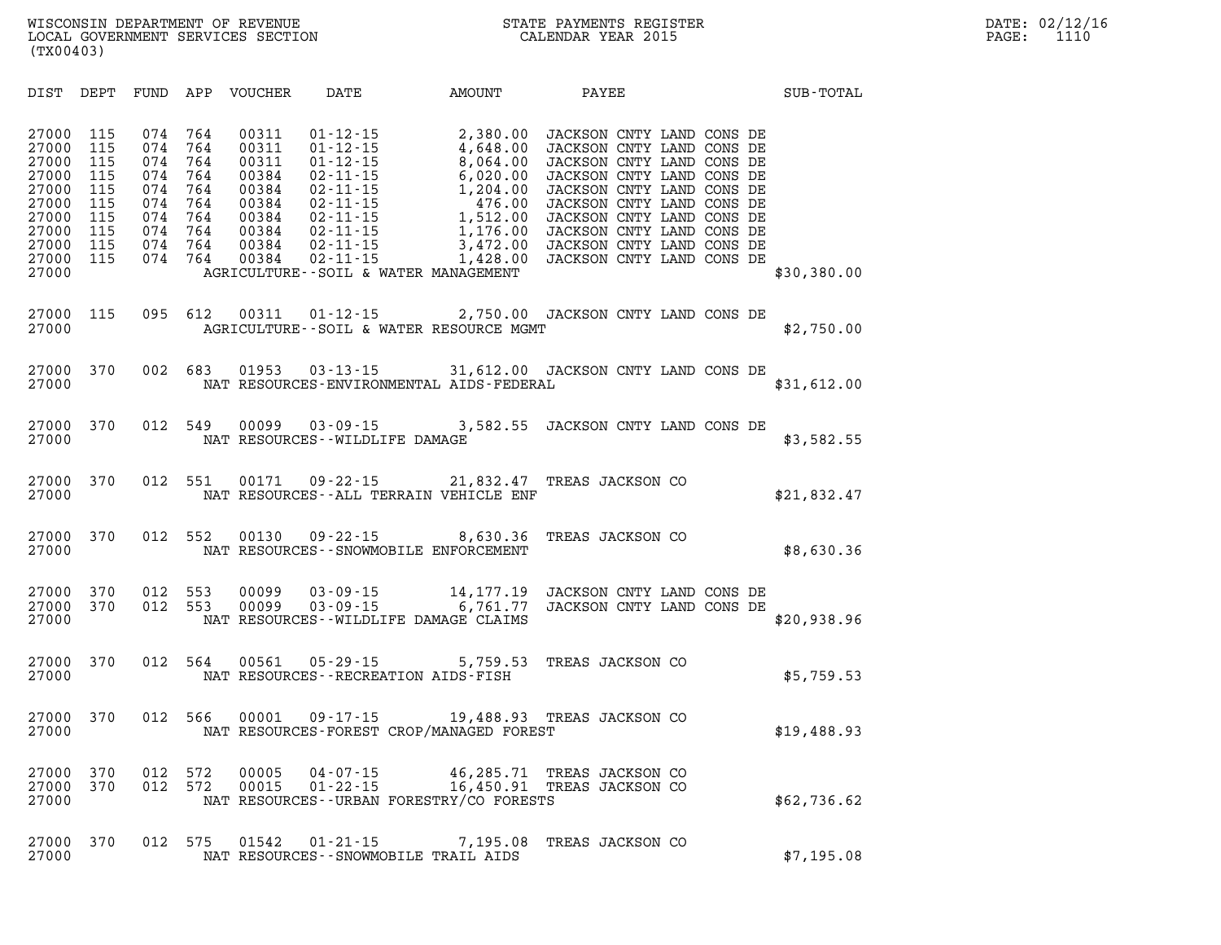| DIST                                                                                            | DEPT                                                               | FUND                                                               | APP                                                                | <b>VOUCHER</b>                                                                         | DATE                                                                                                                                                                             | AMOUNT                                                                                                                                                     | PAYEE                                                                                                                                                                                                                                                                                          | SUB-TOTAL   |
|-------------------------------------------------------------------------------------------------|--------------------------------------------------------------------|--------------------------------------------------------------------|--------------------------------------------------------------------|----------------------------------------------------------------------------------------|----------------------------------------------------------------------------------------------------------------------------------------------------------------------------------|------------------------------------------------------------------------------------------------------------------------------------------------------------|------------------------------------------------------------------------------------------------------------------------------------------------------------------------------------------------------------------------------------------------------------------------------------------------|-------------|
| 27000<br>27000<br>27000<br>27000<br>27000<br>27000<br>27000<br>27000<br>27000<br>27000<br>27000 | 115<br>115<br>115<br>115<br>115<br>115<br>115<br>115<br>115<br>115 | 074<br>074<br>074<br>074<br>074<br>074<br>074<br>074<br>074<br>074 | 764<br>764<br>764<br>764<br>764<br>764<br>764<br>764<br>764<br>764 | 00311<br>00311<br>00311<br>00384<br>00384<br>00384<br>00384<br>00384<br>00384<br>00384 | $01 - 12 - 15$<br>$01 - 12 - 15$<br>$01 - 12 - 15$<br>$02 - 11 - 15$<br>$02 - 11 - 15$<br>$02 - 11 - 15$<br>$02 - 11 - 15$<br>$02 - 11 - 15$<br>$02 - 11 - 15$<br>$02 - 11 - 15$ | 2,380.00<br>4,648.00<br>8,064.00<br>6,020.00<br>1,204.00<br>476.00<br>1,512.00<br>1,176.00<br>3,472.00<br>1,428.00<br>AGRICULTURE--SOIL & WATER MANAGEMENT | JACKSON CNTY LAND CONS DE<br>JACKSON CNTY LAND CONS DE<br>JACKSON CNTY LAND CONS DE<br>JACKSON CNTY LAND CONS DE<br>JACKSON CNTY LAND CONS DE<br>JACKSON CNTY LAND CONS DE<br>JACKSON CNTY LAND CONS DE<br>JACKSON CNTY LAND CONS DE<br>JACKSON CNTY LAND CONS DE<br>JACKSON CNTY LAND CONS DE | \$30,380.00 |
| 27000<br>27000                                                                                  | 115                                                                | 095                                                                | 612                                                                | 00311                                                                                  |                                                                                                                                                                                  | 01-12-15 2,750.00 JACKSON CNTY LAND CONS DE<br>AGRICULTURE--SOIL & WATER RESOURCE MGMT                                                                     |                                                                                                                                                                                                                                                                                                | \$2,750.00  |
| 27000<br>27000                                                                                  | 370                                                                | 002                                                                | 683                                                                | 01953                                                                                  | $03 - 13 - 15$                                                                                                                                                                   | NAT RESOURCES-ENVIRONMENTAL AIDS-FEDERAL                                                                                                                   | 31,612.00 JACKSON CNTY LAND CONS DE                                                                                                                                                                                                                                                            | \$31,612.00 |
| 27000<br>27000                                                                                  | 370                                                                | 012                                                                | 549                                                                | 00099                                                                                  | $03 - 09 - 15$<br>NAT RESOURCES - - WILDLIFE DAMAGE                                                                                                                              |                                                                                                                                                            | 3,582.55 JACKSON CNTY LAND CONS DE                                                                                                                                                                                                                                                             | \$3,582.55  |
| 27000<br>27000                                                                                  | 370                                                                | 012                                                                | 551                                                                | 00171                                                                                  | $09 - 22 - 15$                                                                                                                                                                   | 21,832.47<br>NAT RESOURCES - - ALL TERRAIN VEHICLE ENF                                                                                                     | TREAS JACKSON CO                                                                                                                                                                                                                                                                               | \$21,832.47 |
| 27000<br>27000                                                                                  | 370                                                                | 012                                                                | 552                                                                | 00130                                                                                  | 09 - 22 - 15                                                                                                                                                                     | 8,630.36<br>NAT RESOURCES - - SNOWMOBILE ENFORCEMENT                                                                                                       | TREAS JACKSON CO                                                                                                                                                                                                                                                                               | \$8,630.36  |
| 27000<br>27000<br>27000                                                                         | 370<br>370                                                         | 012<br>012                                                         | 553<br>553                                                         | 00099<br>00099                                                                         |                                                                                                                                                                                  | 03-09-15 14,177.19<br>03-09-15 6,761.77<br>NAT RESOURCES--WILDLIFE DAMAGE CLAIMS                                                                           | JACKSON CNTY LAND CONS DE<br>JACKSON CNTY LAND CONS DE                                                                                                                                                                                                                                         | \$20,938.96 |
| 27000<br>27000                                                                                  | 370                                                                | 012                                                                | 564                                                                | 00561                                                                                  | $05 - 29 - 15$                                                                                                                                                                   | 5,759.53<br>NAT RESOURCES - - RECREATION AIDS - FISH                                                                                                       | TREAS JACKSON CO                                                                                                                                                                                                                                                                               | \$5,759.53  |
| 27000<br>27000                                                                                  | 370                                                                | 012                                                                | 566                                                                | 00001                                                                                  | 09 - 17 - 15                                                                                                                                                                     | NAT RESOURCES-FOREST CROP/MANAGED FOREST                                                                                                                   | 19,488.93 TREAS JACKSON CO                                                                                                                                                                                                                                                                     | \$19,488.93 |
| 27000<br>27000<br>27000                                                                         | 370<br>370                                                         | 012<br>012                                                         | 572<br>572                                                         | 00005<br>00015                                                                         | $04 - 07 - 15$<br>$01 - 22 - 15$                                                                                                                                                 | 46,285.71<br>$40, 40, .1$<br>$16, 450.91$<br>NAT RESOURCES--URBAN FORESTRY/CO FORESTS                                                                      | TREAS JACKSON CO<br>TREAS JACKSON CO                                                                                                                                                                                                                                                           | \$62,736.62 |
| 27000<br>27000                                                                                  | 370                                                                | 012                                                                | 575                                                                | 01542                                                                                  | $01 - 21 - 15$                                                                                                                                                                   | 7,195.08<br>NAT RESOURCES - - SNOWMOBILE TRAIL AIDS                                                                                                        | TREAS JACKSON CO                                                                                                                                                                                                                                                                               | \$7,195.08  |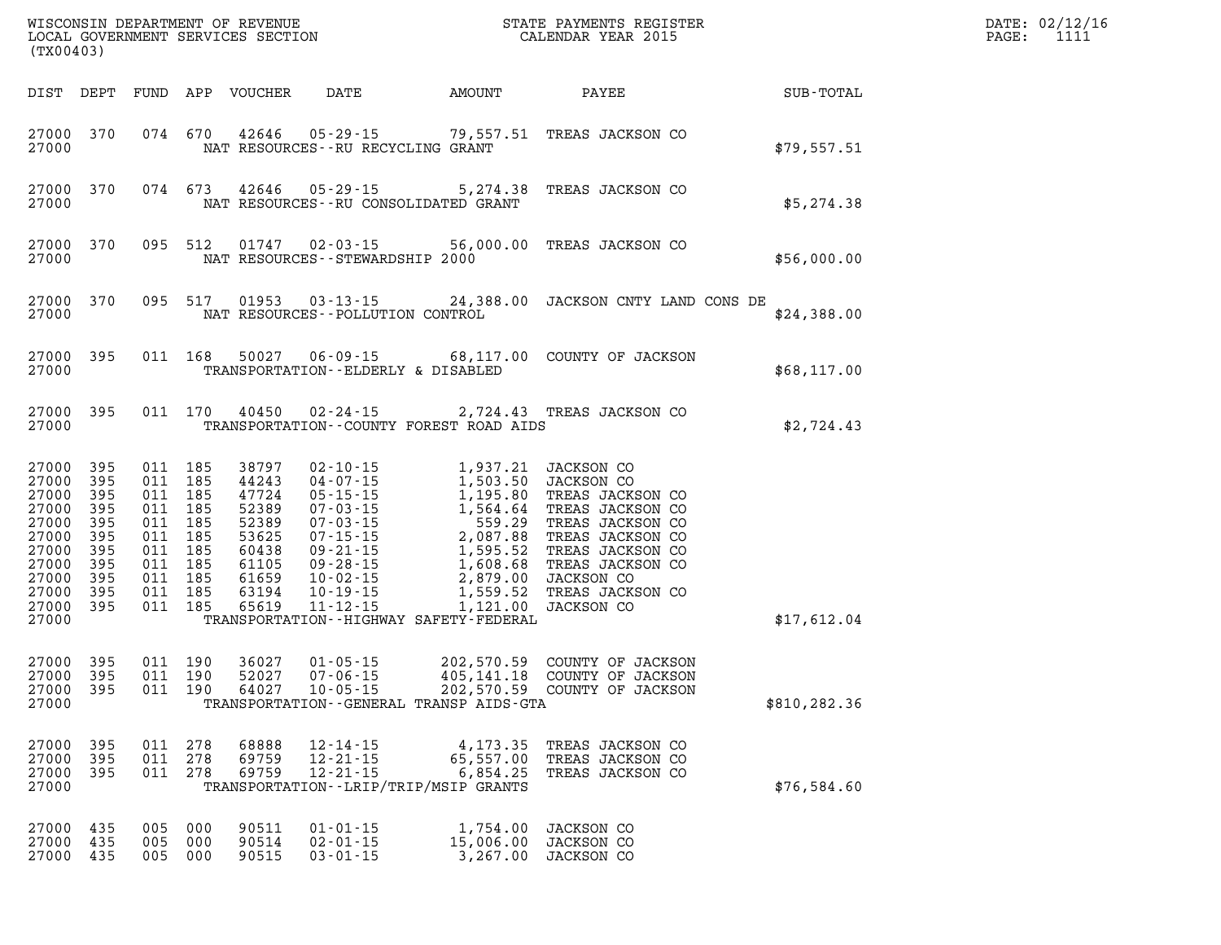| (TX00403)                                                                                           |                                                                    |                                                                       |                                                 |                                                                                                 |                                                               |                                                                                                                                                                                                                                                                                                                      |                                                                                                                                                                                                  | DATE: 02/12/16<br>1111<br>$\mathtt{PAGE}$ : |  |
|-----------------------------------------------------------------------------------------------------|--------------------------------------------------------------------|-----------------------------------------------------------------------|-------------------------------------------------|-------------------------------------------------------------------------------------------------|---------------------------------------------------------------|----------------------------------------------------------------------------------------------------------------------------------------------------------------------------------------------------------------------------------------------------------------------------------------------------------------------|--------------------------------------------------------------------------------------------------------------------------------------------------------------------------------------------------|---------------------------------------------|--|
| DIST DEPT                                                                                           |                                                                    |                                                                       |                                                 | FUND APP VOUCHER                                                                                | DATE                                                          | AMOUNT                                                                                                                                                                                                                                                                                                               | PAYEE                                                                                                                                                                                            | SUB-TOTAL                                   |  |
| 27000 370<br>27000                                                                                  |                                                                    |                                                                       | 074 670                                         | 42646                                                                                           | $05 - 29 - 15$                                                | 79,557.51<br>NAT RESOURCES -- RU RECYCLING GRANT                                                                                                                                                                                                                                                                     | TREAS JACKSON CO                                                                                                                                                                                 | \$79,557.51                                 |  |
| 27000 370<br>27000                                                                                  |                                                                    |                                                                       | 074 673                                         | 42646                                                                                           | 05 - 29 - 15                                                  | 5,274.38<br>NAT RESOURCES -- RU CONSOLIDATED GRANT                                                                                                                                                                                                                                                                   | TREAS JACKSON CO                                                                                                                                                                                 | \$5,274.38                                  |  |
| 27000 370<br>27000                                                                                  |                                                                    |                                                                       | 095 512                                         |                                                                                                 | $01747$ $02 - 03 - 15$<br>NAT RESOURCES - - STEWARDSHIP 2000  | 56,000.00                                                                                                                                                                                                                                                                                                            | TREAS JACKSON CO                                                                                                                                                                                 | \$56,000.00                                 |  |
| 27000 370<br>27000                                                                                  |                                                                    |                                                                       | 095 517                                         |                                                                                                 | $01953$ $03 - 13 - 15$<br>NAT RESOURCES - - POLLUTION CONTROL |                                                                                                                                                                                                                                                                                                                      | 24,388.00 JACKSON CNTY LAND CONS DE                                                                                                                                                              | \$24,388.00                                 |  |
| 27000<br>27000                                                                                      | 395                                                                |                                                                       | 011 168                                         | 50027                                                                                           |                                                               | TRANSPORTATION--ELDERLY & DISABLED                                                                                                                                                                                                                                                                                   | 06-09-15 68,117.00 COUNTY OF JACKSON                                                                                                                                                             | \$68,117.00                                 |  |
| 27000 395<br>27000                                                                                  |                                                                    |                                                                       | 011 170                                         | 40450                                                                                           | $02 - 24 - 15$                                                | TRANSPORTATION--COUNTY FOREST ROAD AIDS                                                                                                                                                                                                                                                                              | 2,724.43 TREAS JACKSON CO                                                                                                                                                                        | \$2,724.43                                  |  |
| 27000<br>27000<br>27000<br>27000<br>27000<br>27000<br>27000<br>27000<br>27000<br>27000<br>27000 395 | 395<br>395<br>395<br>395<br>395<br>395<br>395<br>395<br>395<br>395 | 011 185<br>011 185<br>011 185<br>011 185<br>011<br>011 185<br>011 185 | 011 185<br>185<br>011 185<br>011 185<br>011 185 | 38797<br>44243<br>47724<br>52389<br>52389<br>53625<br>60438<br>61105<br>61659<br>63194<br>65619 | $02 - 10 - 15$<br>$04 - 07 - 15$                              | 1,937.21<br>1,503.50<br>1,195.80<br>1, 503.5<br>1, 195.80<br>07-03-15<br>1, 195.80<br>07-03-15<br>1, 564.64<br>07-15-15<br>2, 087.88<br>09-21-15<br>9-28-15<br>1, 595.52<br>1, 608.68<br>T.<br>1, 599.00<br>JA<br>19-15<br>1, 559.52<br>T.<br>1, 595.52<br>T.<br>1, 595.52<br>T.<br>1, 595.52<br>T.<br>1, 595.52<br> | JACKSON CO<br>JACKSON CO<br>TREAS JACKSON CO<br>TREAS JACKSON CO<br>TREAS JACKSON CO<br>TREAS JACKSON CO<br>TREAS JACKSON CO<br>TREAS JACKSON CO<br>JACKSON CO<br>TREAS JACKSON CO<br>JACKSON CO |                                             |  |
| 27000                                                                                               |                                                                    |                                                                       |                                                 |                                                                                                 |                                                               | TRANSPORTATION - - HIGHWAY SAFETY - FEDERAL                                                                                                                                                                                                                                                                          |                                                                                                                                                                                                  | \$17,612.04                                 |  |
| 27000<br>27000<br>27000 395<br>27000                                                                | 395<br>395                                                         | 011 190<br>011 190                                                    | 011 190                                         | 36027<br>52027<br>64027                                                                         | $01 - 05 - 15$<br>$07 - 06 - 15$<br>$10 - 05 - 15$            | 202,570.59<br>405,141.18<br>202.570.59<br>TRANSPORTATION - - GENERAL TRANSP AIDS - GTA                                                                                                                                                                                                                               | COUNTY OF JACKSON<br>COUNTY OF JACKSON<br>202,570.59 COUNTY OF JACKSON                                                                                                                           | \$810,282.36                                |  |
| 27000<br>27000<br>27000<br>27000                                                                    | 395<br>395<br>395                                                  | 011<br>011<br>011                                                     | 278<br>278<br>278                               | 68888<br>69759<br>69759                                                                         | $12 - 14 - 15$<br>$12 - 21 - 15$<br>$12 - 21 - 15$            | 4,173.35<br>65,557.00<br>6,854.25<br>TRANSPORTATION - - LRIP/TRIP/MSIP GRANTS                                                                                                                                                                                                                                        | TREAS JACKSON CO<br>TREAS JACKSON CO<br>TREAS JACKSON CO                                                                                                                                         | \$76,584.60                                 |  |
| 27000<br>27000<br>27000                                                                             | 435<br>435<br>435                                                  | 005<br>005<br>005                                                     | 000<br>000<br>000                               | 90511<br>90514<br>90515                                                                         | $01 - 01 - 15$<br>$02 - 01 - 15$<br>$03 - 01 - 15$            | 1,754.00<br>15,006.00<br>3,267.00                                                                                                                                                                                                                                                                                    | JACKSON CO<br>JACKSON CO<br>JACKSON CO                                                                                                                                                           |                                             |  |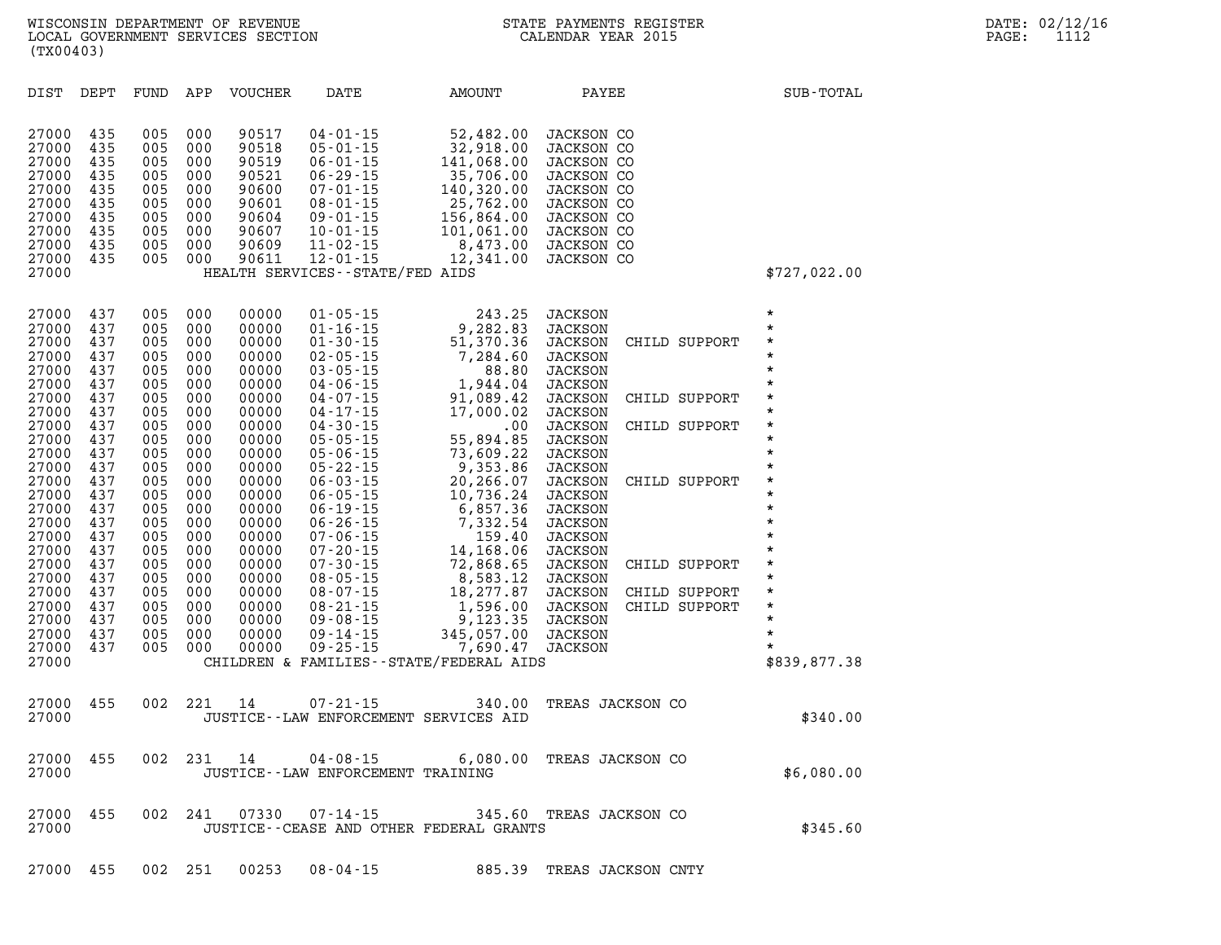| (TX00403)                                                                                                                                                                                                                              |                                                                                                                                                                             |                                                                                                                                                                      |                                                                                                                                                                                 | WISCONSIN DEPARTMENT OF REVENUE<br>LOCAL GOVERNMENT SERVICES SECTION                                                                                                                                                          |                                                                                                                                                                                                                                                                                                                                                                                                                                                                |                                                                                                                                                                                                                                                                                                                                                     | STATE PAYMENTS REGISTER<br>CALENDAR YEAR 2015                                                                                                                                                                                                                                                                                                                                                                                                                                                                                 |                                                                                                                                                                                                                                                    | DATE: 02/12/16<br>PAGE:<br>1112 |
|----------------------------------------------------------------------------------------------------------------------------------------------------------------------------------------------------------------------------------------|-----------------------------------------------------------------------------------------------------------------------------------------------------------------------------|----------------------------------------------------------------------------------------------------------------------------------------------------------------------|---------------------------------------------------------------------------------------------------------------------------------------------------------------------------------|-------------------------------------------------------------------------------------------------------------------------------------------------------------------------------------------------------------------------------|----------------------------------------------------------------------------------------------------------------------------------------------------------------------------------------------------------------------------------------------------------------------------------------------------------------------------------------------------------------------------------------------------------------------------------------------------------------|-----------------------------------------------------------------------------------------------------------------------------------------------------------------------------------------------------------------------------------------------------------------------------------------------------------------------------------------------------|-------------------------------------------------------------------------------------------------------------------------------------------------------------------------------------------------------------------------------------------------------------------------------------------------------------------------------------------------------------------------------------------------------------------------------------------------------------------------------------------------------------------------------|----------------------------------------------------------------------------------------------------------------------------------------------------------------------------------------------------------------------------------------------------|---------------------------------|
| DIST DEPT                                                                                                                                                                                                                              |                                                                                                                                                                             |                                                                                                                                                                      |                                                                                                                                                                                 | FUND APP VOUCHER                                                                                                                                                                                                              | DATE                                                                                                                                                                                                                                                                                                                                                                                                                                                           | AMOUNT                                                                                                                                                                                                                                                                                                                                              | PAYEE                                                                                                                                                                                                                                                                                                                                                                                                                                                                                                                         | SUB-TOTAL                                                                                                                                                                                                                                          |                                 |
| 27000<br>27000<br>27000<br>27000<br>27000<br>27000<br>27000<br>27000<br>27000<br>27000<br>27000                                                                                                                                        | 435<br>435<br>435<br>435<br>435<br>435<br>435<br>435<br>435<br>435                                                                                                          | 005<br>005<br>005<br>005<br>005<br>005<br>005<br>005<br>005                                                                                                          | 000<br>000<br>000<br>000<br>000<br>005 000<br>000<br>000<br>000<br>000                                                                                                          | 90517<br>90518<br>90519<br>90521<br>90600<br>90601<br>90604<br>90607<br>90609<br>90611                                                                                                                                        | $04 - 01 - 15$<br>$05 - 01 - 15$<br>$06 - 01 - 15$<br>$06 - 29 - 15$<br>$07 - 01 - 15$<br>$08 - 01 - 15$<br>$09 - 01 - 15$<br>$10 - 01 - 15$<br>$11 - 02 - 15$<br>$12 - 01 - 15$<br>HEALTH SERVICES - - STATE/FED AIDS                                                                                                                                                                                                                                         | 52,482.00<br>32,918.00<br>141,068.00<br>$141,068.00 \ 35,706.00 \ 140,320.00 \ 25,762.00 \ 156,864.00 \ 101,061.00 \ 8,473.00$<br>12,341.00                                                                                                                                                                                                         | <b>JACKSON CO</b><br><b>JACKSON CO</b><br>JACKSON CO<br>JACKSON CO<br>JACKSON CO<br>JACKSON CO<br>JACKSON CO<br>JACKSON CO<br><b>JACKSON CO</b><br>JACKSON CO                                                                                                                                                                                                                                                                                                                                                                 | \$727,022.00                                                                                                                                                                                                                                       |                                 |
| 27000<br>27000<br>27000<br>27000<br>27000<br>27000<br>27000<br>27000<br>27000<br>27000<br>27000<br>27000<br>27000<br>27000<br>27000<br>27000<br>27000<br>27000<br>27000<br>27000<br>27000<br>27000<br>27000<br>27000<br>27000<br>27000 | 437<br>437<br>437<br>437<br>437<br>437<br>437<br>437<br>437<br>437<br>437<br>437<br>437<br>437<br>437<br>437<br>437<br>437<br>437<br>437<br>437<br>437<br>437<br>437<br>437 | 005<br>005<br>005<br>005<br>005<br>005<br>005<br>005<br>005<br>005<br>005<br>005<br>005<br>005<br>005<br>005<br>005<br>005<br>005<br>005<br>005<br>005<br>005<br>005 | 000<br>000<br>000<br>005 000<br>000<br>000<br>000<br>000<br>000<br>000<br>000<br>000<br>000<br>000<br>000<br>000<br>000<br>000<br>000<br>000<br>000<br>000<br>000<br>000<br>000 | 00000<br>00000<br>00000<br>00000<br>00000<br>00000<br>00000<br>00000<br>00000<br>00000<br>00000<br>00000<br>00000<br>00000<br>00000<br>00000<br>00000<br>00000<br>00000<br>00000<br>00000<br>00000<br>00000<br>00000<br>00000 | $01 - 05 - 15$<br>$01 - 16 - 15$<br>$01 - 30 - 15$<br>$02 - 05 - 15$<br>$03 - 05 - 15$<br>$04 - 06 - 15$<br>$04 - 07 - 15$<br>$04 - 17 - 15$<br>$04 - 30 - 15$<br>$05 - 05 - 15$<br>$05 - 06 - 15$<br>$05 - 22 - 15$<br>$06 - 03 - 15$<br>$06 - 05 - 15$<br>$06 - 19 - 15$<br>$06 - 26 - 15$<br>$07 - 06 - 15$<br>$07 - 20 - 15$<br>$07 - 30 - 15$<br>$08 - 05 - 15$<br>$08 - 07 - 15$<br>$08 - 21 - 15$<br>$09 - 08 - 15$<br>$09 - 14 - 15$<br>$09 - 25 - 15$ | 243.25<br>9,282.83<br>51,370.36<br>7,284.60<br>88.80<br>1,944.04<br>91,089.42<br>17,000.02<br>.00<br>55,894.85<br>73,609.22<br>9,353.86<br>20,266.07<br>10,736.24<br>6,857.36<br>7,332.54<br>159.40<br>14,168.06<br>72,868.65<br>8,583.12<br>18,277.87<br>1,596.00<br>9,123.35<br>345,057.00<br>7,690.47<br>CHILDREN & FAMILIES--STATE/FEDERAL AIDS | <b>JACKSON</b><br><b>JACKSON</b><br>JACKSON<br>CHILD SUPPORT<br><b>JACKSON</b><br>JACKSON<br><b>JACKSON</b><br>JACKSON<br>CHILD SUPPORT<br><b>JACKSON</b><br><b>JACKSON</b><br>CHILD SUPPORT<br><b>JACKSON</b><br><b>JACKSON</b><br><b>JACKSON</b><br><b>JACKSON</b><br>CHILD SUPPORT<br><b>JACKSON</b><br><b>JACKSON</b><br>JACKSON<br><b>JACKSON</b><br><b>JACKSON</b><br>JACKSON<br>CHILD SUPPORT<br><b>JACKSON</b><br><b>JACKSON</b><br>CHILD SUPPORT<br><b>JACKSON</b><br>CHILD SUPPORT<br>JACKSON<br>JACKSON<br>JACKSON | $\star$<br>$\star$<br>$\star$<br>$\star$<br>$\star$<br>$\star$<br>*<br>$\star$<br>$\star$<br>$\star$<br>$\star$<br>$\star$<br>*<br>$\star$<br>$\star$<br>$\star$<br>$\star$<br>$\star$<br>$\star$<br>$\star$<br>$\star$<br>$\star$<br>\$839,877.38 |                                 |
| 27000<br>27000                                                                                                                                                                                                                         | 455                                                                                                                                                                         |                                                                                                                                                                      | 002 221                                                                                                                                                                         | 14                                                                                                                                                                                                                            | $07 - 21 - 15$                                                                                                                                                                                                                                                                                                                                                                                                                                                 | 340.00<br>JUSTICE -- LAW ENFORCEMENT SERVICES AID                                                                                                                                                                                                                                                                                                   | TREAS JACKSON CO                                                                                                                                                                                                                                                                                                                                                                                                                                                                                                              | \$340.00                                                                                                                                                                                                                                           |                                 |
| 27000<br>27000                                                                                                                                                                                                                         | 455                                                                                                                                                                         | 002                                                                                                                                                                  | 231                                                                                                                                                                             | 14                                                                                                                                                                                                                            | $04 - 08 - 15$<br>JUSTICE - - LAW ENFORCEMENT TRAINING                                                                                                                                                                                                                                                                                                                                                                                                         | 6,080.00                                                                                                                                                                                                                                                                                                                                            | TREAS JACKSON CO                                                                                                                                                                                                                                                                                                                                                                                                                                                                                                              | \$6,080.00                                                                                                                                                                                                                                         |                                 |

**27000 455 002 241 07330 07-14-15 345.60 TREAS JACKSON CO 27000 JUSTICE--CEASE AND OTHER FEDERAL GRANTS \$345.60** 

**27000 455 002 251 00253 08-04-15 885.39 TREAS JACKSON CNTY**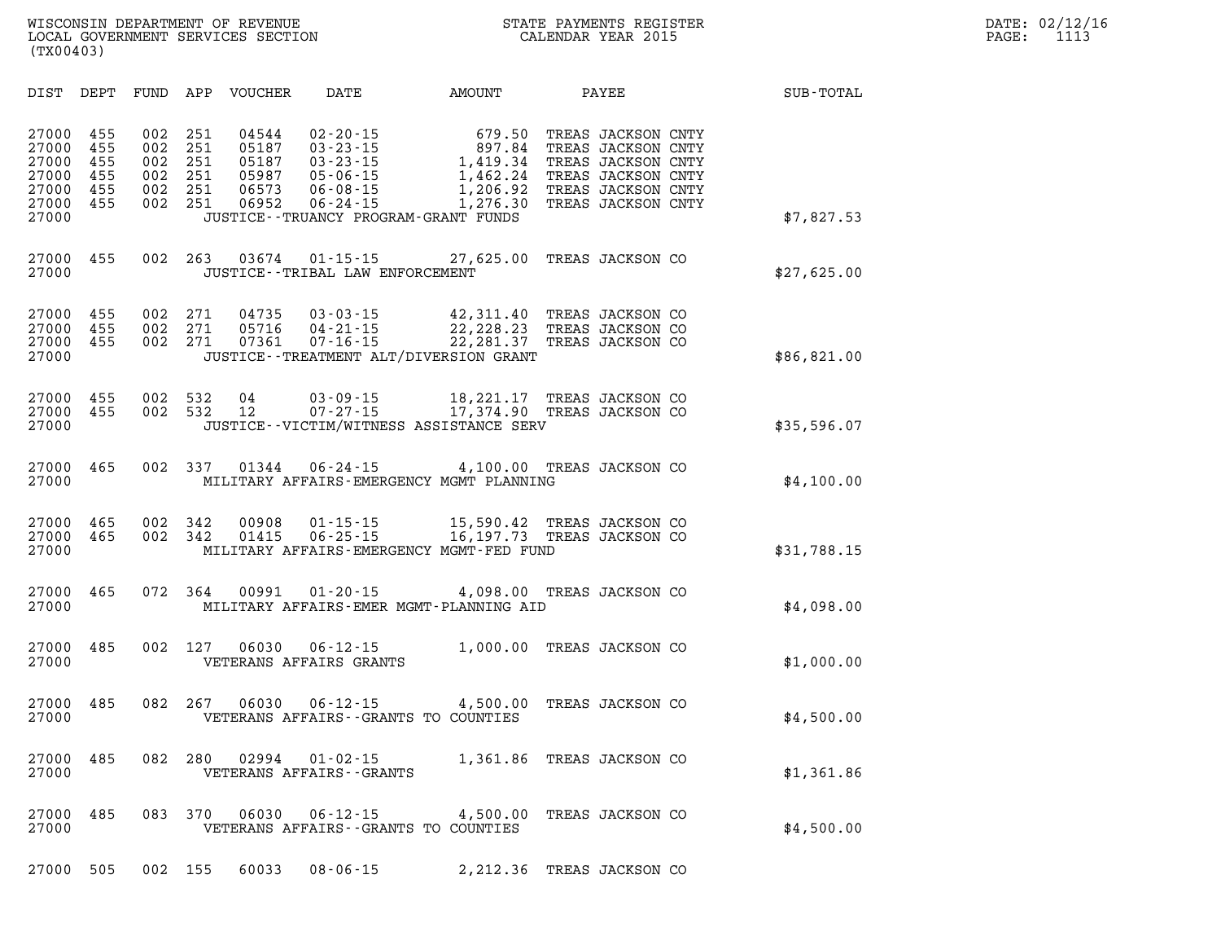**WISCONSIN DEPARTMENT OF REVENUE STATE PAYMENTS REGISTER DATE: 02/12/16 LOCAL GOVERNMENT SERVICES SECTION CALENDAR YEAR 2015 PAGE: 1113 (TX00403)** 

| DIST                                                        | DEPT                                   | FUND                                   | APP                                    | VOUCHER                                            | DATE                                                                                                     | AMOUNT                                                                                                        | PAYEE                                                                                                                            | SUB-TOTAL   |
|-------------------------------------------------------------|----------------------------------------|----------------------------------------|----------------------------------------|----------------------------------------------------|----------------------------------------------------------------------------------------------------------|---------------------------------------------------------------------------------------------------------------|----------------------------------------------------------------------------------------------------------------------------------|-------------|
| 27000<br>27000<br>27000<br>27000<br>27000<br>27000<br>27000 | 455<br>455<br>455<br>455<br>455<br>455 | 002<br>002<br>002<br>002<br>002<br>002 | 251<br>251<br>251<br>251<br>251<br>251 | 04544<br>05187<br>05187<br>05987<br>06573<br>06952 | $02 - 20 - 15$<br>$03 - 23 - 15$<br>$03 - 23 - 15$<br>$05 - 06 - 15$<br>$06 - 08 - 15$<br>$06 - 24 - 15$ | 679.50<br>897.84<br>1,419.34<br>1,462.24<br>1,206.92<br>1,276.30<br>JUSTICE - - TRUANCY PROGRAM - GRANT FUNDS | TREAS JACKSON CNTY<br>TREAS JACKSON CNTY<br>TREAS JACKSON CNTY<br>TREAS JACKSON CNTY<br>TREAS JACKSON CNTY<br>TREAS JACKSON CNTY | \$7,827.53  |
| 27000<br>27000                                              | 455                                    | 002                                    | 263                                    | 03674                                              | $01 - 15 - 15$<br>JUSTICE - - TRIBAL LAW ENFORCEMENT                                                     | 27,625.00                                                                                                     | TREAS JACKSON CO                                                                                                                 | \$27,625.00 |
| 27000<br>27000<br>27000<br>27000                            | 455<br>455<br>455                      | 002<br>002<br>002                      | 271<br>271<br>271                      | 04735<br>05716<br>07361                            | $03 - 03 - 15$<br>$04 - 21 - 15$<br>$07 - 16 - 15$                                                       | 42,311.40<br>22, 228. 23<br>22, 281.37<br>JUSTICE - - TREATMENT ALT/DIVERSION GRANT                           | TREAS JACKSON CO<br>TREAS JACKSON CO<br>TREAS JACKSON CO                                                                         | \$86,821.00 |
| 27000<br>27000<br>27000                                     | 455<br>455                             | 002<br>002                             | 532<br>532                             | 04<br>12                                           | $03 - 09 - 15$<br>$07 - 27 - 15$                                                                         | 18,221.17<br>17,374.90<br>JUSTICE--VICTIM/WITNESS ASSISTANCE SERV                                             | TREAS JACKSON CO<br>TREAS JACKSON CO                                                                                             | \$35,596.07 |
| 27000<br>27000                                              | 465                                    | 002                                    | 337                                    | 01344                                              | $06 - 24 - 15$                                                                                           | 4,100.00<br>MILITARY AFFAIRS-EMERGENCY MGMT PLANNING                                                          | TREAS JACKSON CO                                                                                                                 | \$4,100.00  |
| 27000<br>27000<br>27000                                     | 465<br>465                             | 002<br>002                             | 342<br>342                             | 00908<br>01415                                     | $01 - 15 - 15$<br>$06 - 25 - 15$                                                                         | 15,590.42<br>16, 197.73<br>MILITARY AFFAIRS-EMERGENCY MGMT-FED FUND                                           | TREAS JACKSON CO<br>TREAS JACKSON CO                                                                                             | \$31,788.15 |
| 27000<br>27000                                              | 465                                    | 072                                    | 364                                    | 00991                                              | $01 - 20 - 15$                                                                                           | 4,098.00<br>MILITARY AFFAIRS-EMER MGMT-PLANNING AID                                                           | TREAS JACKSON CO                                                                                                                 | \$4,098.00  |
| 27000<br>27000                                              | 485                                    | 002                                    | 127                                    | 06030                                              | $06 - 12 - 15$<br>VETERANS AFFAIRS GRANTS                                                                | 1,000.00                                                                                                      | TREAS JACKSON CO                                                                                                                 | \$1,000.00  |
| 27000<br>27000                                              | 485                                    | 082                                    | 267                                    | 06030                                              | $06 - 12 - 15$                                                                                           | 4,500.00<br>VETERANS AFFAIRS - - GRANTS TO COUNTIES                                                           | TREAS JACKSON CO                                                                                                                 | \$4,500.00  |
| 27000<br>27000                                              | 485                                    | 082                                    | 280                                    | 02994                                              | $01 - 02 - 15$<br>VETERANS AFFAIRS - - GRANTS                                                            | 1,361.86                                                                                                      | TREAS JACKSON CO                                                                                                                 | \$1,361.86  |
| 27000<br>27000                                              | 485                                    | 083                                    | 370                                    | 06030                                              | $06 - 12 - 15$                                                                                           | 4,500.00<br>VETERANS AFFAIRS - - GRANTS TO COUNTIES                                                           | TREAS JACKSON CO                                                                                                                 | \$4,500.00  |
| 27000                                                       | 505                                    | 002                                    | 155                                    | 60033                                              | $08 - 06 - 15$                                                                                           | 2,212.36                                                                                                      | TREAS JACKSON CO                                                                                                                 |             |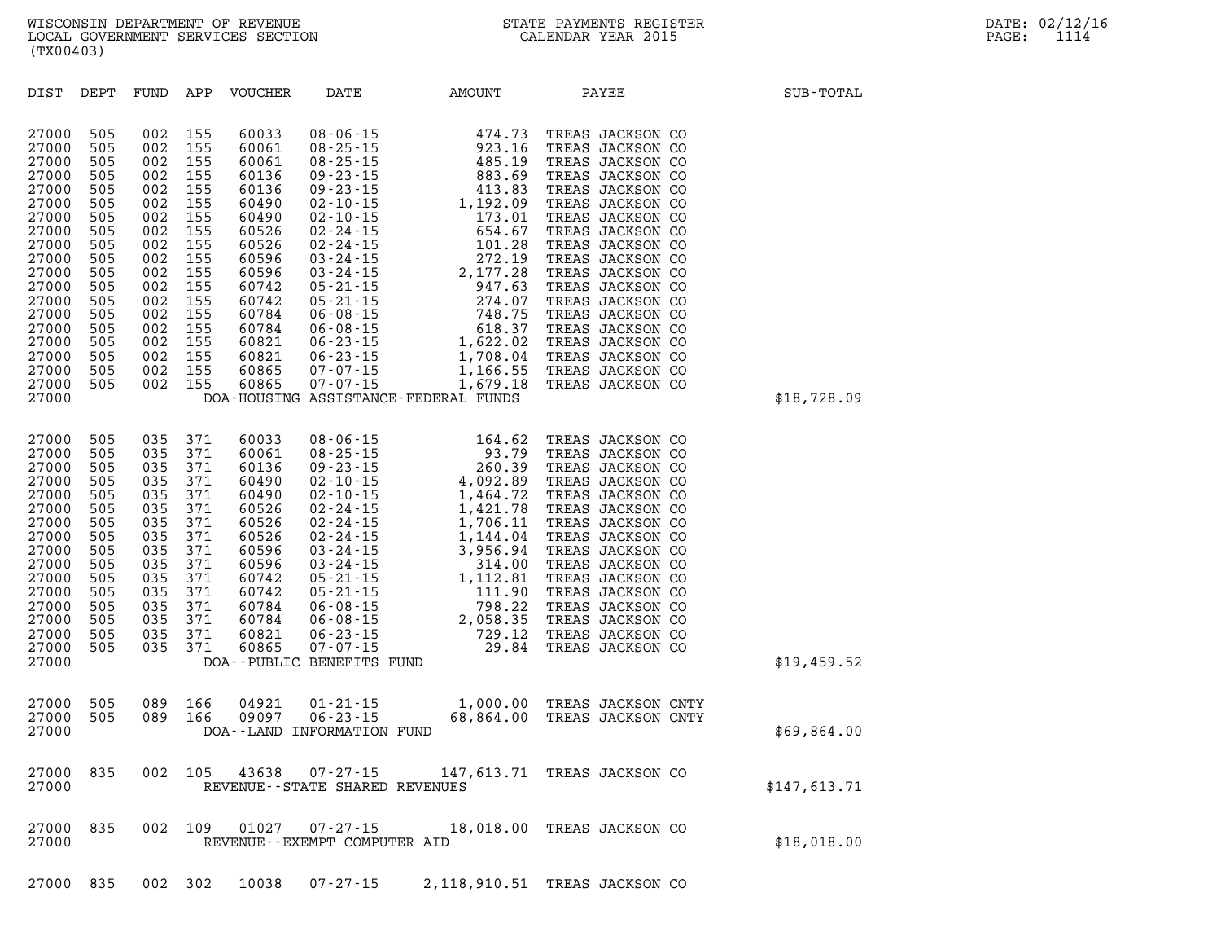**DIST DEPT FUND APP VOUCHER DATE AMOUNT PAYEE SUB-TOTAL 27000 505 002 155 60033 08-06-15 474.73 TREAS JACKSON CO 27000 505 002 155 60061 08-25-15 923.16 TREAS JACKSON CO 27000 505 002 155 60061 08-25-15 485.19 TREAS JACKSON CO 27000 505 002 155 60136 09-23-15 883.69 TREAS JACKSON CO 27000 505 002 155 60136 09-23-15 413.83 TREAS JACKSON CO 27000 505 002 155 60490 02-10-15 1,192.09 TREAS JACKSON CO 27000 505 002 155 60490 02-10-15 173.01 TREAS JACKSON CO 27000 505 002 155 60526 02-24-15 654.67 TREAS JACKSON CO 27000 505 002 155 60526 02-24-15 101.28 TREAS JACKSON CO 27000 505 002 155 60596 03-24-15 272.19 TREAS JACKSON CO 27000 505 002 155 60596 03-24-15 2,177.28 TREAS JACKSON CO 27000 505 002 155 60742 05-21-15 947.63 TREAS JACKSON CO 27000 505 002 155 60742 05-21-15 274.07 TREAS JACKSON CO 27000 505 002 155 60784 06-08-15 748.75 TREAS JACKSON CO 27000 505 002 155 60784 06-08-15 618.37 TREAS JACKSON CO 27000 505 002 155 60821 06-23-15 1,622.02 TREAS JACKSON CO 27000 505 002 155 60821 06-23-15 1,708.04 TREAS JACKSON CO 27000 505 002 155 60865 07-07-15 1,166.55 TREAS JACKSON CO 27000 505 002 155 60865 07-07-15 1,679.18 TREAS JACKSON CO 27000 DOA-HOUSING ASSISTANCE-FEDERAL FUNDS \$18,728.09 27000 505 035 371 60033 08-06-15 164.62 TREAS JACKSON CO 27000 505 035 371 60061 08-25-15 93.79 TREAS JACKSON CO 27000 505 035 371 60136 09-23-15 260.39 TREAS JACKSON CO 27000 505 035 371 60490 02-10-15 4,092.89 TREAS JACKSON CO 27000 505 035 371 60490 02-10-15 1,464.72 TREAS JACKSON CO 27000 505 035 371 60526 02-24-15 1,421.78 TREAS JACKSON CO 27000 505 035 371 60526 02-24-15 1,706.11 TREAS JACKSON CO 27000 505 035 371 60526 02-24-15 1,144.04 TREAS JACKSON CO 27000 505 035 371 60596 03-24-15 3,956.94 TREAS JACKSON CO 27000 505 035 371 60596 03-24-15 314.00 TREAS JACKSON CO 27000 505 035 371 60742 05-21-15 1,112.81 TREAS JACKSON CO 27000 505 035 371 60742 05-21-15 111.90 TREAS JACKSON CO 27000 505 035 371 60784 06-08-15 798.22 TREAS JACKSON CO 27000 505 035 371 60784 06-08-15 2,058.35 TREAS JACKSON CO 27000 505 035 371 60821 06-23-15 729.12 TREAS JACKSON CO 27000 505 035 371 60865 07-07-15 29.84 TREAS JACKSON CO 27000 DOA--PUBLIC BENEFITS FUND \$19,459.52 27000 505 089 166 04921 01-21-15 1,000.00 TREAS JACKSON CNTY 27000 505 089 166 09097 06-23-15 68,864.00 TREAS JACKSON CNTY 27000 DOA--LAND INFORMATION FUND \$69,864.00 27000 835 002 105 43638 07-27-15 147,613.71 TREAS JACKSON CO 27000 REVENUE--STATE SHARED REVENUES \$147,613.71** 

**27000 835 002 109 01027 07-27-15 18,018.00 TREAS JACKSON CO 27000 REVENUE--EXEMPT COMPUTER AID \$18,018.00** 

**27000 835 002 302 10038 07-27-15 2,118,910.51 TREAS JACKSON CO**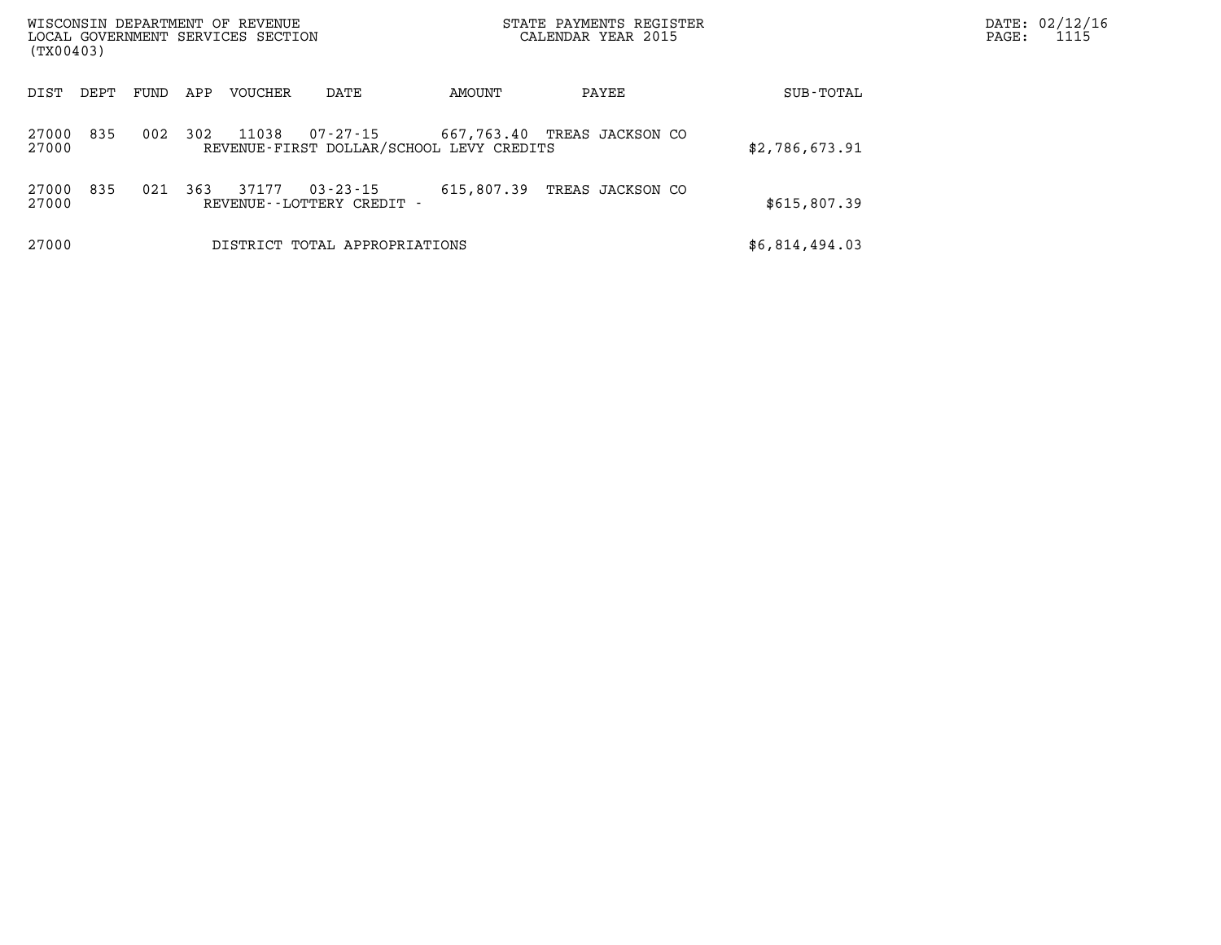| (TX00403)      |      |      |     | WISCONSIN DEPARTMENT OF REVENUE<br>LOCAL GOVERNMENT SERVICES SECTION |                                                      |            | STATE PAYMENTS REGISTER<br>CALENDAR YEAR 2015 |                | PAGE: | DATE: 02/12/16<br>1115 |
|----------------|------|------|-----|----------------------------------------------------------------------|------------------------------------------------------|------------|-----------------------------------------------|----------------|-------|------------------------|
| DIST           | DEPT | FUND | APP | VOUCHER                                                              | DATE                                                 | AMOUNT     | PAYEE                                         | SUB-TOTAL      |       |                        |
| 27000<br>27000 | 835  | 002  | 302 | 11038                                                                | 07-27-15<br>REVENUE-FIRST DOLLAR/SCHOOL LEVY CREDITS | 667,763.40 | TREAS JACKSON CO                              | \$2,786,673.91 |       |                        |
| 27000<br>27000 | 835  | 021  | 363 | 37177                                                                | $03 - 23 - 15$<br>REVENUE - - LOTTERY CREDIT -       | 615,807.39 | TREAS JACKSON CO                              | \$615,807.39   |       |                        |
| 27000          |      |      |     |                                                                      | DISTRICT TOTAL APPROPRIATIONS                        |            |                                               | \$6,814,494.03 |       |                        |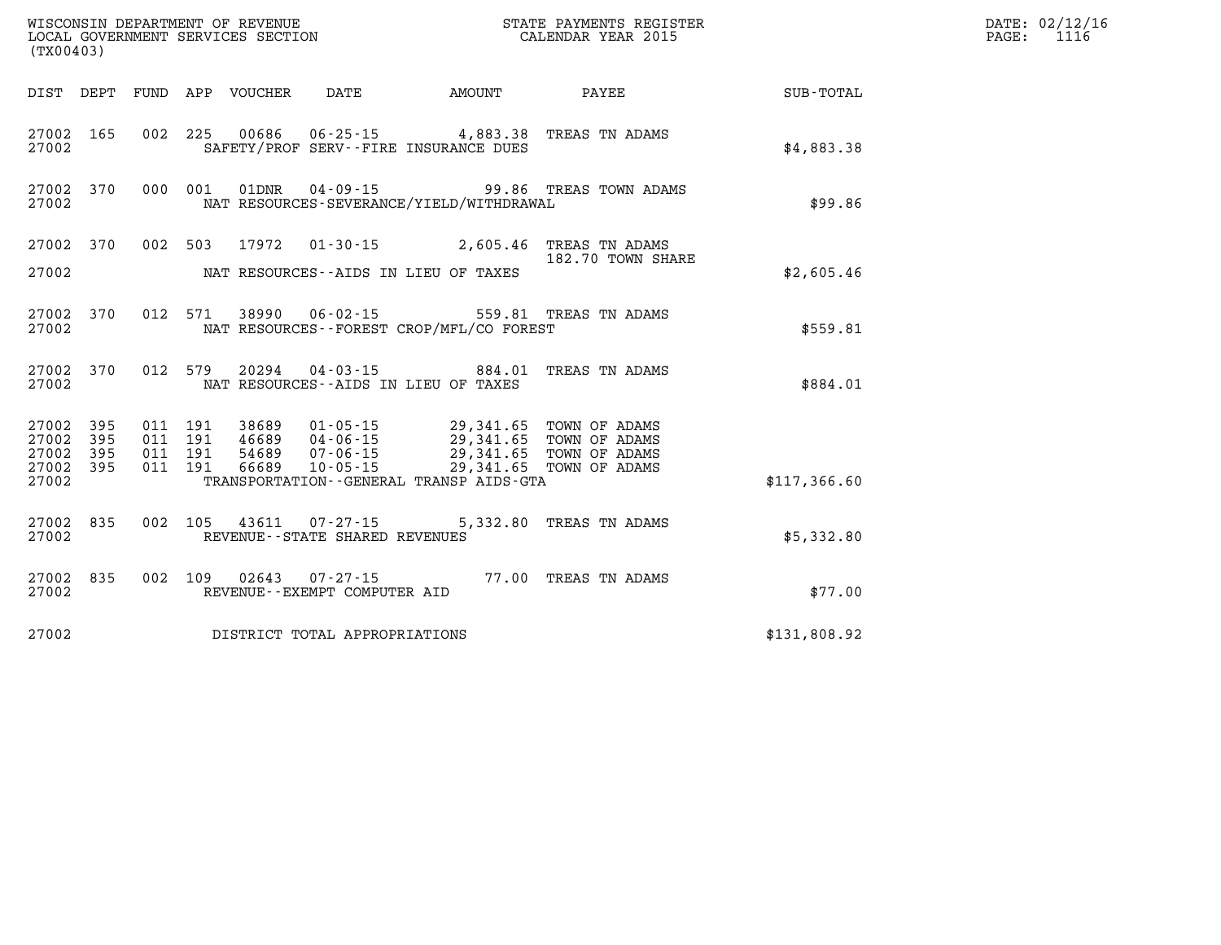| (TX00403) |                        |         |  |                                |                                                                                                                                                    |                                                         |              | DATE: 02/12/16<br>PAGE: 1116 |
|-----------|------------------------|---------|--|--------------------------------|----------------------------------------------------------------------------------------------------------------------------------------------------|---------------------------------------------------------|--------------|------------------------------|
|           |                        |         |  |                                |                                                                                                                                                    | DIST DEPT FUND APP VOUCHER DATE AMOUNT PAYEE SUB-TOTAL  |              |                              |
| 27002     | 27002 165              |         |  |                                | 002 225 00686 06-25-15 4,883.38 TREAS TN ADAMS<br>SAFETY/PROF SERV--FIRE INSURANCE DUES                                                            |                                                         | \$4,883.38   |                              |
| 27002     |                        |         |  |                                | NAT RESOURCES-SEVERANCE/YIELD/WITHDRAWAL                                                                                                           | 27002 370 000 001 01DNR 04-09-15 99.86 TREAS TOWN ADAMS | \$99.86      |                              |
|           |                        |         |  |                                | 27002 370 002 503 17972 01-30-15 2,605.46 TREAS TN ADAMS                                                                                           | 182.70 TOWN SHARE                                       |              |                              |
|           |                        |         |  |                                | 27002 NAT RESOURCES--AIDS IN LIEU OF TAXES                                                                                                         |                                                         | \$2,605.46   |                              |
| 27002     | 27002 370              |         |  |                                | 012 571 38990 06-02-15 559.81 TREAS TN ADAMS<br>NAT RESOURCES - - FOREST CROP/MFL/CO FOREST                                                        |                                                         | \$559.81     |                              |
| 27002     |                        |         |  |                                | 27002 370 012 579 20294 04-03-15 884.01 TREAS TN ADAMS<br>NAT RESOURCES--AIDS IN LIEU OF TAXES                                                     |                                                         | \$884.01     |                              |
| 27002 395 | 27002 395              | 011 191 |  |                                | 38689  01-05-15  29,341.65  TOWN OF ADAMS                                                                                                          |                                                         |              |                              |
|           | 27002 395<br>27002 395 |         |  |                                | 011 191 46689 04-06-15 29,341.65 TOWN OF ADAMS<br>011 191 54689 07-06-15 29,341.65 TOWN OF ADAMS<br>011 191 66689 10-05-15 29,341.65 TOWN OF ADAMS |                                                         |              |                              |
| 27002     |                        |         |  |                                | TRANSPORTATION--GENERAL TRANSP AIDS-GTA                                                                                                            |                                                         | \$117,366.60 |                              |
| 27002     | 27002 835              |         |  | REVENUE--STATE SHARED REVENUES | 002 105 43611 07-27-15 5,332.80 TREAS TN ADAMS                                                                                                     |                                                         | \$5,332.80   |                              |
| 27002     |                        |         |  | REVENUE--EXEMPT COMPUTER AID   | 27002 835 002 109 02643 07-27-15 77.00 TREAS TN ADAMS                                                                                              |                                                         | \$77.00      |                              |
| 27002     |                        |         |  | DISTRICT TOTAL APPROPRIATIONS  |                                                                                                                                                    |                                                         | \$131,808.92 |                              |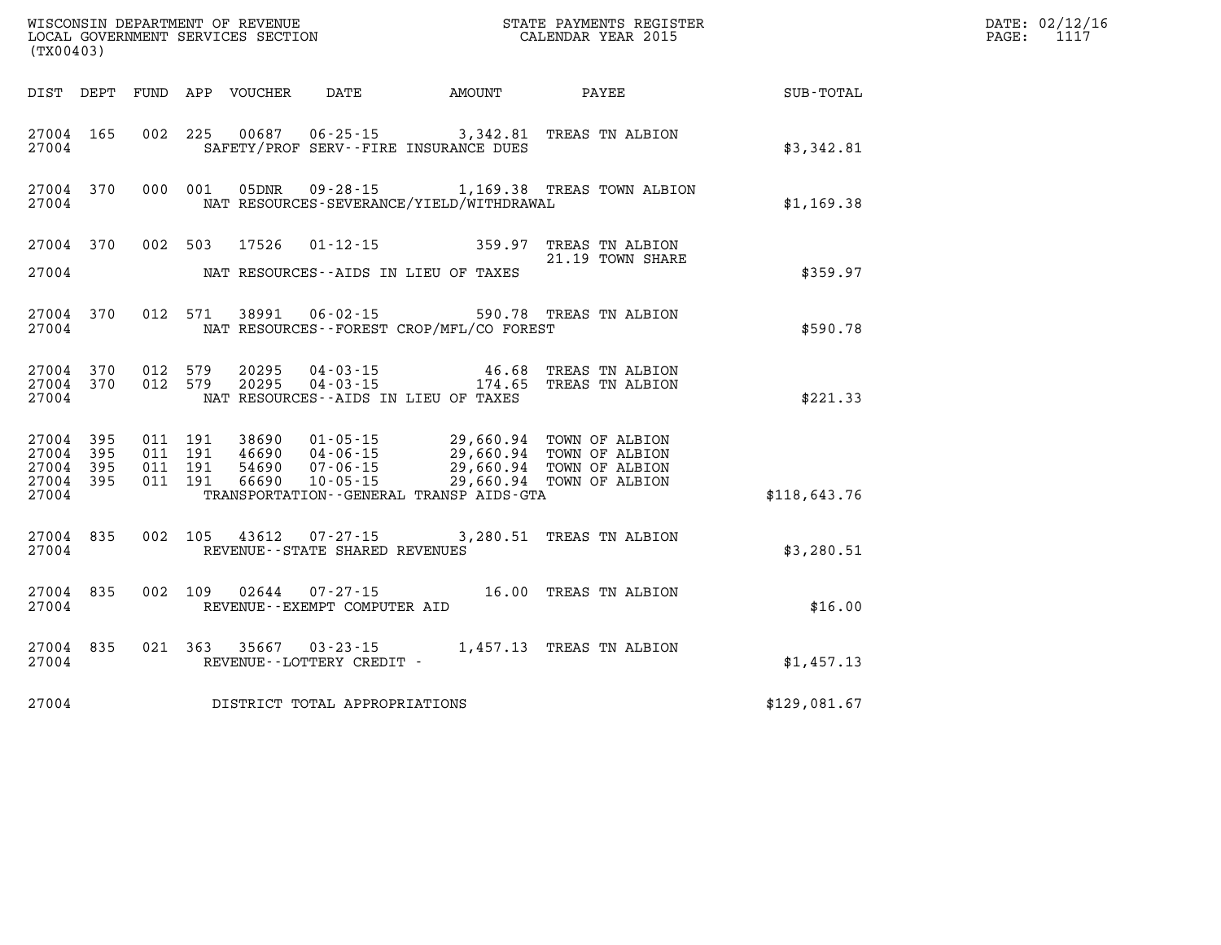| (TX00403)                                                 |           |                                          | WISCONSIN DEPARTMENT OF REVENUE<br>LOCAL GOVERNMENT SERVICES SECTION |                                                     |                                              | STATE PAYMENTS REGISTER<br>CALENDAR YEAR 2015                                                                                                                            |              | DATE: 02/12/16<br>PAGE:<br>1117 |
|-----------------------------------------------------------|-----------|------------------------------------------|----------------------------------------------------------------------|-----------------------------------------------------|----------------------------------------------|--------------------------------------------------------------------------------------------------------------------------------------------------------------------------|--------------|---------------------------------|
|                                                           |           |                                          | DIST DEPT FUND APP VOUCHER                                           | DATE                                                | AMOUNT                                       | PAYEE                                                                                                                                                                    | SUB-TOTAL    |                                 |
| 27004 165<br>27004                                        |           |                                          |                                                                      |                                                     | SAFETY/PROF SERV--FIRE INSURANCE DUES        | 002 225 00687 06-25-15 3,342.81 TREAS TN ALBION                                                                                                                          | \$3,342.81   |                                 |
| 27004 370<br>27004                                        |           | 000 001                                  | 05DNR                                                                |                                                     | NAT RESOURCES-SEVERANCE/YIELD/WITHDRAWAL     | 09-28-15 1,169.38 TREAS TOWN ALBION                                                                                                                                      | \$1,169.38   |                                 |
| 27004 370                                                 |           |                                          | 002 503 17526                                                        |                                                     |                                              | 01-12-15 359.97 TREAS TN ALBION<br>21.19 TOWN SHARE                                                                                                                      |              |                                 |
| 27004                                                     |           |                                          |                                                                      |                                                     | NAT RESOURCES--AIDS IN LIEU OF TAXES         |                                                                                                                                                                          | \$359.97     |                                 |
| 27004                                                     | 27004 370 |                                          | 012 571 38991                                                        |                                                     | NAT RESOURCES--FOREST CROP/MFL/CO FOREST     | 06-02-15 590.78 TREAS TN ALBION                                                                                                                                          | \$590.78     |                                 |
| 27004 370<br>27004                                        | 27004 370 | 012 579<br>012 579                       | 20295<br>20295                                                       |                                                     | NAT RESOURCES--AIDS IN LIEU OF TAXES         | 04-03-15 46.68 TREAS TN ALBION<br>04-03-15 174.65 TREAS TN ALBION                                                                                                        | \$221.33     |                                 |
| 27004 395<br>27004 395<br>27004 395<br>27004 395<br>27004 |           | 011 191<br>011 191<br>011 191<br>011 191 |                                                                      |                                                     | TRANSPORTATION - - GENERAL TRANSP AIDS - GTA | 38690 01-05-15 29,660.94 TOWN OF ALBION<br>46690 04-06-15 29,660.94 TOWN OF ALBION<br>54690 07-06-15 29,660.94 TOWN OF ALBION<br>66690 10-05-15 29,660.94 TOWN OF ALBION | \$118,643.76 |                                 |
| 27004 835<br>27004                                        |           | 002 105                                  |                                                                      | 43612 07-27-15<br>REVENUE--STATE SHARED REVENUES    |                                              | 3,280.51 TREAS TN ALBION                                                                                                                                                 | \$3,280.51   |                                 |
| 27004 835<br>27004                                        |           | 002 109                                  | 02644                                                                | REVENUE--EXEMPT COMPUTER AID                        |                                              | 07-27-15 16.00 TREAS TN ALBION                                                                                                                                           | \$16.00      |                                 |
| 27004                                                     | 27004 835 |                                          |                                                                      | 021 363 35667 03-23-15<br>REVENUE--LOTTERY CREDIT - |                                              | 1,457.13 TREAS TN ALBION                                                                                                                                                 | \$1,457.13   |                                 |
| 27004                                                     |           |                                          |                                                                      | DISTRICT TOTAL APPROPRIATIONS                       |                                              |                                                                                                                                                                          | \$129,081.67 |                                 |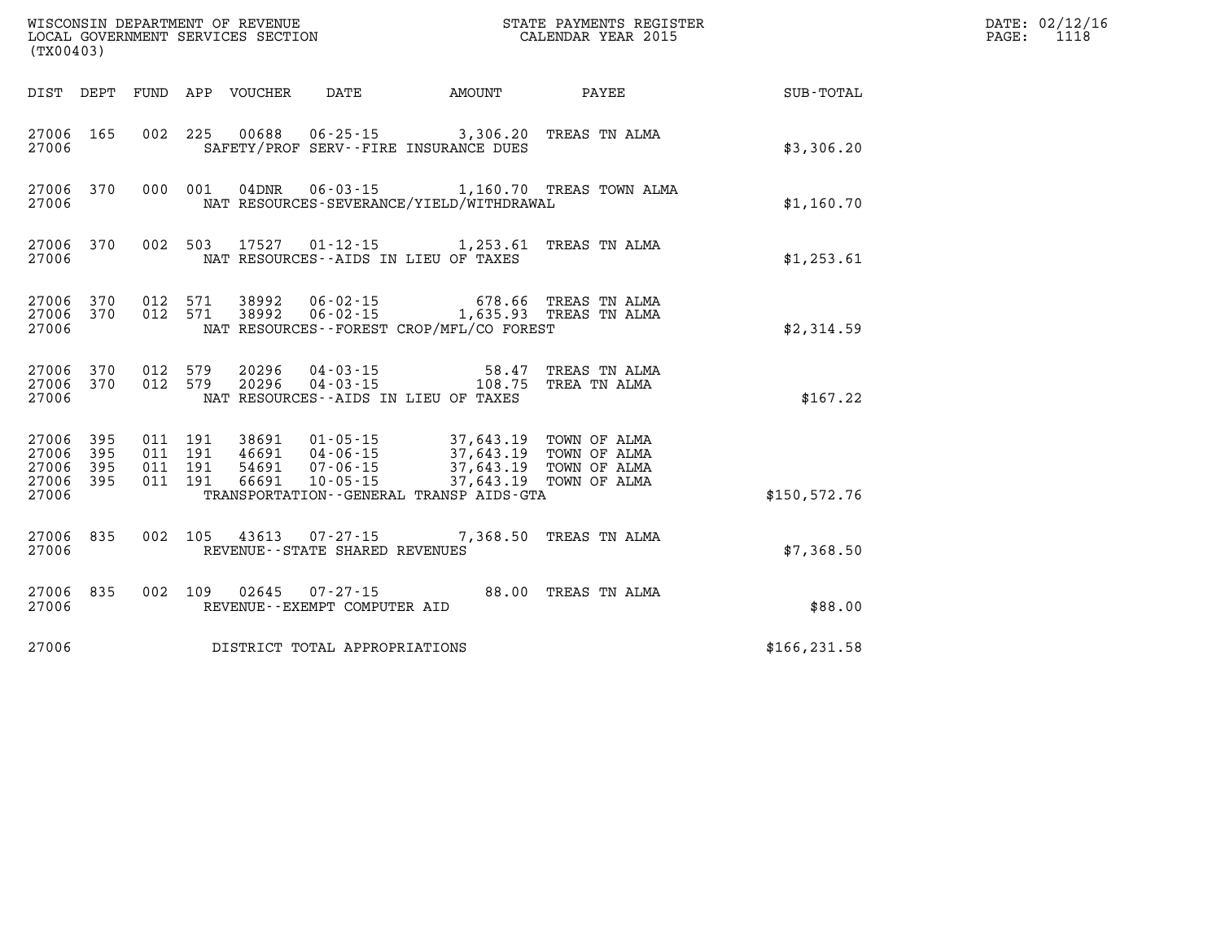| (TX00403)                                                 |                        |  |                                |                                   |                                                                                                                                                                                                                                                                                                                                                                                                       | WISCONSIN DEPARTMENT OF REVENUE<br>LOCAL GOVERNMENT SERVICES SECTION CALENDAR YEAR 2015 |                                                        |  | DATE: 02/12/16<br>PAGE: 1118 |
|-----------------------------------------------------------|------------------------|--|--------------------------------|-----------------------------------|-------------------------------------------------------------------------------------------------------------------------------------------------------------------------------------------------------------------------------------------------------------------------------------------------------------------------------------------------------------------------------------------------------|-----------------------------------------------------------------------------------------|--------------------------------------------------------|--|------------------------------|
|                                                           |                        |  |                                |                                   |                                                                                                                                                                                                                                                                                                                                                                                                       |                                                                                         | DIST DEPT FUND APP VOUCHER DATE AMOUNT PAYEE SUB-TOTAL |  |                              |
| 27006 165<br>27006                                        |                        |  |                                |                                   | 002 225 00688 06-25-15 3,306.20 TREAS TN ALMA<br>SAFETY/PROF SERV--FIRE INSURANCE DUES                                                                                                                                                                                                                                                                                                                |                                                                                         | \$3,306.20                                             |  |                              |
| 27006                                                     | 27006 370              |  |                                |                                   | NAT RESOURCES-SEVERANCE/YIELD/WITHDRAWAL                                                                                                                                                                                                                                                                                                                                                              | 000 001 04DNR 06-03-15 1,160.70 TREAS TOWN ALMA                                         | \$1,160.70                                             |  |                              |
| 27006                                                     | 27006 370              |  |                                |                                   | 002 503 17527 01-12-15 1,253.61 TREAS TN ALMA<br>NAT RESOURCES--AIDS IN LIEU OF TAXES                                                                                                                                                                                                                                                                                                                 |                                                                                         | \$1,253.61                                             |  |                              |
| 27006                                                     | 27006 370<br>27006 370 |  |                                |                                   | $\begin{array}{cccccccc} 012 & 571 & 38992 & 06\text{-}02\text{-}15 & & & & 678.66 & \text{TREAS TN ALMA} \\ 012 & 571 & 38992 & 06\text{-}02\text{-}15 & & & 1,635.93 & \text{TREAS TN ALMA} \end{array}$<br>NAT RESOURCES - - FOREST CROP/MFL/CO FOREST                                                                                                                                             |                                                                                         | \$2,314.59                                             |  |                              |
| 27006                                                     | 27006 370<br>27006 370 |  | 012 579 20296<br>012 579 20296 |                                   | 04-03-15 58.47 TREAS TN ALMA<br>04-03-15 108.75 TREA TN ALMA<br>NAT RESOURCES--AIDS IN LIEU OF TAXES                                                                                                                                                                                                                                                                                                  |                                                                                         | \$167.22                                               |  |                              |
| 27006 395<br>27006 395<br>27006 395<br>27006 395<br>27006 |                        |  |                                |                                   | $\begin{array}{cccccccc} 011 & 191 & 38691 & 01\cdot 05\cdot 15 & 37,643\cdot 19 & \text{TOWN OF ALMA} \\ 011 & 191 & 46691 & 04\cdot 06\cdot 15 & 37,643\cdot 19 & \text{TOWN OF ALMA} \\ 011 & 191 & 54691 & 07\cdot 06\cdot 15 & 37,643\cdot 19 & \text{TOWN OF ALMA} \\ 011 & 191 & 66691 & 10\cdot 05\cdot 15 & 37,643\cdot 19 & \text{TOWN OF ALMA}$<br>TRANSPORTATION--GENERAL TRANSP AIDS-GTA |                                                                                         | \$150, 572.76                                          |  |                              |
| 27006                                                     | 27006 835              |  |                                | REVENUE - - STATE SHARED REVENUES | 002 105 43613 07-27-15 7,368.50 TREAS TN ALMA                                                                                                                                                                                                                                                                                                                                                         |                                                                                         | \$7,368.50                                             |  |                              |
| 27006                                                     | 27006 835              |  |                                | REVENUE--EXEMPT COMPUTER AID      | 002 109 02645 07-27-15 88.00 TREAS TN ALMA                                                                                                                                                                                                                                                                                                                                                            |                                                                                         | \$88.00                                                |  |                              |
| 27006                                                     |                        |  |                                | DISTRICT TOTAL APPROPRIATIONS     |                                                                                                                                                                                                                                                                                                                                                                                                       |                                                                                         | \$166, 231.58                                          |  |                              |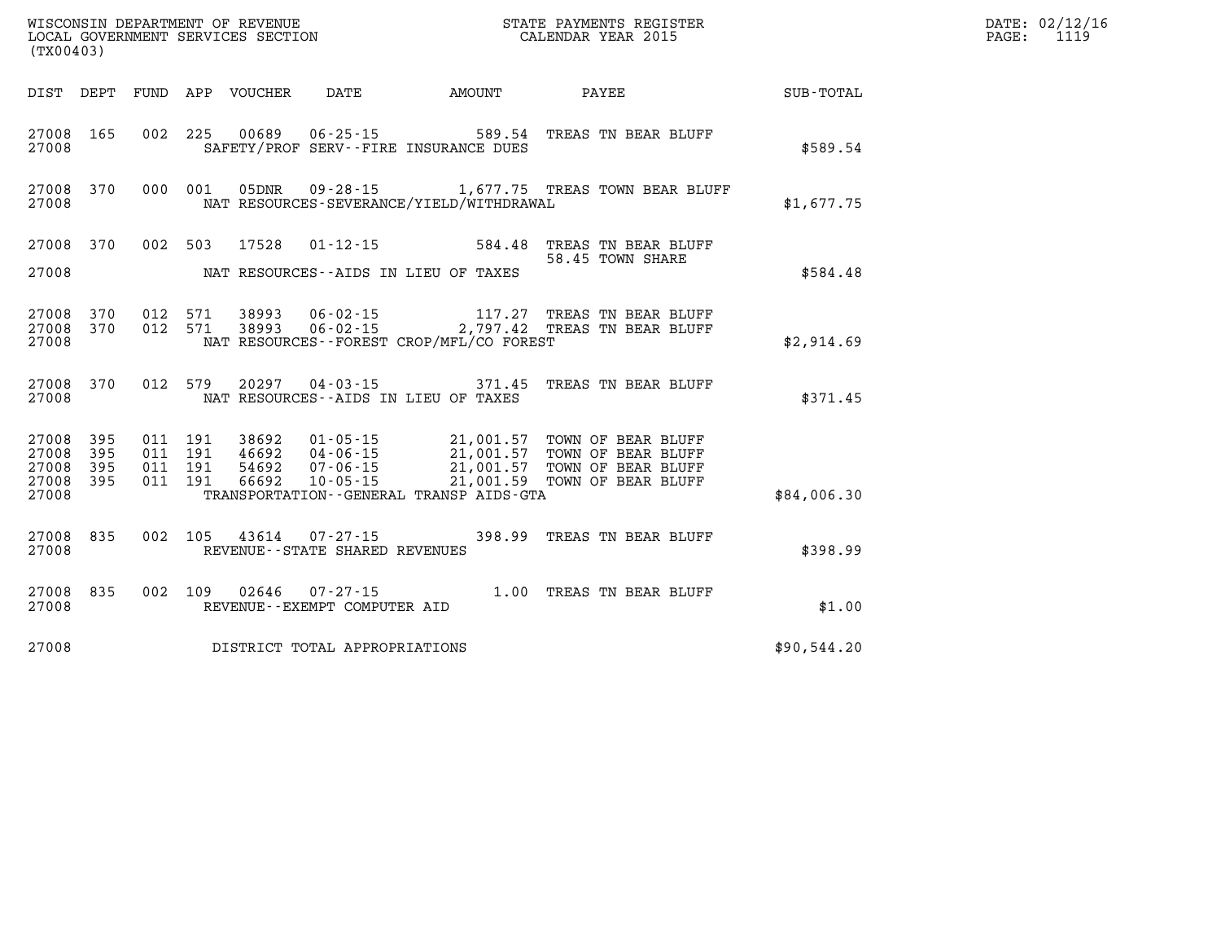| ' OF REVENUE<br>WISCONSIN DEPARTMENT    | PAYMENTS REGISTER<br>3TATE | 02/12/16<br>DATE: |
|-----------------------------------------|----------------------------|-------------------|
| SERVICES SECTION<br>LOCAL<br>GOVERNMENT | CALENDAR YEAR 2015         | 1110<br>PAGE      |

| (TX00403)                                    |           |  | LOCAL GOVERNMENT SERVICES SECTION |                                     |                                          | CALENDAR YEAR 2015                                                                                                                                                                                                                                                                                                                                           |             | PAGE: | 1119 |
|----------------------------------------------|-----------|--|-----------------------------------|-------------------------------------|------------------------------------------|--------------------------------------------------------------------------------------------------------------------------------------------------------------------------------------------------------------------------------------------------------------------------------------------------------------------------------------------------------------|-------------|-------|------|
|                                              |           |  |                                   |                                     |                                          | DIST DEPT FUND APP VOUCHER DATE AMOUNT PAYEE TOTAL                                                                                                                                                                                                                                                                                                           |             |       |      |
|                                              |           |  |                                   |                                     |                                          |                                                                                                                                                                                                                                                                                                                                                              |             |       |      |
| 27008 165<br>27008                           |           |  |                                   |                                     | SAFETY/PROF SERV--FIRE INSURANCE DUES    | 002 225 00689 06-25-15 589.54 TREAS TN BEAR BLUFF                                                                                                                                                                                                                                                                                                            | \$589.54    |       |      |
| 27008                                        | 27008 370 |  |                                   |                                     | NAT RESOURCES-SEVERANCE/YIELD/WITHDRAWAL | 000 001 05DNR 09-28-15 1,677.75 TREAS TOWN BEAR BLUFF                                                                                                                                                                                                                                                                                                        | \$1.677.75  |       |      |
|                                              |           |  |                                   |                                     |                                          | 27008 370 002 503 17528 01-12-15 584.48 TREAS TN BEAR BLUFF<br>58.45 TOWN SHARE                                                                                                                                                                                                                                                                              |             |       |      |
| 27008                                        |           |  |                                   |                                     | NAT RESOURCES--AIDS IN LIEU OF TAXES     |                                                                                                                                                                                                                                                                                                                                                              | \$584.48    |       |      |
| 27008 370<br>27008 370<br>27008              |           |  |                                   |                                     | NAT RESOURCES--FOREST CROP/MFL/CO FOREST | 012 571 38993 06-02-15 117.27 TREAS TN BEAR BLUFF 012 571 38993 06-02-15 2,797.42 TREAS TN BEAR BLUFF                                                                                                                                                                                                                                                        | \$2,914.69  |       |      |
| 27008                                        |           |  | 27008 370 012 579 20297           |                                     | NAT RESOURCES--AIDS IN LIEU OF TAXES     | 04-03-15 371.45 TREAS TN BEAR BLUFF                                                                                                                                                                                                                                                                                                                          | \$371.45    |       |      |
| 27008 395<br>27008<br>27008 395<br>27008 395 | 395       |  |                                   |                                     |                                          | $\begin{array}{cccc} 011 & 191 & 38692 & 01\cdot 05\cdot 15 & 21,001.57 & \text{TOWN OF BEAR BLUFF} \\ 011 & 191 & 46692 & 04\cdot 06\cdot 15 & 21,001.57 & \text{TOWN OF BEAR BLUFF} \\ 011 & 191 & 54692 & 07\cdot 06\cdot 15 & 21,001.57 & \text{TOWN OF BEAR BLUFF} \\ 011 & 191 & 66692 & 10\cdot 05\cdot 15 & 21,001.59 & \text{TOWN OF BEAR BLUFF} \$ |             |       |      |
| 27008                                        |           |  |                                   |                                     | TRANSPORTATION--GENERAL TRANSP AIDS-GTA  |                                                                                                                                                                                                                                                                                                                                                              | \$84,006.30 |       |      |
| 27008 835<br>27008                           |           |  |                                   | REVENUE--STATE SHARED REVENUES      |                                          | 002 105 43614 07-27-15 398.99 TREAS TN BEAR BLUFF                                                                                                                                                                                                                                                                                                            | \$398.99    |       |      |
| 27008 835<br>27008                           |           |  |                                   | REVENUE--EXEMPT COMPUTER AID        |                                          | 002 109 02646 07-27-15 1.00 TREAS TN BEAR BLUFF                                                                                                                                                                                                                                                                                                              | \$1.00      |       |      |
|                                              |           |  |                                   | 27008 DISTRICT TOTAL APPROPRIATIONS |                                          |                                                                                                                                                                                                                                                                                                                                                              | \$90,544.20 |       |      |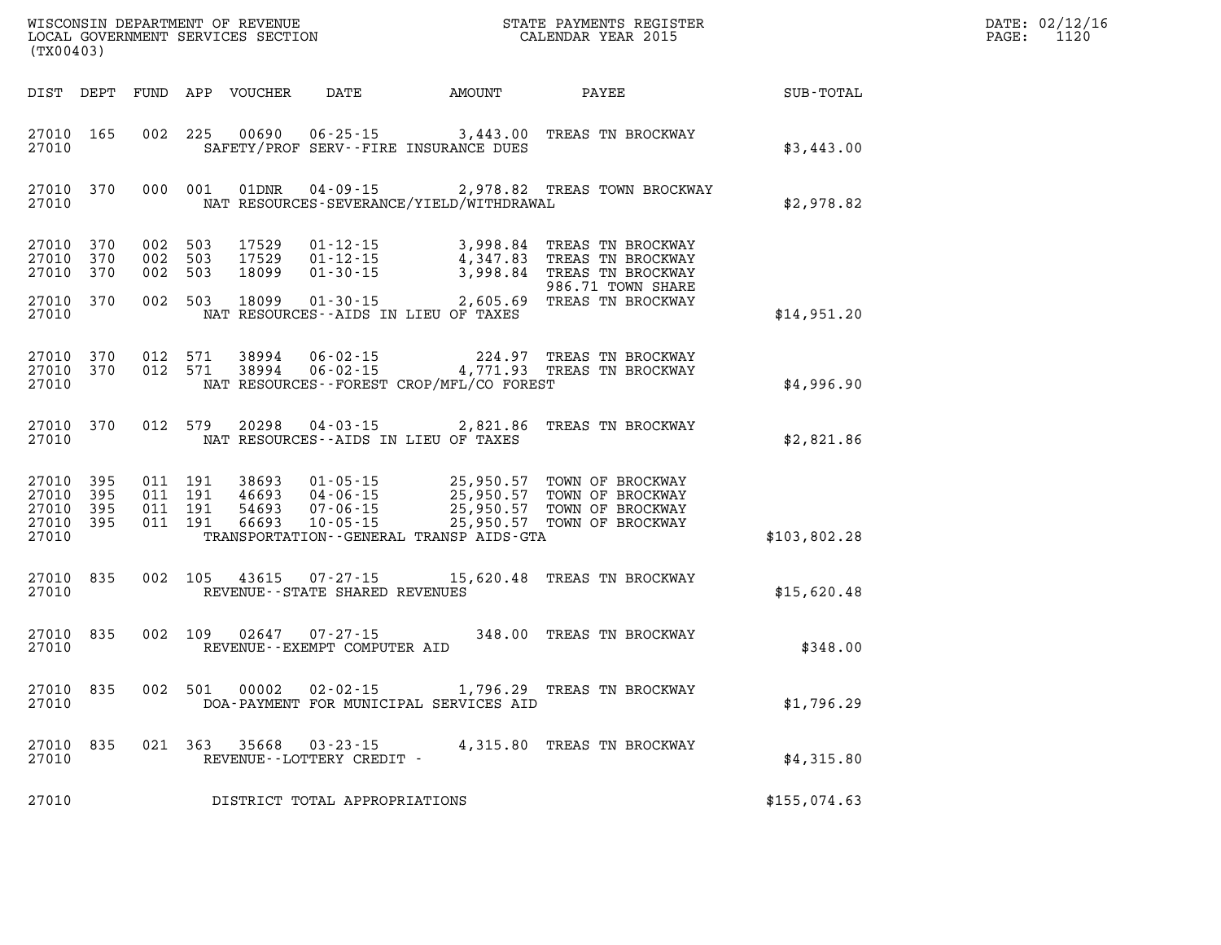| DATE: | 02/12/16 |
|-------|----------|
| PAGE: | 1120     |

| (TX00403)                                         |            |                           |                               | WISCONSIN DEPARTMENT OF REVENUE<br>LOCAL GOVERNMENT SERVICES SECTION |                                                                      |                                                         | STATE PAYMENTS REGISTER<br>CALENDAR YEAR 2015                                                                                             | DATE: 02/12/1<br>1120<br>PAGE: |  |
|---------------------------------------------------|------------|---------------------------|-------------------------------|----------------------------------------------------------------------|----------------------------------------------------------------------|---------------------------------------------------------|-------------------------------------------------------------------------------------------------------------------------------------------|--------------------------------|--|
| DIST DEPT                                         |            |                           |                               | FUND APP VOUCHER                                                     |                                                                      | DATE AMOUNT PAYEE                                       |                                                                                                                                           | <b>SUB-TOTAL</b>               |  |
| 27010 165<br>27010                                |            |                           |                               | 002 225 00690                                                        |                                                                      | SAFETY/PROF SERV--FIRE INSURANCE DUES                   | 06-25-15 3,443.00 TREAS TN BROCKWAY                                                                                                       | \$3,443.00                     |  |
| 27010 370<br>27010                                |            |                           | 000 001                       | 01DNR                                                                |                                                                      | NAT RESOURCES-SEVERANCE/YIELD/WITHDRAWAL                | 04-09-15 2,978.82 TREAS TOWN BROCKWAY                                                                                                     | \$2,978.82                     |  |
| 27010 370<br>27010<br>27010                       | 370<br>370 | 002 503<br>002 503<br>002 | 503                           | 17529<br>17529<br>18099                                              | $01 - 12 - 15$<br>$01 - 12 - 15$<br>$01 - 30 - 15$                   |                                                         | 3,998.84 TREAS TN BROCKWAY<br>4,347.83 TREAS TN BROCKWAY<br>4,347.83 TREAS TN BROCKWAY<br>3,998.84 TREAS TN BROCKWAY<br>986.71 TOWN SHARE |                                |  |
| 27010 370<br>27010                                |            |                           |                               | 002 503 18099                                                        |                                                                      | NAT RESOURCES--AIDS IN LIEU OF TAXES                    | 01-30-15 2,605.69 TREAS TN BROCKWAY                                                                                                       | \$14,951.20                    |  |
| 27010 370<br>27010 370<br>27010                   |            |                           | 012 571<br>012 571            | 38994<br>38994                                                       | 06-02-15                                                             | NAT RESOURCES--FOREST CROP/MFL/CO FOREST                | 224.97 TREAS TN BROCKWAY<br>06-02-15 4,771.93 TREAS TN BROCKWAY                                                                           | \$4,996.90                     |  |
| 27010 370<br>27010                                |            |                           | 012 579                       | 20298                                                                |                                                                      | NAT RESOURCES--AIDS IN LIEU OF TAXES                    | 04-03-15 2,821.86 TREAS TN BROCKWAY                                                                                                       | \$2,821.86                     |  |
| 27010 395<br>27010<br>27010<br>27010 395<br>27010 | 395<br>395 | 011 191                   | 011 191<br>011 191<br>011 191 | 38693<br>46693<br>54693<br>66693                                     | $01 - 05 - 15$<br>$04 - 06 - 15$<br>$07 - 06 - 15$<br>$10 - 05 - 15$ | 25,950.57<br>TRANSPORTATION - - GENERAL TRANSP AIDS-GTA | 25,950.57 TOWN OF BROCKWAY<br>TOWN OF BROCKWAY<br>25,950.57 TOWN OF BROCKWAY<br>25,950.57 TOWN OF BROCKWAY                                | \$103,802.28                   |  |
| 27010<br>27010                                    | 835        |                           |                               |                                                                      | REVENUE - - STATE SHARED REVENUES                                    |                                                         | 002 105 43615 07-27-15 15,620.48 TREAS TN BROCKWAY                                                                                        | \$15,620.48                    |  |
| 27010 835<br>27010                                |            |                           |                               | 002 109 02647                                                        | $07 - 27 - 15$<br>REVENUE--EXEMPT COMPUTER AID                       |                                                         | 348.00 TREAS TN BROCKWAY                                                                                                                  | \$348.00                       |  |
| 27010 835<br>27010                                |            |                           | 002 501                       | 00002                                                                |                                                                      | DOA-PAYMENT FOR MUNICIPAL SERVICES AID                  | 02-02-15 1,796.29 TREAS TN BROCKWAY                                                                                                       | \$1,796.29                     |  |
| 27010 835<br>27010                                |            |                           | 021 363                       |                                                                      | REVENUE--LOTTERY CREDIT -                                            |                                                         | 35668  03-23-15  4,315.80  TREAS TN BROCKWAY                                                                                              | \$4,315.80                     |  |
| 27010                                             |            |                           |                               |                                                                      | DISTRICT TOTAL APPROPRIATIONS                                        |                                                         |                                                                                                                                           | \$155,074.63                   |  |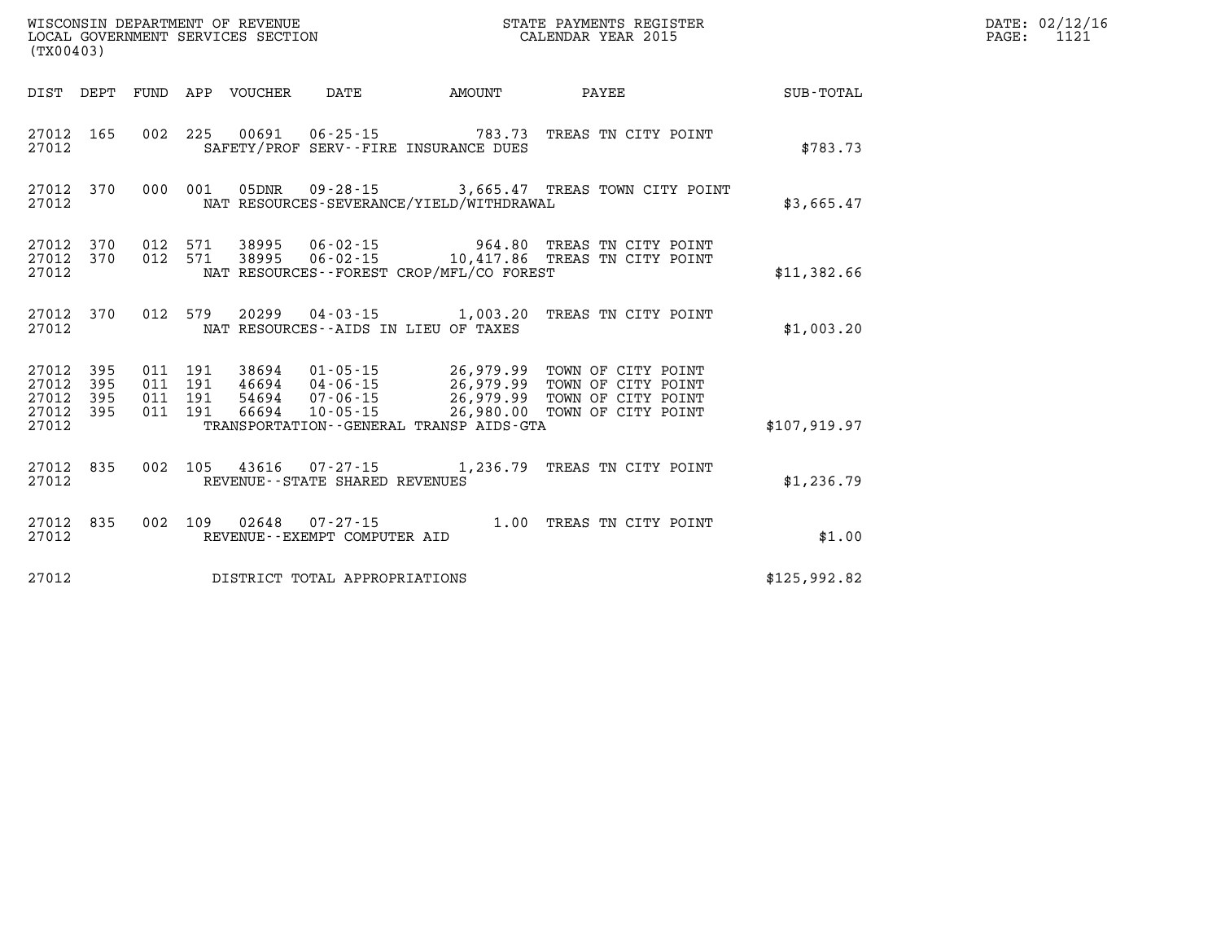| DATE: | 02/12/16 |
|-------|----------|
| PAGE: | 1121     |

| (TX00403)                                 |                          |                          |                          | WISCONSIN DEPARTMENT OF REVENUE<br>LOCAL GOVERNMENT SERVICES SECTION |                                                                |                                                                                             | STATE PAYMENTS REGISTER<br>CALENDAR YEAR 2015                                        |                  |
|-------------------------------------------|--------------------------|--------------------------|--------------------------|----------------------------------------------------------------------|----------------------------------------------------------------|---------------------------------------------------------------------------------------------|--------------------------------------------------------------------------------------|------------------|
| DIST                                      | DEPT                     | <b>FUND</b>              | APP                      | VOUCHER                                                              | DATE                                                           | AMOUNT                                                                                      | PAYEE                                                                                | <b>SUB-TOTAL</b> |
| 27012<br>27012                            | 165                      | 002                      | 225                      |                                                                      | 00691 06-25-15                                                 | 783.73<br>SAFETY/PROF SERV--FIRE INSURANCE DUES                                             | TREAS TN CITY POINT                                                                  | \$783.73         |
| 27012<br>27012                            | 370                      | 000                      | 001                      | 05DNR                                                                |                                                                | NAT RESOURCES-SEVERANCE/YIELD/WITHDRAWAL                                                    | 09-28-15 3,665.47 TREAS TOWN CITY POINT                                              | \$3,665.47       |
| 27012<br>27012<br>27012                   | 370<br>370               | 012<br>012               | 571<br>571               | 38995<br>38995                                                       | $06 - 02 - 15$<br>$06 - 02 - 15$                               | 964.80<br>10,417.86<br>NAT RESOURCES - - FOREST CROP/MFL/CO FOREST                          | TREAS TN CITY POINT<br>TREAS TN CITY POINT                                           | \$11,382.66      |
| 27012<br>27012                            | 370                      | 012                      | 579                      | 20299                                                                |                                                                | $04 - 03 - 15$ 1,003.20<br>NAT RESOURCES--AIDS IN LIEU OF TAXES                             | TREAS TN CITY POINT                                                                  | \$1,003.20       |
| 27012<br>27012<br>27012<br>27012<br>27012 | 395<br>395<br>395<br>395 | 011<br>011<br>011<br>011 | 191<br>191<br>191<br>191 | 38694<br>46694<br>54694<br>66694                                     | $01 - 05 - 15$<br>04-06-15<br>$07 - 06 - 15$<br>$10 - 05 - 15$ | 26,979.99<br>26,979.99<br>26,979.99<br>26,980.00<br>TRANSPORTATION--GENERAL TRANSP AIDS-GTA | TOWN OF CITY POINT<br>TOWN OF CITY POINT<br>TOWN OF CITY POINT<br>TOWN OF CITY POINT | \$107,919.97     |
| 27012<br>27012                            | 835                      | 002                      | 105                      |                                                                      | 43616 07-27-15<br>REVENUE - - STATE SHARED REVENUES            | 1,236.79                                                                                    | TREAS TN CITY POINT                                                                  | \$1,236.79       |
| 27012<br>27012                            | 835                      | 002                      | 109                      | 02648                                                                | $07 - 27 - 15$<br>REVENUE--EXEMPT COMPUTER AID                 | 1.00                                                                                        | TREAS TN CITY POINT                                                                  | \$1.00           |
| 27012                                     |                          | \$125,992.82             |                          |                                                                      |                                                                |                                                                                             |                                                                                      |                  |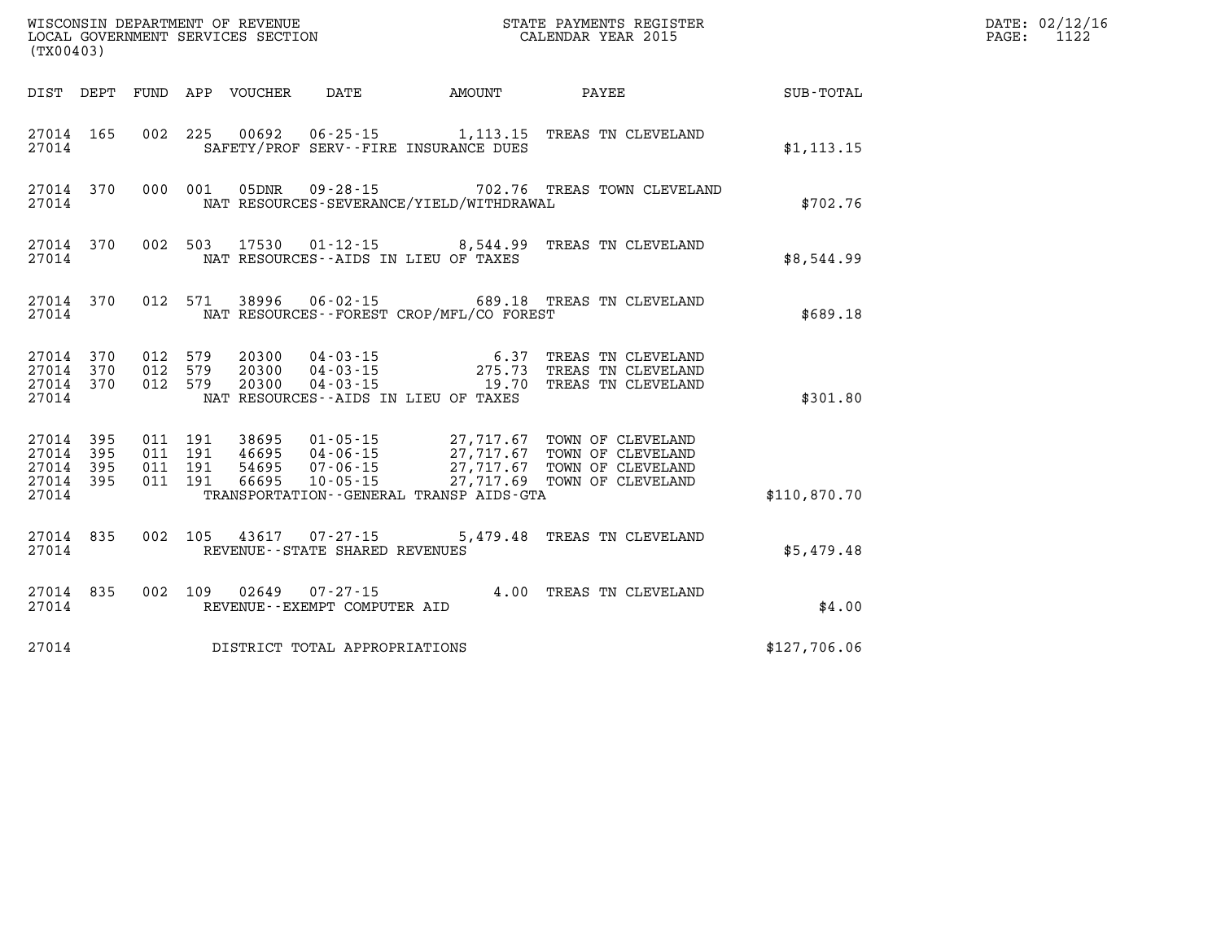| (TX00403)                                 |                          |                          |                          | WISCONSIN DEPARTMENT OF REVENUE<br>LOCAL GOVERNMENT SERVICES SECTION |                                                                                                           |                                                  | STATE PAYMENTS REGISTER<br>CALENDAR YEAR 2015                                    |              |
|-------------------------------------------|--------------------------|--------------------------|--------------------------|----------------------------------------------------------------------|-----------------------------------------------------------------------------------------------------------|--------------------------------------------------|----------------------------------------------------------------------------------|--------------|
| DIST                                      | DEPT                     | <b>FUND</b>              | APP                      | VOUCHER                                                              | DATE AMOUNT                                                                                               |                                                  | <b>PAYEE</b>                                                                     | SUB-TOTAL    |
| 27014<br>27014                            | 165                      | 002                      | 225                      | 00692                                                                | $06 - 25 - 15$ 1, 113.15<br>SAFETY/PROF SERV--FIRE INSURANCE DUES                                         |                                                  | TREAS TN CLEVELAND                                                               | \$1, 113.15  |
| 27014<br>27014                            | 370                      | 000                      | 001                      | 05DNR                                                                | NAT RESOURCES-SEVERANCE/YIELD/WITHDRAWAL                                                                  |                                                  | 09-28-15 702.76 TREAS TOWN CLEVELAND                                             | \$702.76     |
| 27014<br>27014                            | 370                      | 002                      | 503                      | 17530                                                                | $01 - 12 - 15$ 8,544.99<br>NAT RESOURCES -- AIDS IN LIEU OF TAXES                                         |                                                  | TREAS TN CLEVELAND                                                               | \$8,544.99   |
| 27014<br>27014                            | 370                      | 012                      | 571                      | 38996                                                                | $06 - 02 - 15$<br>NAT RESOURCES - - FOREST CROP/MFL/CO FOREST                                             |                                                  | 689.18 TREAS TN CLEVELAND                                                        | \$689.18     |
| 27014<br>27014<br>27014<br>27014          | 370<br>370<br>370        | 012<br>012<br>012        | 579<br>579<br>579        | 20300<br>20300<br>20300                                              | $04 - 03 - 15$<br>$04 - 03 - 15$<br>$04 - 03 - 15$<br>NAT RESOURCES -- AIDS IN LIEU OF TAXES              | 6.37<br>275.73<br>19.70                          | TREAS TN CLEVELAND<br>TREAS TN CLEVELAND<br>TREAS TN CLEVELAND                   | \$301.80     |
| 27014<br>27014<br>27014<br>27014<br>27014 | 395<br>395<br>395<br>395 | 011<br>011<br>011<br>011 | 191<br>191<br>191<br>191 | 38695<br>46695<br>54695<br>66695                                     | $01 - 05 - 15$<br>$04 - 06 - 15$<br>$07 - 06 - 15$<br>10-05-15<br>TRANSPORTATION--GENERAL TRANSP AIDS-GTA | 27,717.67<br>27,717.67<br>27,717.67<br>27,717.69 | TOWN OF CLEVELAND<br>TOWN OF CLEVELAND<br>TOWN OF CLEVELAND<br>TOWN OF CLEVELAND | \$110,870.70 |
| 27014<br>27014                            | 835                      | 002                      | 105                      | 43617                                                                | $07 - 27 - 15$<br>REVENUE - - STATE SHARED REVENUES                                                       | 5,479.48                                         | TREAS TN CLEVELAND                                                               | \$5,479.48   |
| 27014<br>27014                            | 835                      | 002                      | 109                      | 02649                                                                | $07 - 27 - 15$<br>REVENUE--EXEMPT COMPUTER AID                                                            |                                                  | 4.00 TREAS TN CLEVELAND                                                          | \$4.00       |
| 27014                                     |                          |                          |                          |                                                                      | DISTRICT TOTAL APPROPRIATIONS                                                                             |                                                  |                                                                                  | \$127,706.06 |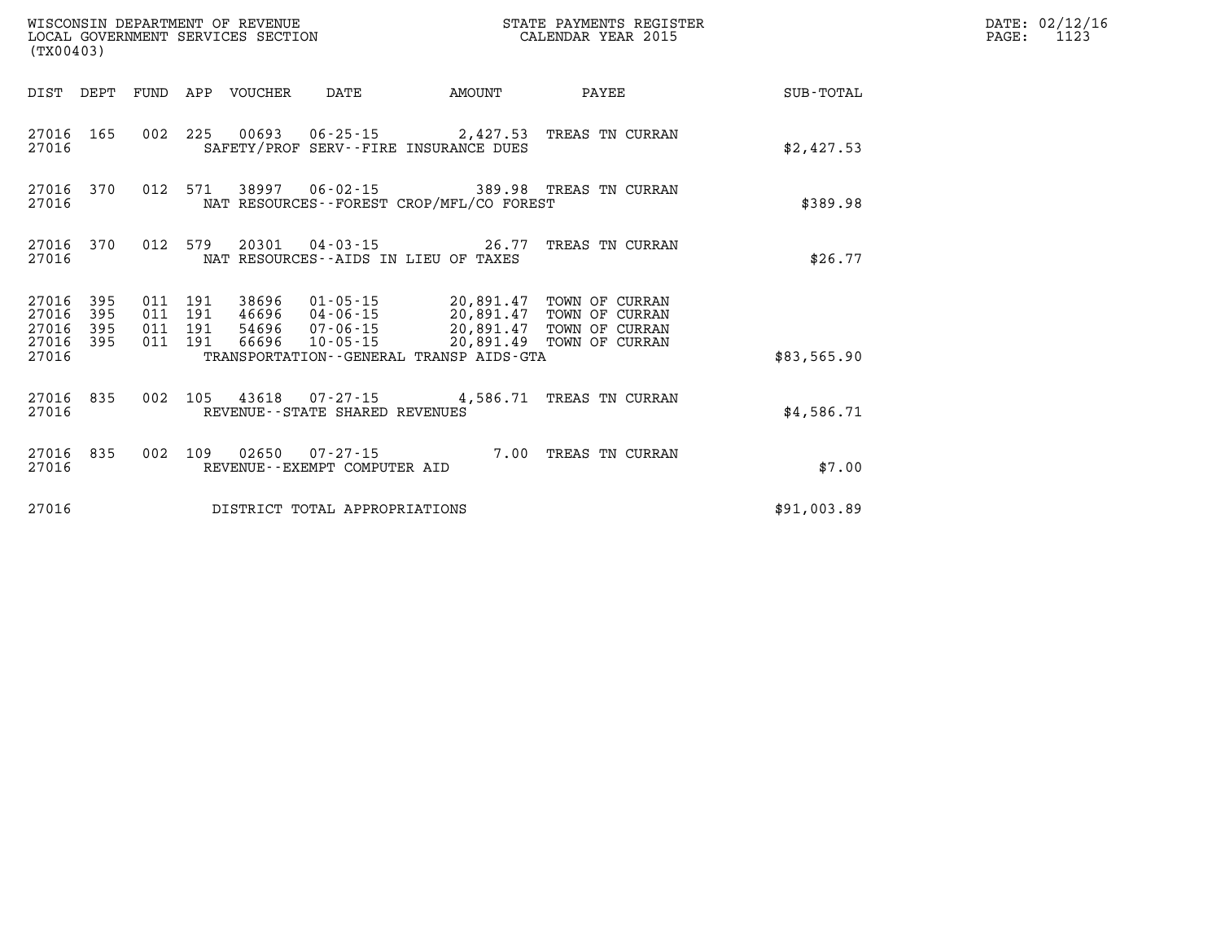| (TX00403)                            |                   |                                          |         | WISCONSIN DEPARTMENT OF REVENUE | LOCAL GOVERNMENT SERVICES SECTION<br>(TX00403) |                                              | STATE PAYMENTS REGISTER<br>CALENDAR YEAR 2015                                                                                                                                  |             | DATE: 02/12/16<br>$\mathtt{PAGE:}$<br>1123 |
|--------------------------------------|-------------------|------------------------------------------|---------|---------------------------------|------------------------------------------------|----------------------------------------------|--------------------------------------------------------------------------------------------------------------------------------------------------------------------------------|-------------|--------------------------------------------|
|                                      |                   |                                          |         | DIST DEPT FUND APP VOUCHER      | DATE                                           | <b>EXAMPLE TO AMOUNT</b>                     | PAYEE                                                                                                                                                                          | SUB-TOTAL   |                                            |
| 27016                                | 27016 165         |                                          |         |                                 |                                                | SAFETY/PROF SERV--FIRE INSURANCE DUES        | 002 225 00693 06-25-15 2,427.53 TREAS TN CURRAN                                                                                                                                | \$2,427.53  |                                            |
| 27016 370<br>27016                   |                   |                                          | 012 571 |                                 |                                                | NAT RESOURCES - - FOREST CROP/MFL/CO FOREST  | 38997  06-02-15  389.98  TREAS TN CURRAN                                                                                                                                       | \$389.98    |                                            |
| 27016 370<br>27016                   |                   | 012 579                                  |         |                                 |                                                | NAT RESOURCES--AIDS IN LIEU OF TAXES         | 20301  04-03-15  26.77  TREAS TN CURRAN                                                                                                                                        | \$26.77     |                                            |
| 27016<br>27016<br>27016<br>27016 395 | 395<br>395<br>395 | 011 191<br>011 191<br>011 191<br>011 191 |         |                                 |                                                |                                              | 38696  01-05-15  20,891.47  TOWN OF CURRAN<br>46696 04-06-15 20,891.47 TOWN OF CURRAN<br>54696 07-06-15 20,891.47 TOWN OF CURRAN<br>66696  10-05-15  20,891.49  TOWN OF CURRAN |             |                                            |
| 27016                                |                   |                                          |         |                                 |                                                | TRANSPORTATION - - GENERAL TRANSP AIDS - GTA |                                                                                                                                                                                | \$83,565.90 |                                            |
| 27016                                | 27016 835         |                                          |         |                                 | REVENUE - - STATE SHARED REVENUES              |                                              | 002 105 43618 07-27-15 4,586.71 TREAS TN CURRAN                                                                                                                                | \$4,586.71  |                                            |
| 27016                                | 27016 835         | 002 109                                  |         |                                 | 02650 07-27-15<br>REVENUE--EXEMPT COMPUTER AID |                                              | 7.00 TREAS TN CURRAN                                                                                                                                                           | \$7.00      |                                            |
| 27016                                |                   |                                          |         |                                 | DISTRICT TOTAL APPROPRIATIONS                  |                                              |                                                                                                                                                                                | \$91,003.89 |                                            |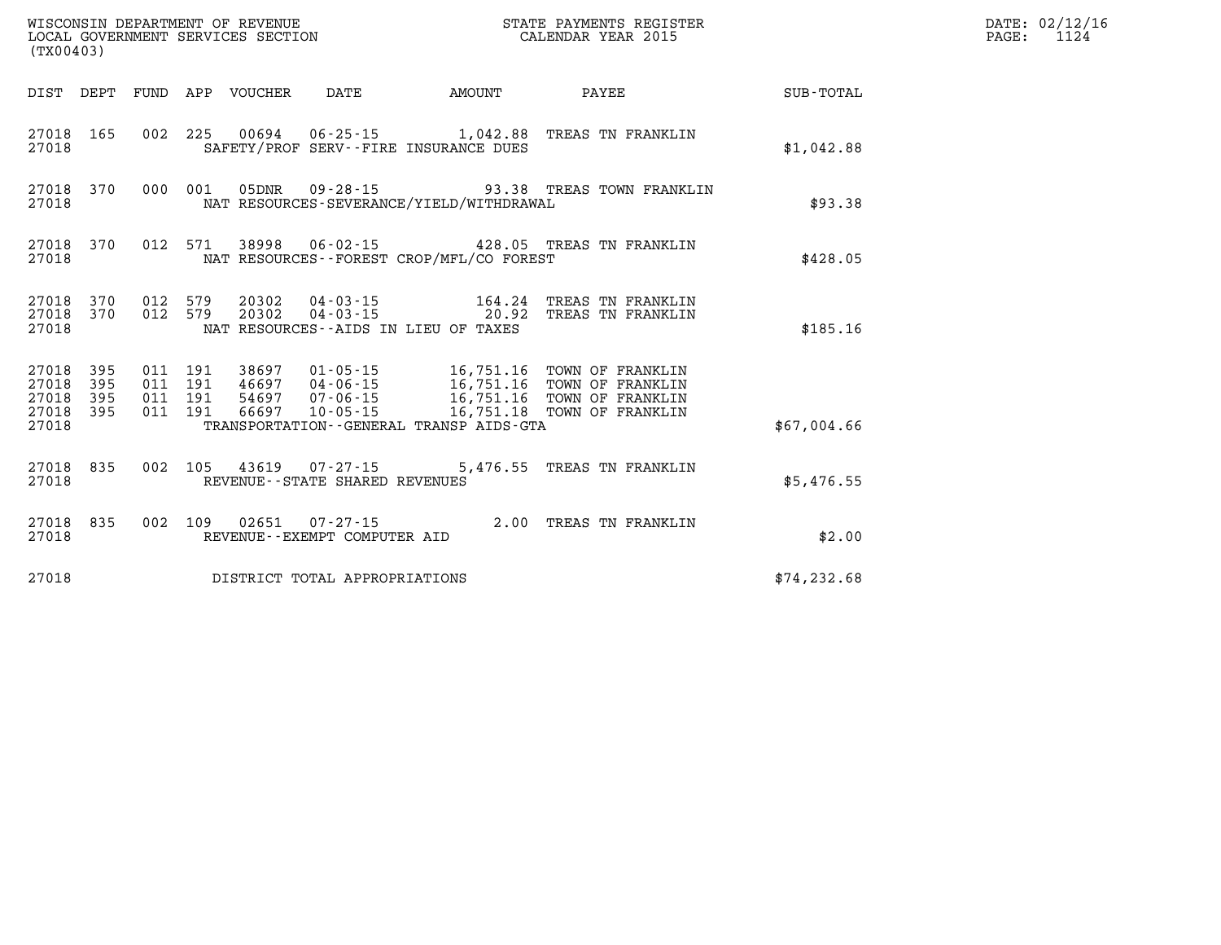| (TX00403)                                         |            |  |  |  |                                                          |                                          |                                                                                                                                                                                                                  |             | DATE: 02/12/16<br>$\mathtt{PAGE:}$<br>1124 |
|---------------------------------------------------|------------|--|--|--|----------------------------------------------------------|------------------------------------------|------------------------------------------------------------------------------------------------------------------------------------------------------------------------------------------------------------------|-------------|--------------------------------------------|
|                                                   |            |  |  |  |                                                          |                                          | DIST DEPT FUND APP VOUCHER DATE AMOUNT PAYEE                                                                                                                                                                     | SUB-TOTAL   |                                            |
| 27018 165<br>27018                                |            |  |  |  |                                                          | SAFETY/PROF SERV--FIRE INSURANCE DUES    | 002 225 00694 06-25-15 1,042.88 TREAS TN FRANKLIN                                                                                                                                                                | \$1,042.88  |                                            |
| 27018                                             |            |  |  |  |                                                          | NAT RESOURCES-SEVERANCE/YIELD/WITHDRAWAL | 27018 370 000 001 05DNR 09-28-15 93.38 TREAS TOWN FRANKLIN                                                                                                                                                       | \$93.38     |                                            |
| 27018                                             | 27018 370  |  |  |  |                                                          | NAT RESOURCES--FOREST CROP/MFL/CO FOREST | 012 571 38998 06-02-15 428.05 TREAS TN FRANKLIN                                                                                                                                                                  | \$428.05    |                                            |
| 27018                                             | 27018 370  |  |  |  |                                                          | NAT RESOURCES--AIDS IN LIEU OF TAXES     | $27018$ 370 012 579 20302 04-03-15 164.24 TREAS TN FRANKLIN<br>27018 370 012 579 20302 04-03-15 20.92 TREAS TN FRANKLIN                                                                                          | \$185.16    |                                            |
| 27018<br>27018<br>27018 395<br>27018 395<br>27018 | 395<br>395 |  |  |  |                                                          | TRANSPORTATION--GENERAL TRANSP AIDS-GTA  | 011 191 38697 01-05-15 16,751.16 TOWN OF FRANKLIN<br>011 191 46697 04-06-15 16,751.16 TOWN OF FRANKLIN<br>011 191 54697 07-06-15 16,751.16 TOWN OF FRANKLIN<br>011 191 66697 10-05-15 16,751.18 TOWN OF FRANKLIN | \$67,004.66 |                                            |
| 27018                                             | 27018 835  |  |  |  | 002 105 43619 07-27-15<br>REVENUE--STATE SHARED REVENUES |                                          | 5,476.55 TREAS TN FRANKLIN                                                                                                                                                                                       | \$5,476.55  |                                            |
| 27018 835<br>27018                                |            |  |  |  | REVENUE--EXEMPT COMPUTER AID                             |                                          | 002 109 02651 07-27-15 2.00 TREAS TN FRANKLIN                                                                                                                                                                    | \$2.00      |                                            |
| DISTRICT TOTAL APPROPRIATIONS<br>27018            |            |  |  |  |                                                          |                                          | \$74, 232.68                                                                                                                                                                                                     |             |                                            |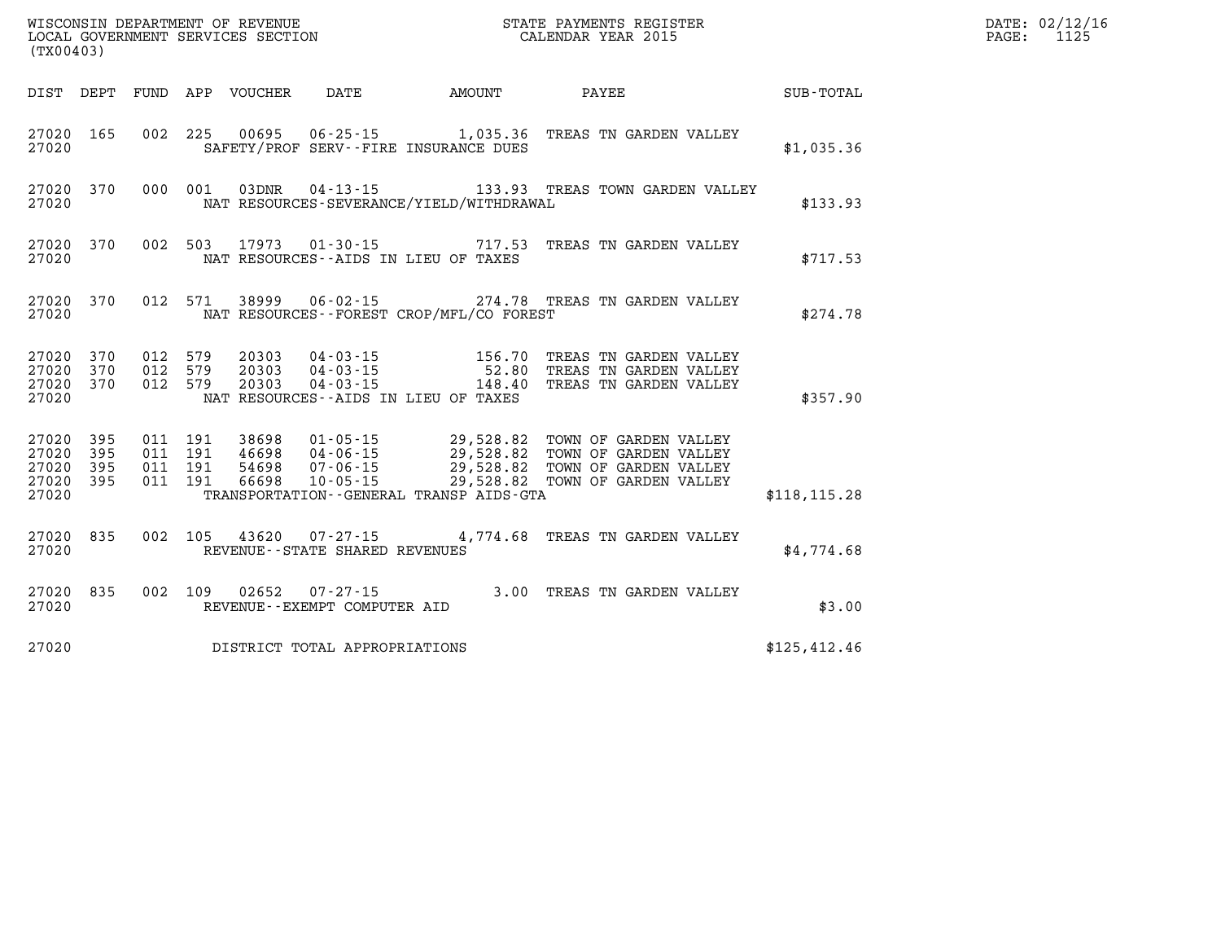| (TX00403)                                 |                          |                          | WISCONSIN DEPARTMENT OF REVENUE<br>LOCAL GOVERNMENT SERVICES SECTION |                                                                                                                 |                                                  | STATE PAYMENTS REGISTER<br>CALENDAR YEAR 2015                                                    |               |
|-------------------------------------------|--------------------------|--------------------------|----------------------------------------------------------------------|-----------------------------------------------------------------------------------------------------------------|--------------------------------------------------|--------------------------------------------------------------------------------------------------|---------------|
| DIST                                      | DEPT                     | FUND                     | APP<br>VOUCHER                                                       | DATE                                                                                                            | AMOUNT                                           | <b>PAYEE</b>                                                                                     | SUB-TOTAL     |
| 27020<br>27020                            | 165                      | 002                      | 225<br>00695                                                         | $06 - 25 - 15$ 1,035.36<br>SAFETY/PROF SERV--FIRE INSURANCE DUES                                                |                                                  | TREAS TN GARDEN VALLEY                                                                           | \$1,035.36    |
| 27020<br>27020                            | 370                      | 000                      | 03DNR<br>001                                                         | $04 - 13 - 15$<br>NAT RESOURCES-SEVERANCE/YIELD/WITHDRAWAL                                                      |                                                  | 133.93 TREAS TOWN GARDEN VALLEY                                                                  | \$133.93      |
| 27020<br>27020                            | 370                      | 002                      | 503<br>17973                                                         | $01 - 30 - 15$<br>NAT RESOURCES -- AIDS IN LIEU OF TAXES                                                        | 717.53                                           | TREAS TN GARDEN VALLEY                                                                           | \$717.53      |
| 27020<br>27020                            | 370                      | 012                      | 571<br>38999                                                         | $06 - 02 - 15$<br>NAT RESOURCES - - FOREST CROP/MFL/CO FOREST                                                   |                                                  | 274.78 TREAS TN GARDEN VALLEY                                                                    | \$274.78      |
| 27020<br>27020<br>27020<br>27020          | 370<br>370<br>370        | 012<br>012<br>012        | 579<br>20303<br>579<br>20303<br>579<br>20303                         | 04 - 03 - 15<br>$04 - 03 - 15$<br>$04 - 03 - 15$<br>NAT RESOURCES -- AIDS IN LIEU OF TAXES                      | 156.70<br>52.80<br>148.40                        | TREAS TN GARDEN VALLEY<br>TREAS TN GARDEN VALLEY<br>TREAS TN GARDEN VALLEY                       | \$357.90      |
| 27020<br>27020<br>27020<br>27020<br>27020 | 395<br>395<br>395<br>395 | 011<br>011<br>011<br>011 | 191<br>38698<br>191<br>46698<br>191<br>54698<br>66698<br>191         | $01 - 05 - 15$<br>$04 - 06 - 15$<br>$07 - 06 - 15$<br>$10 - 05 - 15$<br>TRANSPORTATION--GENERAL TRANSP AIDS-GTA | 29,528.82<br>29,528.82<br>29,528.82<br>29,528.82 | TOWN OF GARDEN VALLEY<br>TOWN OF GARDEN VALLEY<br>TOWN OF GARDEN VALLEY<br>TOWN OF GARDEN VALLEY | \$118, 115.28 |
| 27020<br>27020                            | 835                      | 002                      | 105<br>43620                                                         | $07 - 27 - 15$<br>REVENUE - - STATE SHARED REVENUES                                                             |                                                  | 4,774.68 TREAS TN GARDEN VALLEY                                                                  | \$4,774.68    |
| 27020<br>27020                            | 835                      | 002                      | 109<br>02652                                                         | $07 - 27 - 15$<br>REVENUE - - EXEMPT COMPUTER AID                                                               | 3.00                                             | TREAS TN GARDEN VALLEY                                                                           | \$3.00        |
| 27020                                     |                          |                          |                                                                      | DISTRICT TOTAL APPROPRIATIONS                                                                                   |                                                  |                                                                                                  | \$125, 412.46 |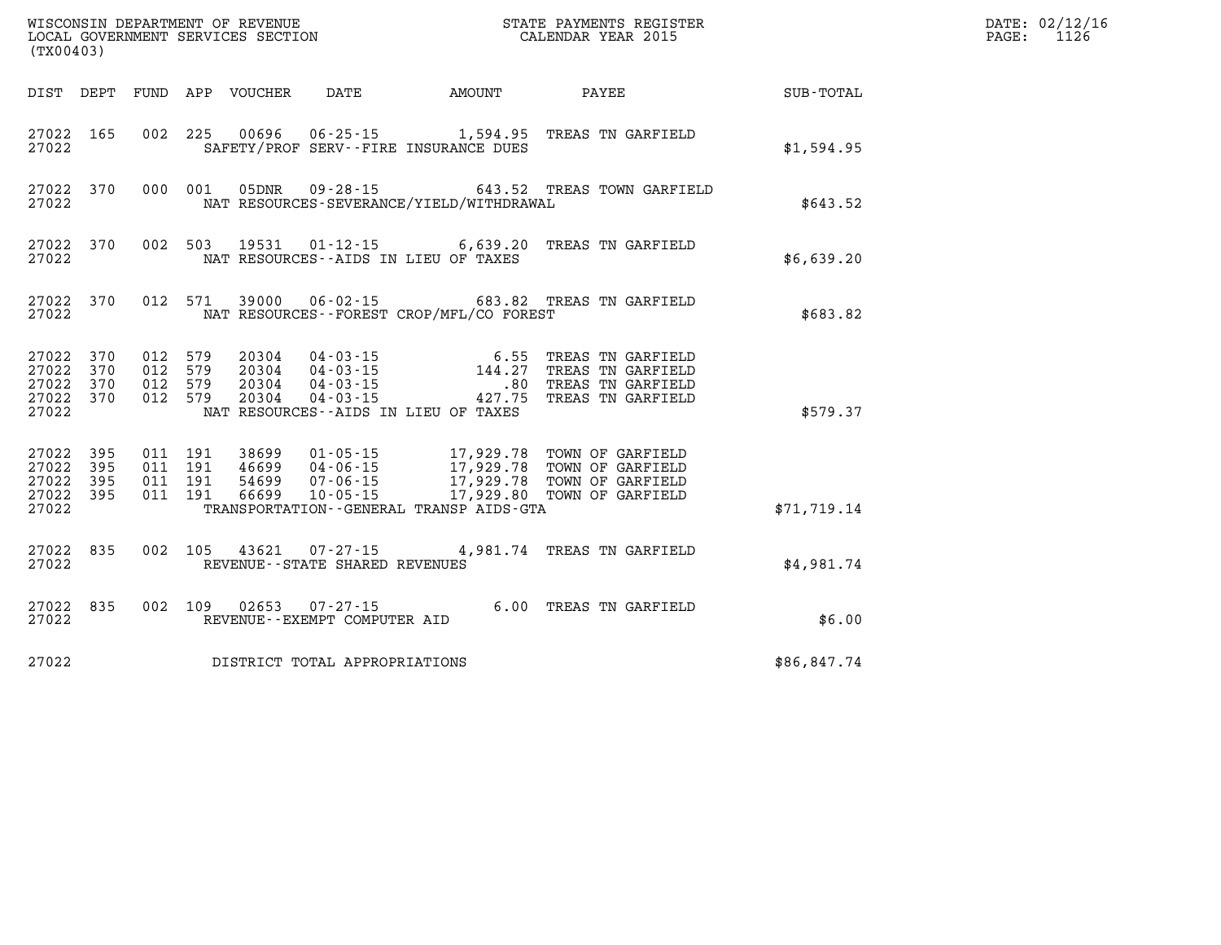|       | WISCONSIN DEPARTMENT OF REVENUE<br>LOCAL GOVERNMENT SERVICES SECTION THE STATE PAYMENTS REGISTER<br>(TYO0402)<br>(TX00403) |  |  |  |                                |                                            |                                                                                                                                                                                                                                                                                                                                      |              | DATE: 02/12/16<br>PAGE: 1126 |
|-------|----------------------------------------------------------------------------------------------------------------------------|--|--|--|--------------------------------|--------------------------------------------|--------------------------------------------------------------------------------------------------------------------------------------------------------------------------------------------------------------------------------------------------------------------------------------------------------------------------------------|--------------|------------------------------|
|       |                                                                                                                            |  |  |  |                                |                                            | DIST DEPT FUND APP VOUCHER DATE AMOUNT PAYEE PAYES                                                                                                                                                                                                                                                                                   |              |                              |
| 27022 |                                                                                                                            |  |  |  |                                | SAFETY/PROF SERV--FIRE INSURANCE DUES      | 27022 165 002 225 00696 06-25-15 1,594.95 TREAS TN GARFIELD                                                                                                                                                                                                                                                                          | \$1,594.95   |                              |
| 27022 |                                                                                                                            |  |  |  |                                | NAT RESOURCES-SEVERANCE/YIELD/WITHDRAWAL   | 27022 370 000 001 05DNR 09-28-15 643.52 TREAS TOWN GARFIELD                                                                                                                                                                                                                                                                          | \$643.52     |                              |
|       |                                                                                                                            |  |  |  |                                | 27022 NAT RESOURCES--AIDS IN LIEU OF TAXES | 27022 370 002 503 19531 01-12-15 6,639.20 TREAS TN GARFIELD                                                                                                                                                                                                                                                                          | \$6,639.20   |                              |
|       |                                                                                                                            |  |  |  |                                |                                            | 27022 370 012 571 39000 06-02-15 683.82 TREAS TN GARFIELD<br>27022 NAT RESOURCES--FOREST CROP/MFL/CO FOREST                                                                                                                                                                                                                          | \$683.82     |                              |
|       |                                                                                                                            |  |  |  |                                | 27022 NAT RESOURCES--AIDS IN LIEU OF TAXES | 27022 370 012 579 20304 04-03-15 6.55 TREAS TN GARFIELD<br>27022 370 012 579 20304 04-03-15 144.27 TREAS TN GARFIELD<br>27022 370 012 579 20304 04-03-15 .80 TREAS TN GARFIELD<br>27022 370 012 579 20304 04-03-15                                                                                                                   | \$579.37     |                              |
| 27022 |                                                                                                                            |  |  |  |                                | TRANSPORTATION--GENERAL TRANSP AIDS-GTA    | $\begin{array}{cccc} 27022 & 395 & 011 & 191 & 38699 & 01\text{-}05\text{-}15 & 17,929.78 & \text{TOWN OF GARFIELD} \\ 27022 & 395 & 011 & 191 & 46699 & 04\text{-}06\text{-}15 & 17,929.78 & \text{TOWN OF GARFIELD} \\ 27022 & 395 & 011 & 191 & 54699 & 07\text{-}06\text{-}15 & 17,929.78 & \text{TOWN OF GARFIELD} \\ 27022 & $ | \$71, 719.14 |                              |
| 27022 |                                                                                                                            |  |  |  | REVENUE--STATE SHARED REVENUES |                                            | 27022 835 002 105 43621 07-27-15 4,981.74 TREAS TN GARFIELD                                                                                                                                                                                                                                                                          | \$4,981.74   |                              |
|       |                                                                                                                            |  |  |  |                                |                                            |                                                                                                                                                                                                                                                                                                                                      | \$6.00       |                              |
| 27022 |                                                                                                                            |  |  |  | DISTRICT TOTAL APPROPRIATIONS  |                                            |                                                                                                                                                                                                                                                                                                                                      | \$86,847.74  |                              |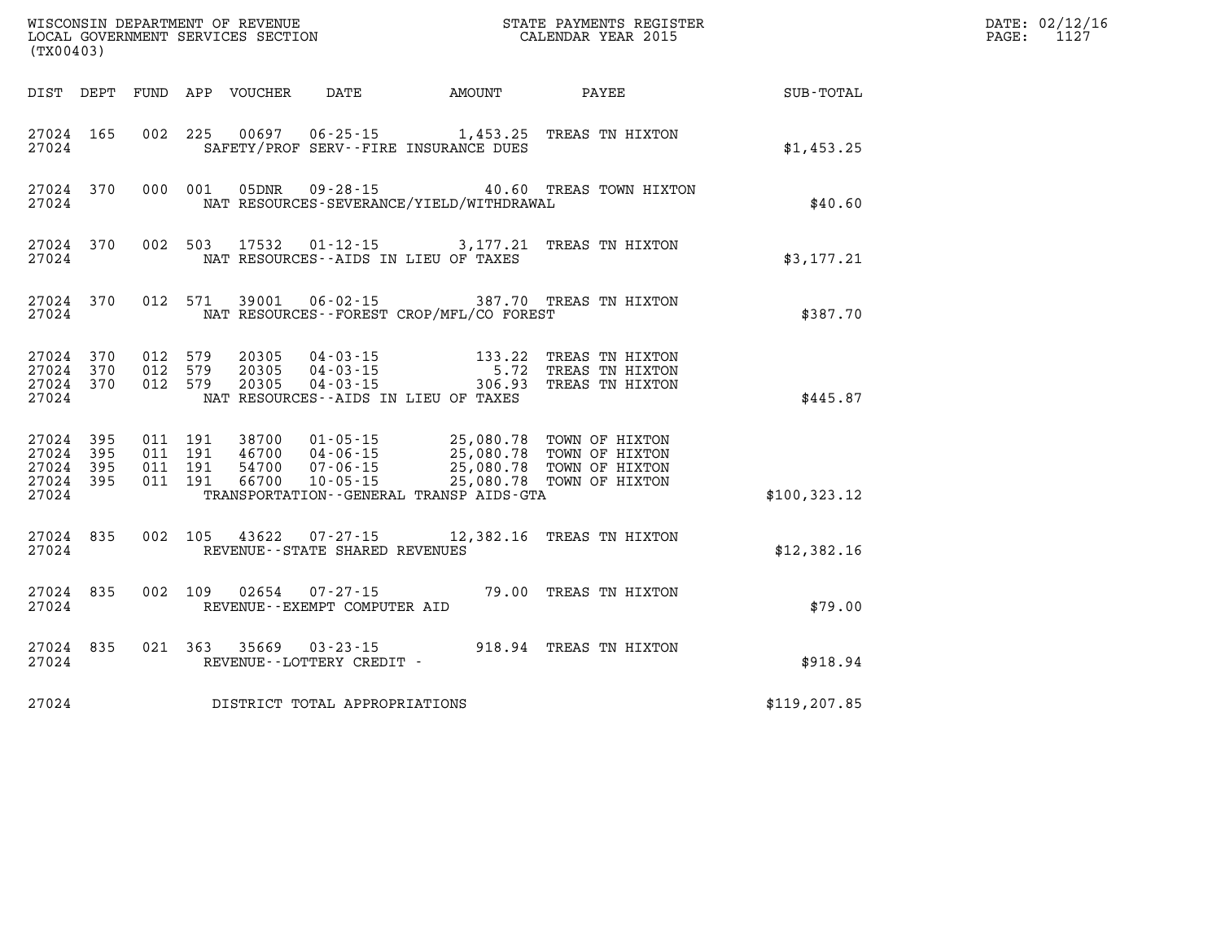| (TX00403)                                                       |                               |                                    |                                                                                                                  | WISCONSIN DEPARTMENT OF REVENUE<br>LOCAL GOVERNMENT SERVICES SECTION THE STATE PAYMENTS REGIST<br>(TYAOAAQ)<br>STATE PAYMENTS REGISTER                                                                                                                                                                                                |               | DATE: 02/12/16<br>PAGE:<br>1127 |
|-----------------------------------------------------------------|-------------------------------|------------------------------------|------------------------------------------------------------------------------------------------------------------|---------------------------------------------------------------------------------------------------------------------------------------------------------------------------------------------------------------------------------------------------------------------------------------------------------------------------------------|---------------|---------------------------------|
| DIST DEPT                                                       |                               | FUND APP VOUCHER                   |                                                                                                                  | DATE AMOUNT PAYEE                                                                                                                                                                                                                                                                                                                     | SUB-TOTAL     |                                 |
| 27024 165<br>27024                                              |                               |                                    | 002 225 00697 06-25-15 1,453.25<br>SAFETY/PROF SERV--FIRE INSURANCE DUES                                         | TREAS TN HIXTON                                                                                                                                                                                                                                                                                                                       | \$1,453.25    |                                 |
| 27024<br>370<br>27024                                           | 000 001                       |                                    | NAT RESOURCES-SEVERANCE/YIELD/WITHDRAWAL                                                                         | 05DNR  09-28-15  40.60 TREAS TOWN HIXTON                                                                                                                                                                                                                                                                                              | \$40.60       |                                 |
| 27024<br>370<br>27024                                           |                               |                                    | NAT RESOURCES -- AIDS IN LIEU OF TAXES                                                                           | 002 503 17532 01-12-15 3,177.21 TREAS TN HIXTON                                                                                                                                                                                                                                                                                       | \$3,177.21    |                                 |
| 27024<br>370<br>27024                                           | 012 571                       | 39001                              | NAT RESOURCES - - FOREST CROP/MFL/CO FOREST                                                                      | 06-02-15 387.70 TREAS TN HIXTON                                                                                                                                                                                                                                                                                                       | \$387.70      |                                 |
| 370<br>27024<br>27024 370<br>27024 370<br>27024                 | 012 579<br>012 579<br>012 579 | 20305<br>20305<br>20305            | 04 - 03 - 15<br>04 - 03 - 15<br>04 - 03 - 15<br>04 - 03 - 15<br>306 - 93<br>NAT RESOURCES--AIDS IN LIEU OF TAXES | TREAS TN HIXTON<br>TREAS TN HIXTON<br>TREAS TN HIXTON                                                                                                                                                                                                                                                                                 | \$445.87      |                                 |
| 27024<br>395<br>27024<br>395<br>27024 395<br>27024 395<br>27024 |                               |                                    | TRANSPORTATION--GENERAL TRANSP AIDS-GTA                                                                          | $\begin{array}{cccc} 011 & 191 & 38700 & 01\cdot 05\cdot 15 & 25\, , 080\, .78 & \textrm{TOWN OF HIXTON} \\ 011 & 191 & 46700 & 04\cdot 06\cdot 15 & 25\, , 080\, .78 & \textrm{TOWN OF HIXTON} \\ 011 & 191 & 54700 & 07\cdot 06\cdot 15 & 25\, , 080\, .78 & \textrm{TOWN OF HIXTON} \\ 011 & 191 & 66700 & 10\cdot 05\cdot 15 & 2$ | \$100, 323.12 |                                 |
| 27024 835<br>27024                                              | 002 105                       | 43622                              | REVENUE - - STATE SHARED REVENUES                                                                                | 07-27-15 12,382.16 TREAS TN HIXTON                                                                                                                                                                                                                                                                                                    | \$12,382.16   |                                 |
| 835<br>27024<br>27024                                           | 002 109                       | 02654                              | $07 - 27 - 15$<br>REVENUE--EXEMPT COMPUTER AID                                                                   | 79.00 TREAS TN HIXTON                                                                                                                                                                                                                                                                                                                 | \$79.00       |                                 |
| 27024 835<br>27024                                              | 021 363                       | 35669<br>REVENUE--LOTTERY CREDIT - | $03 - 23 - 15$                                                                                                   | 918.94 TREAS TN HIXTON                                                                                                                                                                                                                                                                                                                | \$918.94      |                                 |
| 27024                                                           |                               |                                    | DISTRICT TOTAL APPROPRIATIONS                                                                                    |                                                                                                                                                                                                                                                                                                                                       | \$119, 207.85 |                                 |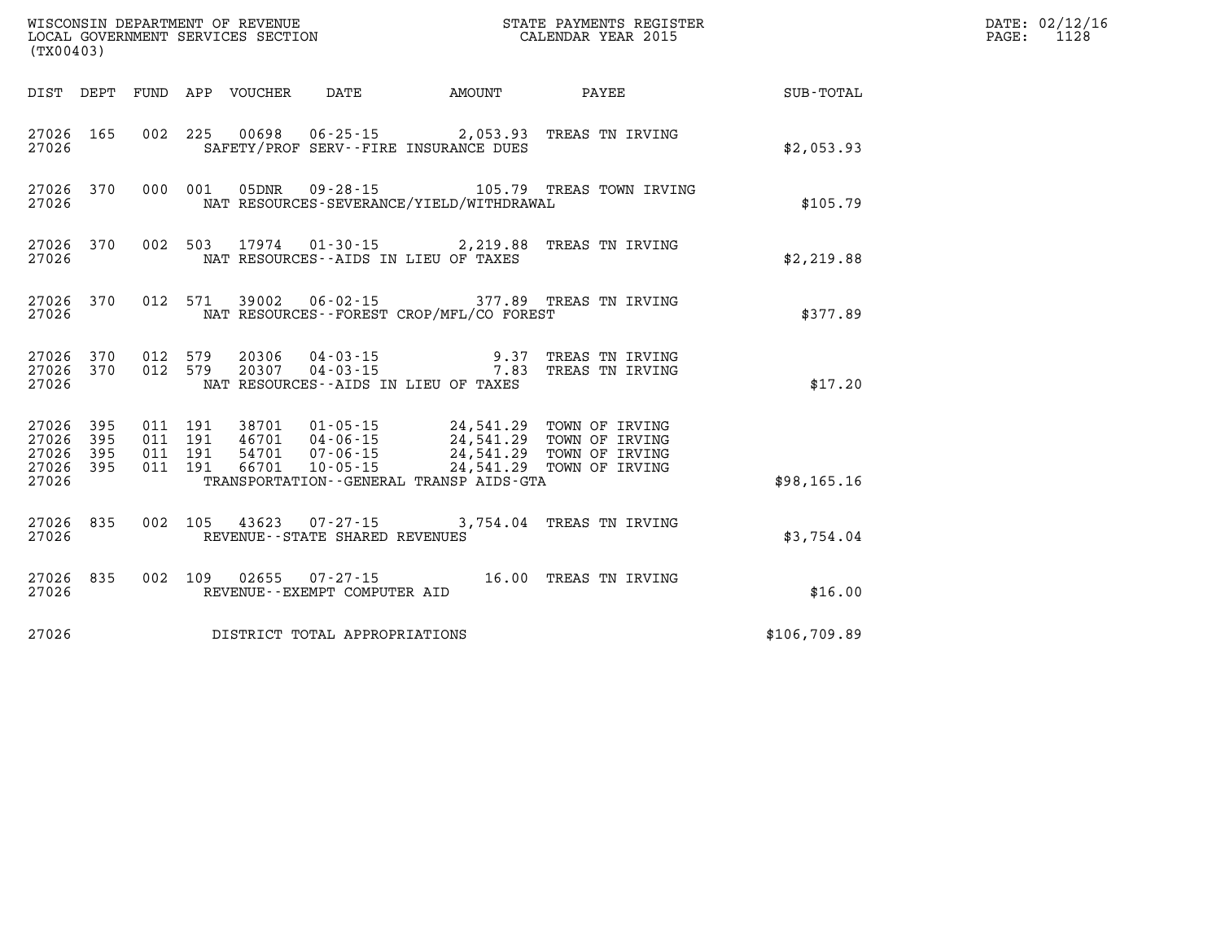| (TX00403)                                    |           |  |  |  |                                |                                          | WISCONSIN DEPARTMENT OF REVENUE<br>LOCAL GOVERNMENT SERVICES SECTION<br>(TYO0403)                                                                                                                            |                                                    | DATE: 02/12/16<br>PAGE: 1128 |
|----------------------------------------------|-----------|--|--|--|--------------------------------|------------------------------------------|--------------------------------------------------------------------------------------------------------------------------------------------------------------------------------------------------------------|----------------------------------------------------|------------------------------|
|                                              |           |  |  |  |                                |                                          |                                                                                                                                                                                                              | DIST DEPT FUND APP VOUCHER DATE AMOUNT PAYEE TOTAL |                              |
| 27026                                        | 27026 165 |  |  |  |                                | SAFETY/PROF SERV--FIRE INSURANCE DUES    | 002 225 00698 06-25-15 2,053.93 TREAS TN IRVING                                                                                                                                                              | \$2,053.93                                         |                              |
| 27026                                        |           |  |  |  |                                | NAT RESOURCES-SEVERANCE/YIELD/WITHDRAWAL | 27026 370 000 001 05DNR 09-28-15 105.79 TREAS TOWN IRVING                                                                                                                                                    | \$105.79                                           |                              |
| 27026                                        | 27026 370 |  |  |  |                                | NAT RESOURCES--AIDS IN LIEU OF TAXES     | 002 503 17974 01-30-15 2,219.88 TREAS TN IRVING                                                                                                                                                              | \$2,219.88                                         |                              |
| 27026                                        |           |  |  |  |                                | NAT RESOURCES--FOREST CROP/MFL/CO FOREST | 27026 370 012 571 39002 06-02-15 377.89 TREAS TN IRVING                                                                                                                                                      | \$377.89                                           |                              |
| 27026                                        |           |  |  |  |                                | NAT RESOURCES -- AIDS IN LIEU OF TAXES   | $\begin{array}{cccccc} 27026 & 370 & 012 & 579 & 20306 & 04-03-15 & & & & & 9.37 & \text{TREAS TN IRVING} \\ 27026 & 370 & 012 & 579 & 20307 & 04-03-15 & & & & & 7.83 & \text{TREAS TN IRVING} \end{array}$ | \$17.20                                            |                              |
| 27026 395<br>27026 395<br>27026 395<br>27026 | 27026 395 |  |  |  |                                | TRANSPORTATION--GENERAL TRANSP AIDS-GTA  | 011 191 38701 01-05-15 24,541.29 TOWN OF IRVING<br>011 191 46701 04-06-15 24,541.29 TOWN OF IRVING<br>011 191 54701 07-06-15 24,541.29 TOWN OF IRVING<br>011 191 66701 10-05-15 24,541.29 TOWN OF IRVING     | \$98,165.16                                        |                              |
| 27026                                        | 27026 835 |  |  |  | REVENUE--STATE SHARED REVENUES |                                          | 002 105 43623 07-27-15 3,754.04 TREAS TN IRVING                                                                                                                                                              | \$3,754.04                                         |                              |
| 27026                                        | 27026 835 |  |  |  | REVENUE--EXEMPT COMPUTER AID   |                                          | 002 109 02655 07-27-15 16.00 TREAS TN IRVING                                                                                                                                                                 | \$16.00                                            |                              |
| DISTRICT TOTAL APPROPRIATIONS<br>27026       |           |  |  |  |                                |                                          | \$106,709.89                                                                                                                                                                                                 |                                                    |                              |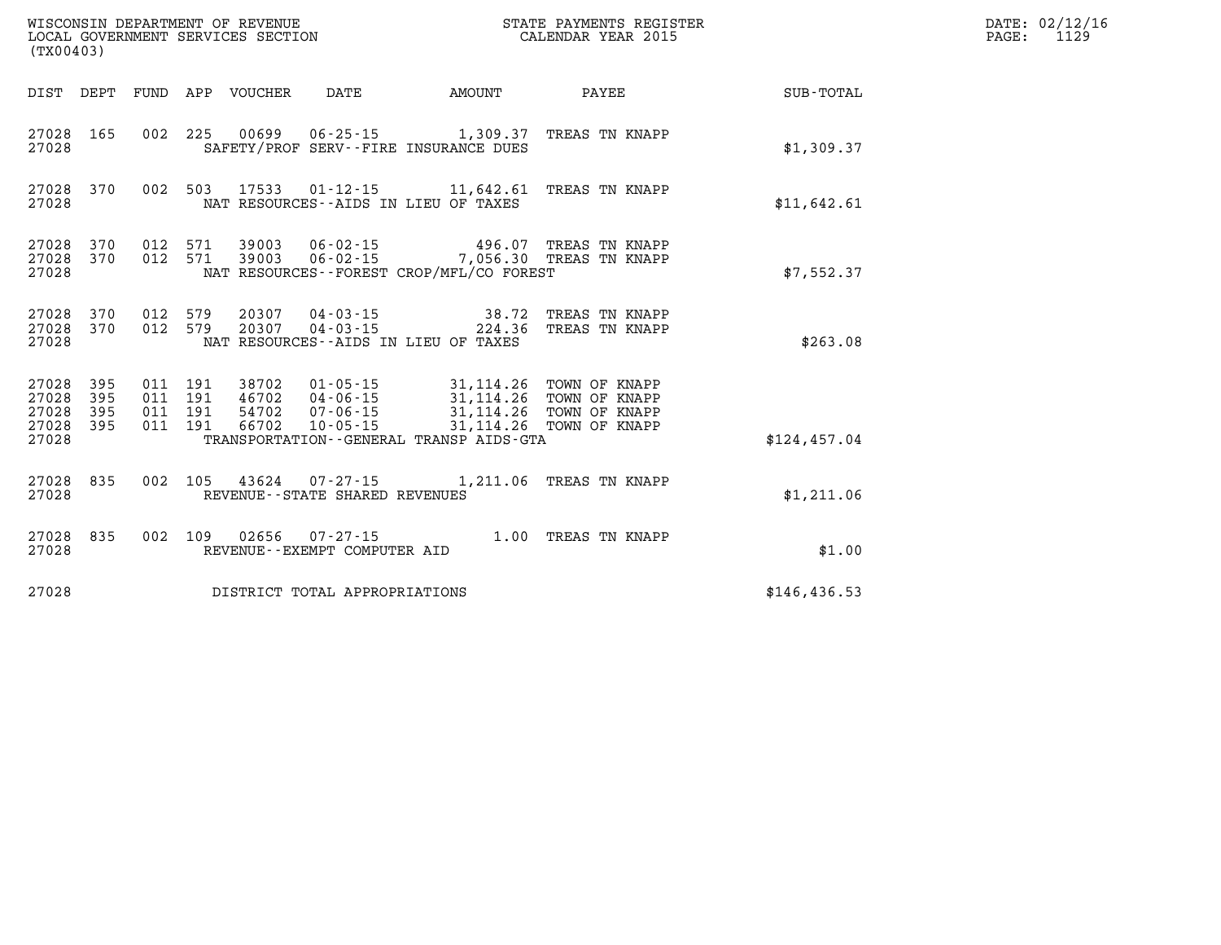| (TX00403)                                         |            |         |  |                                 |                                |                                                                                                                                               | WISCONSIN DEPARTMENT OF REVENUE<br>LOCAL GOVERNMENT SERVICES SECTION<br>LOCAL GOVERNMENT SERVICES SECTION<br>CALENDAR YEAR 2015 |               | DATE: 02/12/16<br>PAGE:<br>1129 |
|---------------------------------------------------|------------|---------|--|---------------------------------|--------------------------------|-----------------------------------------------------------------------------------------------------------------------------------------------|---------------------------------------------------------------------------------------------------------------------------------|---------------|---------------------------------|
|                                                   |            |         |  | DIST DEPT FUND APP VOUCHER DATE |                                | <b>EXAMPLE THE AMOUNT</b>                                                                                                                     | <b>PAYEE</b>                                                                                                                    | SUB-TOTAL     |                                 |
| 27028                                             | 27028 165  |         |  |                                 |                                | 002 225 00699 06-25-15 1,309.37 TREAS TN KNAPP<br>SAFETY/PROF SERV--FIRE INSURANCE DUES                                                       |                                                                                                                                 | \$1,309.37    |                                 |
| 27028                                             | 27028 370  |         |  |                                 |                                | 002 503 17533 01-12-15 11,642.61 TREAS TN KNAPP<br>NAT RESOURCES -- AIDS IN LIEU OF TAXES                                                     |                                                                                                                                 | \$11,642.61   |                                 |
| 27028 370<br>27028                                | 27028 370  |         |  |                                 |                                | 012 571 39003 06-02-15 496.07 TREAS TN KNAPP<br>012 571 39003 06-02-15 7,056.30 TREAS TN KNAPP<br>NAT RESOURCES - - FOREST CROP/MFL/CO FOREST |                                                                                                                                 | \$7,552.37    |                                 |
| 27028                                             | 27028 370  | 012 579 |  | 27028 370 012 579 20307         |                                | 20307  04-03-15  38.72 TREAS TN KNAPP<br>20307  04-03-15  224.36 TREAS TN KNAPP<br>NAT RESOURCES--AIDS IN LIEU OF TAXES                       |                                                                                                                                 | \$263.08      |                                 |
| 27028 395<br>27028<br>27028<br>27028 395<br>27028 | 395<br>395 |         |  |                                 |                                | TRANSPORTATION--GENERAL TRANSP AIDS-GTA                                                                                                       |                                                                                                                                 | \$124,457.04  |                                 |
| 27028                                             | 27028 835  |         |  |                                 | REVENUE--STATE SHARED REVENUES | 002 105 43624 07-27-15 1,211.06 TREAS TN KNAPP                                                                                                |                                                                                                                                 | \$1,211.06    |                                 |
| 27028 835<br>27028                                |            |         |  |                                 | REVENUE--EXEMPT COMPUTER AID   | 002 109 02656 07-27-15 1.00 TREAS TN KNAPP                                                                                                    |                                                                                                                                 | \$1.00        |                                 |
| DISTRICT TOTAL APPROPRIATIONS<br>27028            |            |         |  |                                 |                                |                                                                                                                                               |                                                                                                                                 | \$146, 436.53 |                                 |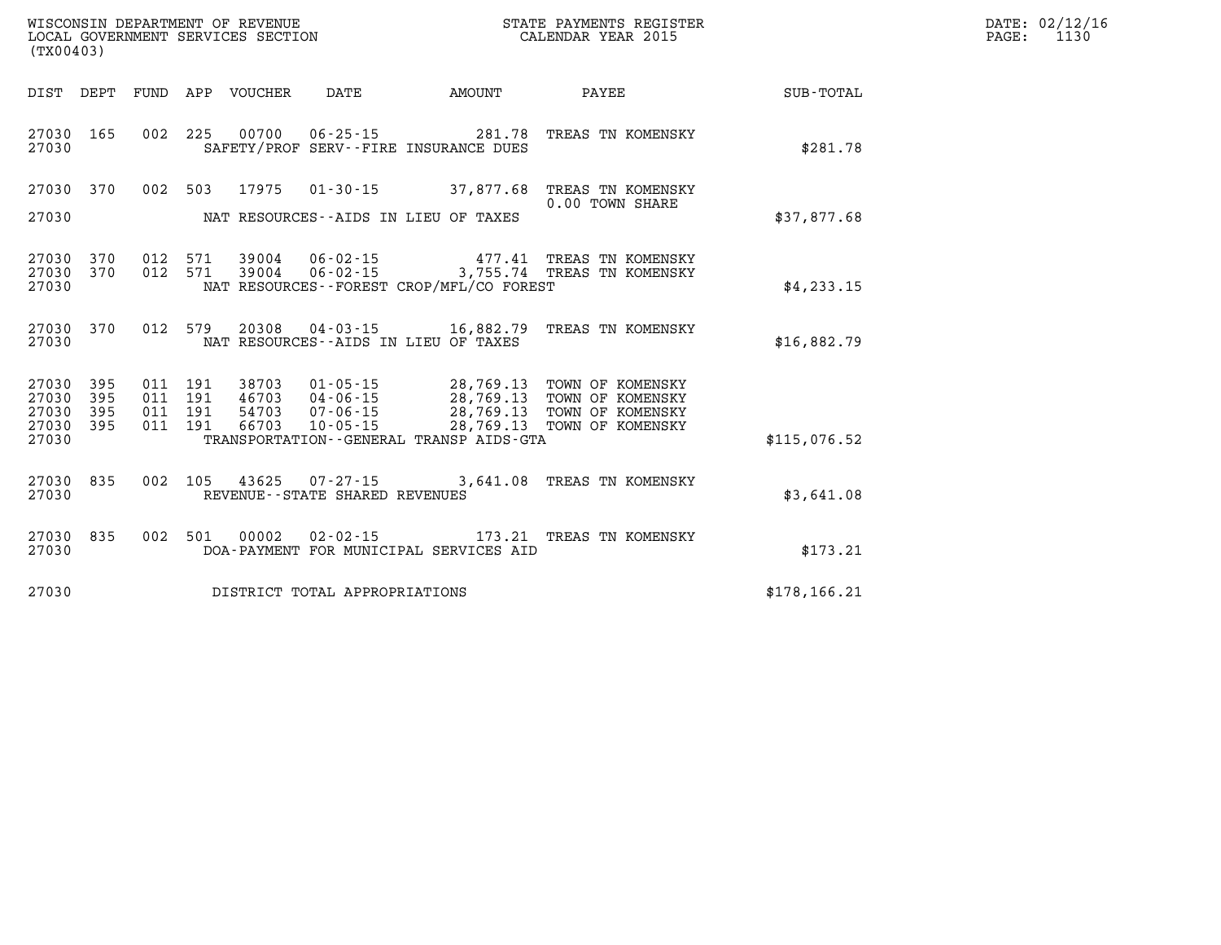| (TX00403)                   |                        |  |                                 |                                |                                             |                                                                                                                                                                                                                                                                                                                                                                 | DATE: 02/12/16<br>$\mathtt{PAGE:}$<br>1130 |  |
|-----------------------------|------------------------|--|---------------------------------|--------------------------------|---------------------------------------------|-----------------------------------------------------------------------------------------------------------------------------------------------------------------------------------------------------------------------------------------------------------------------------------------------------------------------------------------------------------------|--------------------------------------------|--|
|                             |                        |  | DIST DEPT FUND APP VOUCHER DATE |                                | AMOUNT                                      | <b>PAYEE</b>                                                                                                                                                                                                                                                                                                                                                    | SUB-TOTAL                                  |  |
| 27030                       | 27030 165              |  |                                 |                                | SAFETY/PROF SERV--FIRE INSURANCE DUES       | 002 225 00700 06-25-15 281.78 TREAS TN KOMENSKY                                                                                                                                                                                                                                                                                                                 | \$281.78                                   |  |
|                             | 27030 370              |  | 002 503 17975                   |                                |                                             | 01-30-15 37,877.68 TREAS TN KOMENSKY<br>0.00 TOWN SHARE                                                                                                                                                                                                                                                                                                         |                                            |  |
| 27030                       |                        |  |                                 |                                | NAT RESOURCES--AIDS IN LIEU OF TAXES        |                                                                                                                                                                                                                                                                                                                                                                 | \$37,877.68                                |  |
| 27030                       | 27030 370<br>27030 370 |  |                                 |                                | NAT RESOURCES - - FOREST CROP/MFL/CO FOREST | 012 571 39004 06-02-15 477.41 TREAS TN KOMENSKY<br>012 571 39004 06-02-15 3,755.74 TREAS TN KOMENSKY                                                                                                                                                                                                                                                            | \$4,233.15                                 |  |
| 27030                       | 27030 370              |  |                                 |                                | NAT RESOURCES--AIDS IN LIEU OF TAXES        | 012 579 20308 04-03-15 16,882.79 TREAS TN KOMENSKY                                                                                                                                                                                                                                                                                                              | \$16,882.79                                |  |
| 27030 395<br>27030<br>27030 | 395<br>395             |  |                                 |                                |                                             | $\begin{array}{cccccc} 011 & 191 & 38703 & 01\cdot 05\cdot 15 & 28,769.13 & \text{TOWN OF KOMETRY} \\ 011 & 191 & 46703 & 04\cdot 06\cdot 15 & 28,769.13 & \text{TOWN OF KOMETRY} \\ 011 & 191 & 54703 & 07\cdot 06\cdot 15 & 28,769.13 & \text{TOWN OF KOMETRY} \\ 011 & 191 & 66703 & 10\cdot 05\cdot 15 & 28,769.13 & \text{TOWN OF KOMETRY} \\ \end{array}$ |                                            |  |
| 27030 395<br>27030          |                        |  |                                 |                                | TRANSPORTATION--GENERAL TRANSP AIDS-GTA     |                                                                                                                                                                                                                                                                                                                                                                 | \$115,076.52                               |  |
| 27030                       | 27030 835              |  |                                 | REVENUE--STATE SHARED REVENUES |                                             | 002 105 43625 07-27-15 3,641.08 TREAS TN KOMENSKY                                                                                                                                                                                                                                                                                                               | \$3,641.08                                 |  |
| 27030 835<br>27030          |                        |  | 002 501 00002                   |                                | DOA-PAYMENT FOR MUNICIPAL SERVICES AID      | 02-02-15 173.21 TREAS TN KOMENSKY                                                                                                                                                                                                                                                                                                                               | \$173.21                                   |  |
| 27030                       |                        |  |                                 | DISTRICT TOTAL APPROPRIATIONS  |                                             |                                                                                                                                                                                                                                                                                                                                                                 | \$178, 166.21                              |  |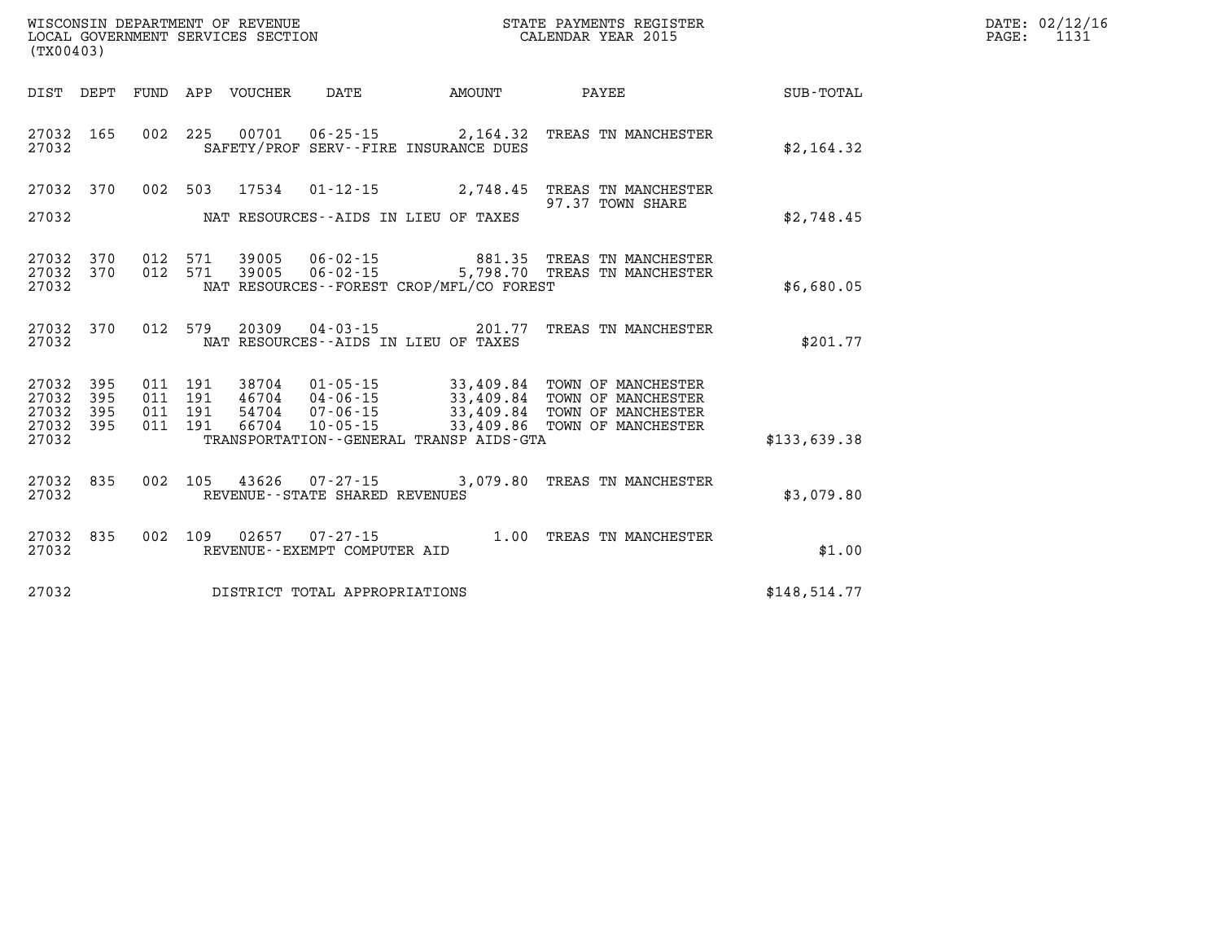| (TX00403)                              |                   |                   |                   | WISCONSIN DEPARTMENT OF REVENUE<br>LOCAL GOVERNMENT SERVICES SECTION |                                                               |                                     | STATE PAYMENTS REGISTER<br>CALENDAR YEAR 2015                  |                  |
|----------------------------------------|-------------------|-------------------|-------------------|----------------------------------------------------------------------|---------------------------------------------------------------|-------------------------------------|----------------------------------------------------------------|------------------|
| DIST                                   | DEPT              | FUND              | APP               | VOUCHER                                                              | DATE                                                          | AMOUNT                              | PAYEE                                                          | <b>SUB-TOTAL</b> |
| 27032<br>27032                         | 165               | 002               | 225               | 00701                                                                | 06-25-15 2,164.32<br>SAFETY/PROF SERV--FIRE INSURANCE DUES    |                                     | TREAS TN MANCHESTER                                            | \$2,164.32       |
| 27032                                  | 370               | 002               | 503               | 17534                                                                | $01 - 12 - 15$                                                | 2,748.45                            | TREAS TN MANCHESTER<br>97.37 TOWN SHARE                        |                  |
| 27032                                  |                   |                   |                   |                                                                      | NAT RESOURCES -- AIDS IN LIEU OF TAXES                        |                                     |                                                                | \$2,748.45       |
| 27032<br>27032<br>27032                | 370<br>370        | 012<br>012        | 571<br>571        | 39005                                                                | $06 - 02 - 15$<br>NAT RESOURCES - - FOREST CROP/MFL/CO FOREST | 881.35                              | TREAS TN MANCHESTER<br>5,798.70 TREAS TN MANCHESTER            | \$6,680.05       |
| 27032<br>27032                         | 370               | 012               | 579               | 20309                                                                | $04 - 03 - 15$<br>NAT RESOURCES -- AIDS IN LIEU OF TAXES      | 201.77                              | TREAS TN MANCHESTER                                            | \$201.77         |
| 27032<br>27032<br>27032                | 395<br>395<br>395 | 011<br>011<br>011 | 191<br>191<br>191 | 38704<br>46704<br>54704                                              | $01 - 05 - 15$<br>04-06-15<br>$07 - 06 - 15$                  | 33,409.84<br>33,409.84<br>33,409.84 | TOWN OF MANCHESTER<br>TOWN OF MANCHESTER<br>TOWN OF MANCHESTER |                  |
| 27032<br>27032                         | 395               | 011               | 191               | 66704                                                                | $10 - 05 - 15$<br>TRANSPORTATION--GENERAL TRANSP AIDS-GTA     | 33,409.86                           | TOWN OF MANCHESTER                                             | \$133,639.38     |
| 27032<br>27032                         | 835               | 002               | 105               | 43626                                                                | $07 - 27 - 15$<br>REVENUE - - STATE SHARED REVENUES           |                                     | 3,079.80 TREAS TN MANCHESTER                                   | \$3,079.80       |
| 27032<br>27032                         | 835               | 002               | 109               | 02657                                                                | $07 - 27 - 15$<br>REVENUE--EXEMPT COMPUTER AID                | 1.00                                | TREAS TN MANCHESTER                                            | \$1.00           |
| 27032<br>DISTRICT TOTAL APPROPRIATIONS |                   |                   |                   |                                                                      |                                                               |                                     |                                                                | \$148,514.77     |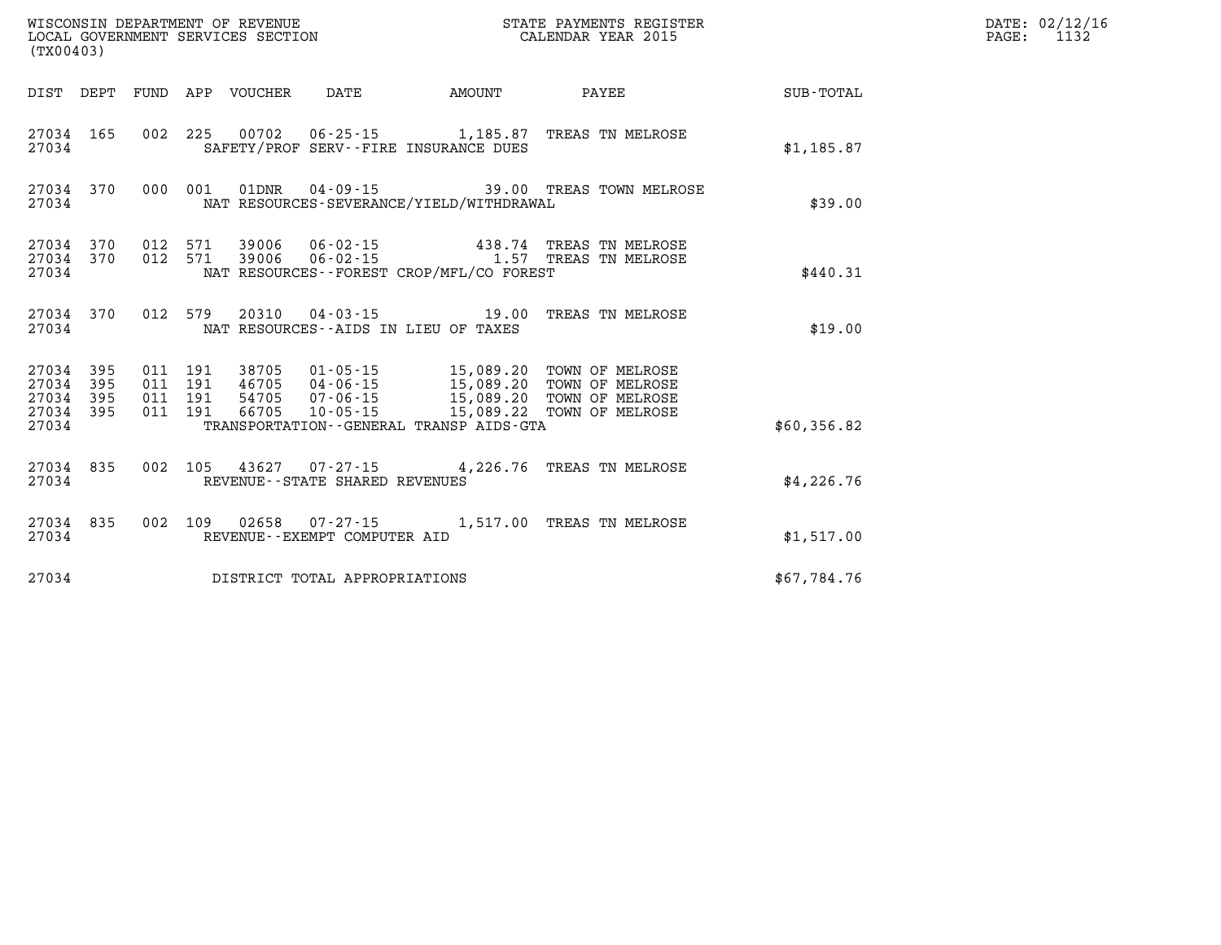|                                                   | WISCONSIN DEPARTMENT OF REVENUE<br>STATE PAYMENTS REGISTER<br>LOCAL GOVERNMENT SERVICES SECTION<br>CALENDAR YEAR 2015<br>(TX00403) |                          |                          |                |                                   |                                                                           |                                                                          |                  |  |  |
|---------------------------------------------------|------------------------------------------------------------------------------------------------------------------------------------|--------------------------|--------------------------|----------------|-----------------------------------|---------------------------------------------------------------------------|--------------------------------------------------------------------------|------------------|--|--|
| DIST                                              | DEPT                                                                                                                               | FUND                     |                          | APP VOUCHER    | DATE                              | AMOUNT                                                                    | PAYEE                                                                    | <b>SUB-TOTAL</b> |  |  |
| 27034<br>27034                                    | 165                                                                                                                                | 002                      | 225                      | 00702          |                                   | 06-25-15 1,185.87<br>SAFETY/PROF SERV--FIRE INSURANCE DUES                | TREAS TN MELROSE                                                         | \$1,185.87       |  |  |
| 27034<br>27034                                    | 370                                                                                                                                | 000                      | 001                      | 01DNR          |                                   | NAT RESOURCES-SEVERANCE/YIELD/WITHDRAWAL                                  | 04-09-15 39.00 TREAS TOWN MELROSE                                        | \$39.00          |  |  |
| 27034 370<br>27034                                | 27034 370                                                                                                                          | 012<br>012               | 571<br>571               |                |                                   | $39006$ $06 - 02 - 15$ $1.57$<br>NAT RESOURCES--FOREST CROP/MFL/CO FOREST | 438.74 TREAS TN MELROSE<br>TREAS TN MELROSE                              | \$440.31         |  |  |
| 27034<br>27034                                    | 370                                                                                                                                | 012                      | 579                      |                |                                   | 20310 04-03-15 19.00<br>NAT RESOURCES -- AIDS IN LIEU OF TAXES            | TREAS TN MELROSE                                                         | \$19.00          |  |  |
| 27034<br>27034<br>27034 395<br>27034 395<br>27034 | 395<br>395                                                                                                                         | 011<br>011<br>011<br>011 | 191<br>191<br>191<br>191 | 54705<br>66705 | $10 - 05 - 15$                    | 15,089.22<br>TRANSPORTATION--GENERAL TRANSP AIDS-GTA                      | TOWN OF MELROSE<br>TOWN OF MELROSE<br>TOWN OF MELROSE<br>TOWN OF MELROSE | \$60,356.82      |  |  |
| 27034<br>27034                                    | 835                                                                                                                                | 002                      | 105                      |                | REVENUE - - STATE SHARED REVENUES |                                                                           | 43627 07-27-15 4,226.76 TREAS TN MELROSE                                 | \$4,226.76       |  |  |
| 27034<br>27034                                    | 835                                                                                                                                | 002                      | 109                      |                | REVENUE--EXEMPT COMPUTER AID      | 02658  07-27-15  1,517.00                                                 | TREAS TN MELROSE                                                         | \$1,517.00       |  |  |
| 27034                                             |                                                                                                                                    |                          |                          |                | DISTRICT TOTAL APPROPRIATIONS     |                                                                           |                                                                          | \$67,784.76      |  |  |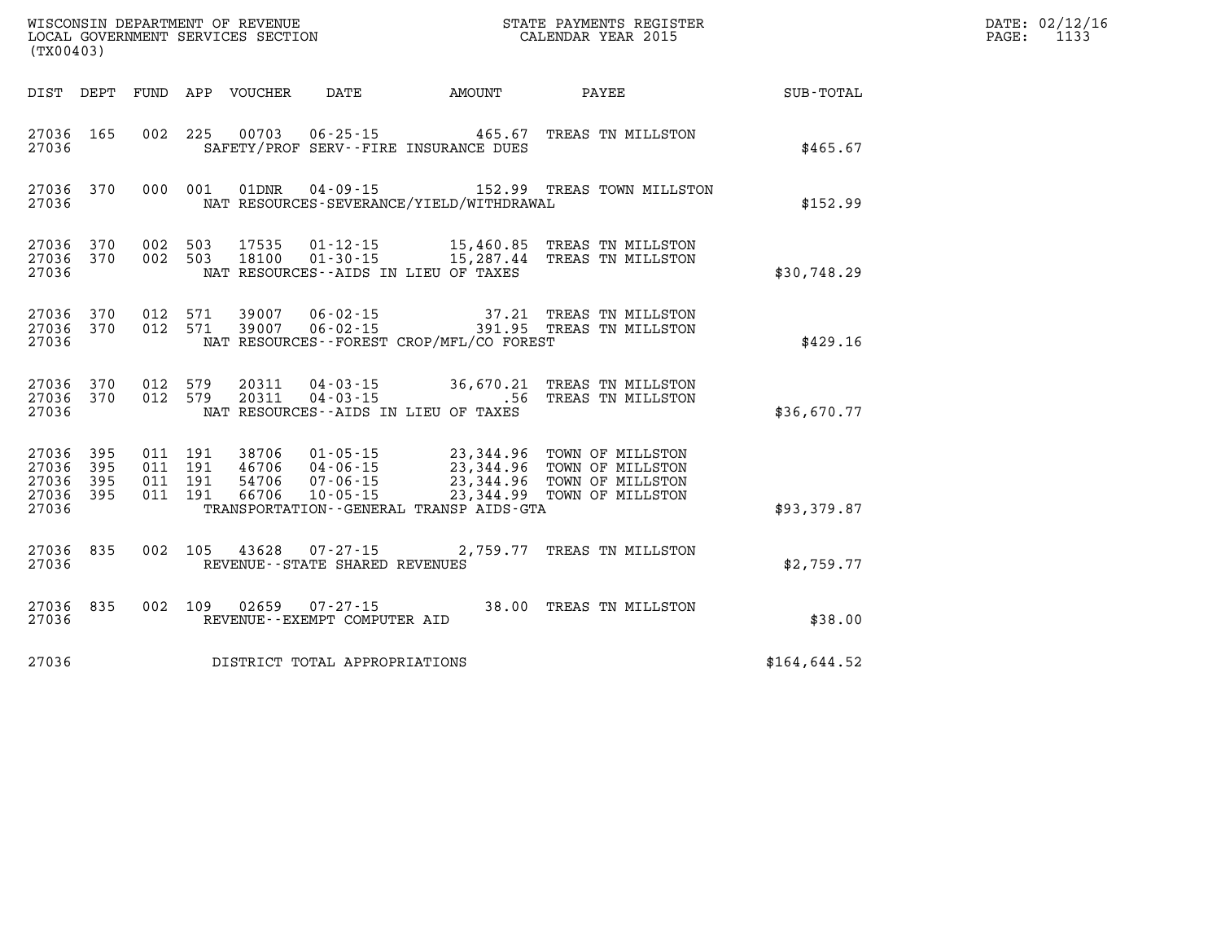| (TX00403)                                             |                        |                              |                         |                                   |                                             | WISCONSIN DEPARTMENT OF REVENUE<br>LOCAL GOVERNMENT SERVICES SECTION<br>LOCAL GOVERNMENT SERVICES SECTION<br>CALENDAR YEAR 2015                                                       |              | DATE: 02/12/16<br>PAGE: 1133 |
|-------------------------------------------------------|------------------------|------------------------------|-------------------------|-----------------------------------|---------------------------------------------|---------------------------------------------------------------------------------------------------------------------------------------------------------------------------------------|--------------|------------------------------|
|                                                       |                        |                              |                         |                                   | DIST DEPT FUND APP VOUCHER DATE AMOUNT      | PAYEE SUB-TOTAL                                                                                                                                                                       |              |                              |
| 27036 165<br>27036                                    |                        |                              |                         |                                   | SAFETY/PROF SERV--FIRE INSURANCE DUES       | 002 225 00703 06-25-15 465.67 TREAS TN MILLSTON                                                                                                                                       | \$465.67     |                              |
| 27036                                                 |                        |                              |                         |                                   | NAT RESOURCES-SEVERANCE/YIELD/WITHDRAWAL    | 27036 370 000 001 01DNR 04-09-15 152.99 TREAS TOWN MILLSTON                                                                                                                           | \$152.99     |                              |
| 27036                                                 | 27036 370<br>27036 370 |                              |                         |                                   | NAT RESOURCES--AIDS IN LIEU OF TAXES        | 002 503 17535 01-12-15 15,460.85 TREAS TN MILLSTON<br>002 503 18100 01-30-15 15,287.44 TREAS TN MILLSTON                                                                              | \$30,748.29  |                              |
| 27036                                                 | 27036 370              |                              | 27036 370 012 571 39007 |                                   | NAT RESOURCES - - FOREST CROP/MFL/CO FOREST | 012 571 39007 06-02-15 37.21 TREAS TN MILLSTON<br>012 571 39007 06-02-15 391.95 TREAS TN MILLSTON                                                                                     | \$429.16     |                              |
| 27036                                                 | 27036 370              | 27036 370 012 579<br>012 579 |                         |                                   | NAT RESOURCES--AIDS IN LIEU OF TAXES        | 20311  04-03-15  36,670.21  TREAS TN MILLSTON<br>20311  04-03-15  .56  TREAS TN MILLSTON                                                                                              | \$36,670.77  |                              |
| 27036 395<br>27036<br>27036 395<br>27036 395<br>27036 | 395                    |                              |                         |                                   | TRANSPORTATION--GENERAL TRANSP AIDS-GTA     | 011 191 38706 01-05-15 23,344.96 TOWN OF MILLSTON<br>011 191 46706 04-06-15 23,344.96 TOWN OF MILLSTON<br>011 191 66706 10-05-15 23,344.96 TOWN OF MILLSTON<br>011 191 66706 10-05-15 | \$93,379.87  |                              |
| 27036                                                 | 27036 835              |                              |                         | REVENUE - - STATE SHARED REVENUES |                                             | 002 105 43628 07-27-15 2,759.77 TREAS TN MILLSTON                                                                                                                                     | \$2,759.77   |                              |
| 27036                                                 |                        | 27036 835 002 109            |                         | REVENUE--EXEMPT COMPUTER AID      |                                             | 02659  07-27-15  38.00 TREAS TN MILLSTON                                                                                                                                              | \$38.00      |                              |
| 27036                                                 |                        |                              |                         | DISTRICT TOTAL APPROPRIATIONS     |                                             |                                                                                                                                                                                       | \$164,644.52 |                              |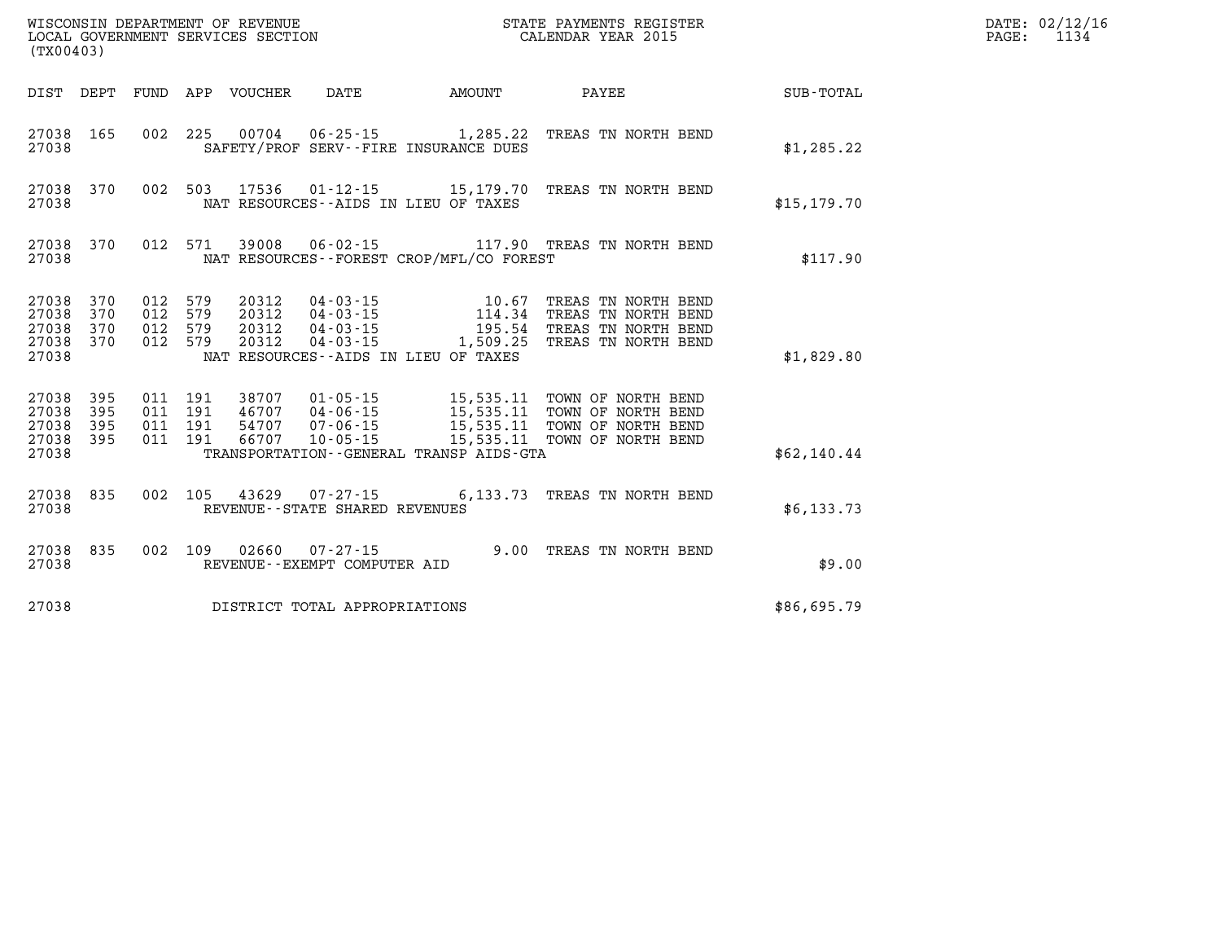| DATE: | 02/12/16 |
|-------|----------|
| PAGE: | 1134     |

| (TX00403)                                 | WISCONSIN DEPARTMENT OF REVENUE<br>LOCAL GOVERNMENT SERVICES SECTION | STATE PAYMENTS REGISTER<br>CALENDAR YEAR 2015 |                          |                                  |                                                                                    |                                                                                             |                                                                                          |                  |
|-------------------------------------------|----------------------------------------------------------------------|-----------------------------------------------|--------------------------|----------------------------------|------------------------------------------------------------------------------------|---------------------------------------------------------------------------------------------|------------------------------------------------------------------------------------------|------------------|
| DIST                                      | DEPT                                                                 | <b>FUND</b>                                   | APP                      | VOUCHER                          | DATE                                                                               | AMOUNT                                                                                      | PAYEE                                                                                    | <b>SUB-TOTAL</b> |
| 27038<br>27038                            | 165                                                                  | 002                                           | 225                      | 00704                            |                                                                                    | $06 - 25 - 15$ 1, 285.22<br>SAFETY/PROF SERV--FIRE INSURANCE DUES                           | TREAS TN NORTH BEND                                                                      | \$1,285.22       |
| 27038<br>27038                            | 370                                                                  | 002                                           | 503                      | 17536                            | $01 - 12 - 15$                                                                     | 15,179.70<br>NAT RESOURCES -- AIDS IN LIEU OF TAXES                                         | TREAS TN NORTH BEND                                                                      | \$15, 179.70     |
| 27038<br>27038                            | 370                                                                  | 012                                           | 571                      | 39008                            | $06 - 02 - 15$                                                                     | NAT RESOURCES - - FOREST CROP/MFL/CO FOREST                                                 | 117.90 TREAS TN NORTH BEND                                                               | \$117.90         |
| 27038<br>27038<br>27038<br>27038<br>27038 | 370<br>370<br>370<br>370                                             | 012<br>012<br>012<br>012                      | 579<br>579<br>579<br>579 | 20312<br>20312<br>20312<br>20312 | $04 - 03 - 15$<br>$04 - 03 - 15$<br>$04 - 03 - 15$<br>$04 - 03 - 15$               | 10.67<br>114.34<br>195.54<br>1,509.25<br>NAT RESOURCES--AIDS IN LIEU OF TAXES               | TREAS TN NORTH BEND<br>TREAS TN NORTH BEND<br>TREAS TN NORTH BEND<br>TREAS TN NORTH BEND | \$1,829.80       |
| 27038<br>27038<br>27038<br>27038<br>27038 | 395<br>395<br>395<br>395                                             | 011<br>011<br>011<br>011                      | 191<br>191<br>191<br>191 | 38707<br>46707<br>54707<br>66707 | $01 - 05 - 15$<br>04 - 06 - 15<br>07 - 06 - 15<br>$07 - 06 - 15$<br>$10 - 05 - 15$ | 15,535.11<br>15,535.11<br>15,535.11<br>15,535.11<br>TRANSPORTATION--GENERAL TRANSP AIDS-GTA | TOWN OF NORTH BEND<br>TOWN OF NORTH BEND<br>TOWN OF NORTH BEND<br>TOWN OF NORTH BEND     | \$62,140.44      |
| 27038<br>27038                            | 835                                                                  | 002                                           | 105                      | 43629                            | $07 - 27 - 15$<br>REVENUE--STATE SHARED REVENUES                                   | 6,133.73                                                                                    | TREAS TN NORTH BEND                                                                      | \$6,133.73       |
| 27038<br>27038                            | 835                                                                  | 002                                           | 109                      | 02660                            | $07 - 27 - 15$<br>REVENUE--EXEMPT COMPUTER AID                                     |                                                                                             | 9.00 TREAS TN NORTH BEND                                                                 | \$9.00           |
| 27038                                     |                                                                      |                                               |                          |                                  | DISTRICT TOTAL APPROPRIATIONS                                                      |                                                                                             |                                                                                          | \$86,695.79      |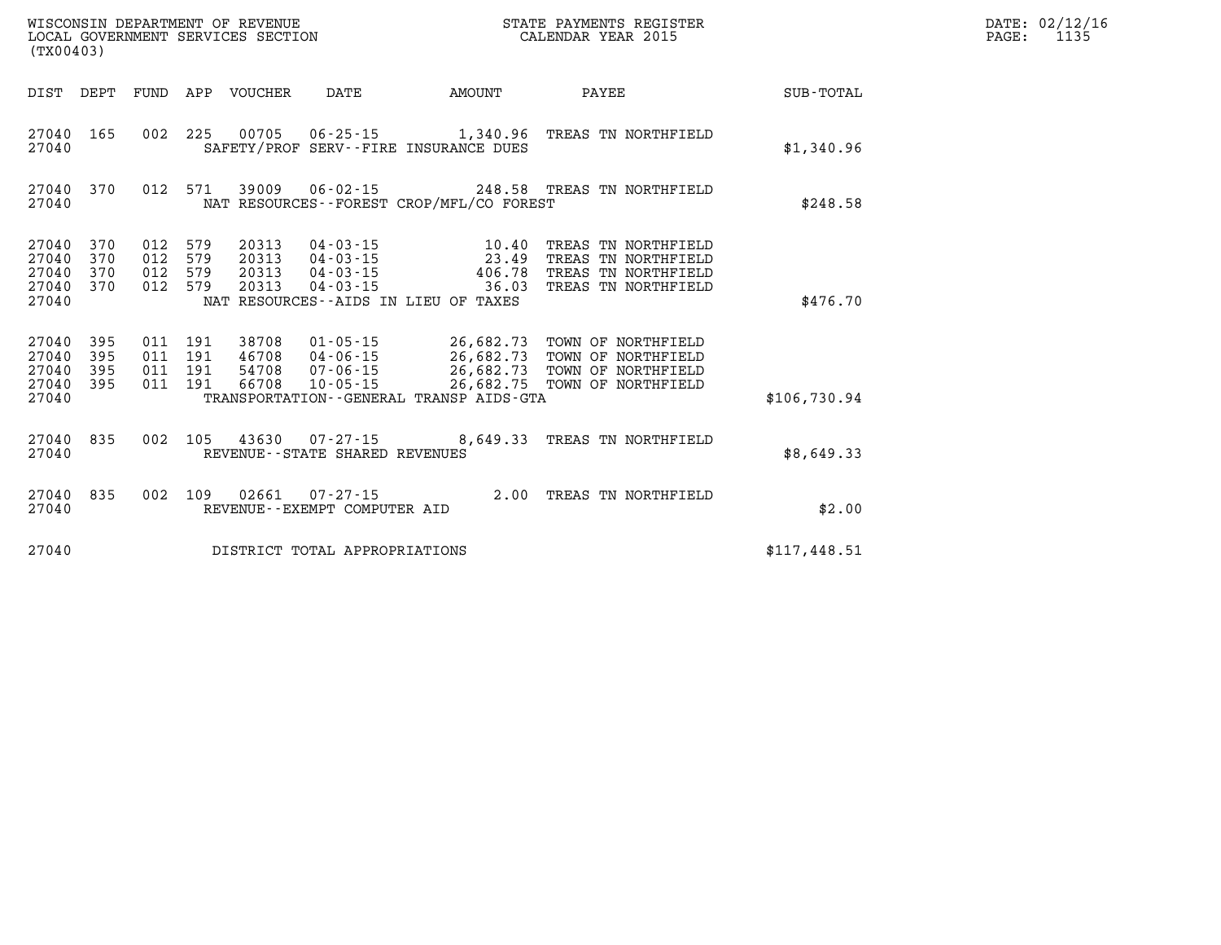|                                               | LOCAL GOVERNMENT SERVICES SECTION<br>(TX00403) |                   |                                      |                                  |                                                             | CALENDAR YEAR 2015                                                        |                                                                                                                              | PAGE:        | 1135 |  |
|-----------------------------------------------|------------------------------------------------|-------------------|--------------------------------------|----------------------------------|-------------------------------------------------------------|---------------------------------------------------------------------------|------------------------------------------------------------------------------------------------------------------------------|--------------|------|--|
|                                               | DIST DEPT                                      | FUND              |                                      | APP VOUCHER                      | DATE                                                        | AMOUNT                                                                    | PAYEE                                                                                                                        | SUB-TOTAL    |      |  |
| 27040 165<br>27040                            |                                                |                   | 002 225                              |                                  |                                                             | 00705 06-25-15 1,340.96<br>SAFETY/PROF SERV--FIRE INSURANCE DUES          | TREAS TN NORTHFIELD                                                                                                          | \$1,340.96   |      |  |
| 27040 370<br>27040                            |                                                | 012               | 571                                  | 39009                            |                                                             | NAT RESOURCES--FOREST CROP/MFL/CO FOREST                                  | 06-02-15 248.58 TREAS TN NORTHFIELD                                                                                          | \$248.58     |      |  |
| 27040<br>27040<br>27040<br>27040<br>27040     | 370<br>370<br>370<br>370                       | 012<br>012<br>012 | 579<br>579<br>012 579<br>579         | 20313<br>20313<br>20313<br>20313 | $04 - 03 - 15$<br>04-03-15<br>04-03-15<br>$04 - 03 - 15$    | 10.40<br>23.49<br>406.78<br>36.03<br>NAT RESOURCES--AIDS IN LIEU OF TAXES | TREAS TN NORTHFIELD<br>TREAS TN NORTHFIELD<br>TREAS TN NORTHFIELD<br>TREAS TN NORTHFIELD                                     | \$476.70     |      |  |
| 27040<br>27040<br>27040<br>27040 395<br>27040 | 395<br>395<br>395                              | 011               | 191<br>011 191<br>011 191<br>011 191 | 38708<br>46708<br>54708<br>66708 | 01-05-15<br>04-06-15<br>07-06-15<br>$10 - 05 - 15$          | TRANSPORTATION - - GENERAL TRANSP AIDS - GTA                              | 26,682.73 TOWN OF NORTHFIELD<br>26,682.73 TOWN OF NORTHFIELD<br>26,682.73 TOWN OF NORTHFIELD<br>26,682.75 TOWN OF NORTHFIELD | \$106,730.94 |      |  |
| 27040 835<br>27040                            |                                                |                   |                                      |                                  | 002 105 43630 07-27-15<br>REVENUE - - STATE SHARED REVENUES |                                                                           | 8,649.33 TREAS TN NORTHFIELD                                                                                                 | \$8,649.33   |      |  |
| 27040<br>27040                                | 835                                            |                   | 002 109                              | 02661                            | REVENUE - - EXEMPT COMPUTER AID                             |                                                                           | 07-27-15 2.00 TREAS TN NORTHFIELD                                                                                            | \$2.00       |      |  |
| 27040                                         |                                                |                   |                                      |                                  | DISTRICT TOTAL APPROPRIATIONS                               |                                                                           |                                                                                                                              | \$117,448.51 |      |  |

**WISCONSIN DEPARTMENT OF REVENUE STATE PAYMENTS REGISTER DATE: 02/12/16**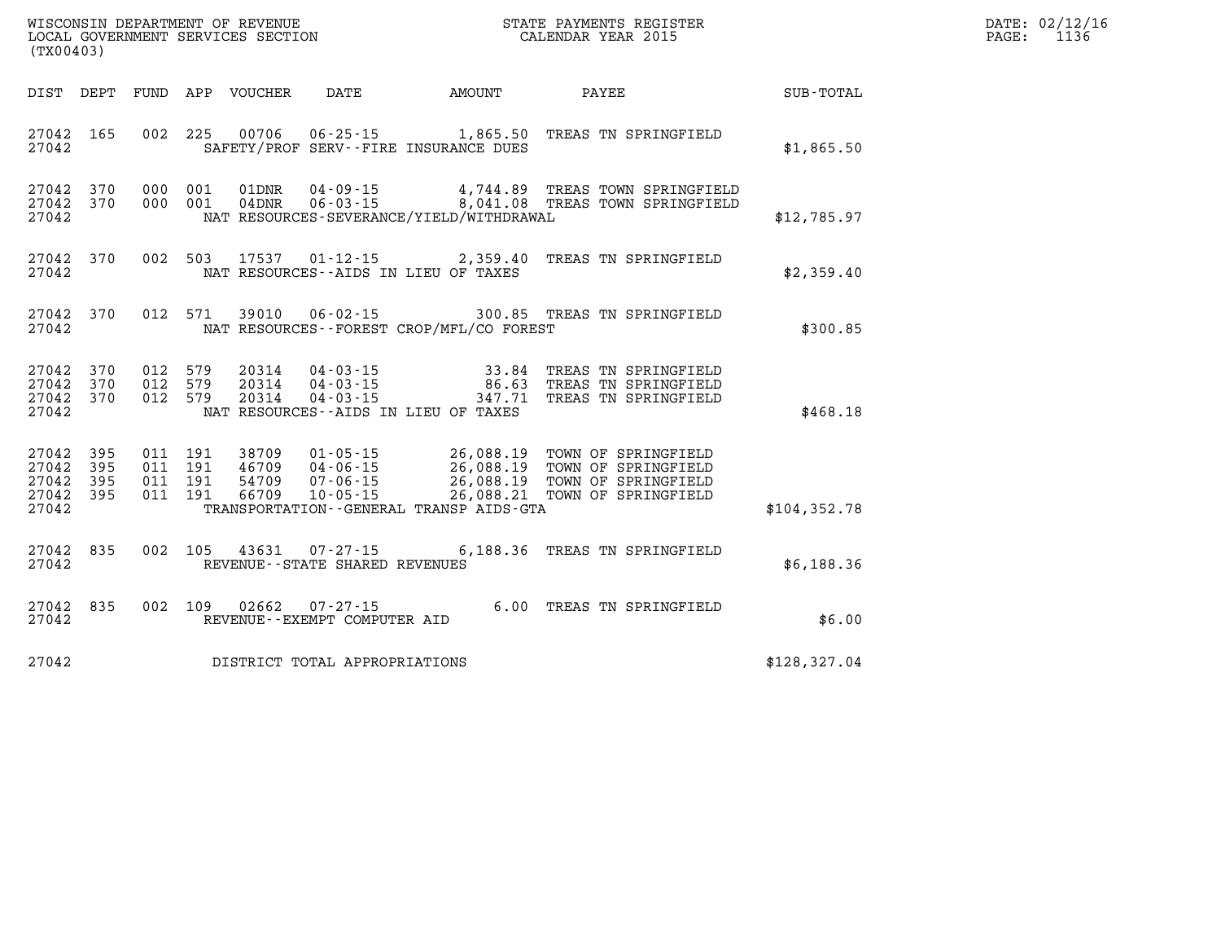| WISCONSIN DEPARTMENT OF REVENUE   | STATE PAYMENTS REGISTER | DATE: 02/12/16 |
|-----------------------------------|-------------------------|----------------|
| LOCAL GOVERNMENT SERVICES SECTION | CALENDAR YEAR 2015      | PAGE           |
| $1 - 2 - 0 - 1 - 0$               |                         |                |

| (TX00403)                                 |                          |                          |                          |                                  |                                                                      |                                                                                                  |                                                                                          |                  |
|-------------------------------------------|--------------------------|--------------------------|--------------------------|----------------------------------|----------------------------------------------------------------------|--------------------------------------------------------------------------------------------------|------------------------------------------------------------------------------------------|------------------|
| DIST                                      | DEPT                     | FUND                     | APP                      | VOUCHER                          | <b>DATE</b>                                                          | AMOUNT                                                                                           | PAYEE                                                                                    | <b>SUB-TOTAL</b> |
| 27042<br>27042                            | 165                      | 002                      | 225                      | 00706                            |                                                                      | $06 - 25 - 15$ 1,865.50<br>SAFETY/PROF SERV--FIRE INSURANCE DUES                                 | TREAS TN SPRINGFIELD                                                                     | \$1,865.50       |
| 27042<br>27042<br>27042                   | 370<br>370               | 000<br>000               | 001<br>001               | 01DNR<br>04DNR                   | $04 - 09 - 15$<br>$06 - 03 - 15$                                     | 4,744.89<br>NAT RESOURCES-SEVERANCE/YIELD/WITHDRAWAL                                             | TREAS TOWN SPRINGFIELD<br>8,041.08 TREAS TOWN SPRINGFIELD                                | \$12,785.97      |
| 27042<br>27042                            | 370                      | 002                      | 503                      | 17537                            | $01 - 12 - 15$                                                       | 2,359.40<br>NAT RESOURCES -- AIDS IN LIEU OF TAXES                                               | TREAS TN SPRINGFIELD                                                                     | \$2,359.40       |
| 27042<br>27042                            | 370                      | 012                      | 571                      | 39010                            | $06 - 02 - 15$                                                       | NAT RESOURCES - - FOREST CROP/MFL/CO FOREST                                                      | 300.85 TREAS TN SPRINGFIELD                                                              | \$300.85         |
| 27042<br>27042<br>27042<br>27042          | 370<br>370<br>370        | 012<br>012<br>012        | 579<br>579<br>579        | 20314<br>20314<br>20314          | $04 - 03 - 15$<br>$04 - 03 - 15$<br>$04 - 03 - 15$                   | 33.84<br>86.63<br>347.71<br>NAT RESOURCES -- AIDS IN LIEU OF TAXES                               | TREAS TN SPRINGFIELD<br>TREAS TN SPRINGFIELD<br>TREAS TN SPRINGFIELD                     | \$468.18         |
| 27042<br>27042<br>27042<br>27042<br>27042 | 395<br>395<br>395<br>395 | 011<br>011<br>011<br>011 | 191<br>191<br>191<br>191 | 38709<br>46709<br>54709<br>66709 | $01 - 05 - 15$<br>$04 - 06 - 15$<br>$07 - 06 - 15$<br>$10 - 05 - 15$ | 26,088.19<br>26,088.19<br>26,088.19<br>26,088.21<br>TRANSPORTATION - - GENERAL TRANSP AIDS - GTA | TOWN OF SPRINGFIELD<br>TOWN OF SPRINGFIELD<br>TOWN OF SPRINGFIELD<br>TOWN OF SPRINGFIELD | \$104, 352.78    |
| 27042<br>27042                            | 835                      | 002                      | 105                      | 43631                            | $07 - 27 - 15$<br>REVENUE - - STATE SHARED REVENUES                  | 6,188.36                                                                                         | TREAS TN SPRINGFIELD                                                                     | \$6,188.36       |
| 27042<br>27042                            | 835                      | 002                      | 109                      | 02662                            | $07 - 27 - 15$<br>REVENUE - - EXEMPT COMPUTER AID                    | 6.00                                                                                             | TREAS TN SPRINGFIELD                                                                     | \$6.00           |
| 27042                                     |                          |                          |                          |                                  | DISTRICT TOTAL APPROPRIATIONS                                        |                                                                                                  |                                                                                          | \$128, 327.04    |

WISCONSIN DEPARTMENT OF REVENUE **STATE PAYMENTS REGISTER**<br>LOCAL GOVERNMENT SERVICES SECTION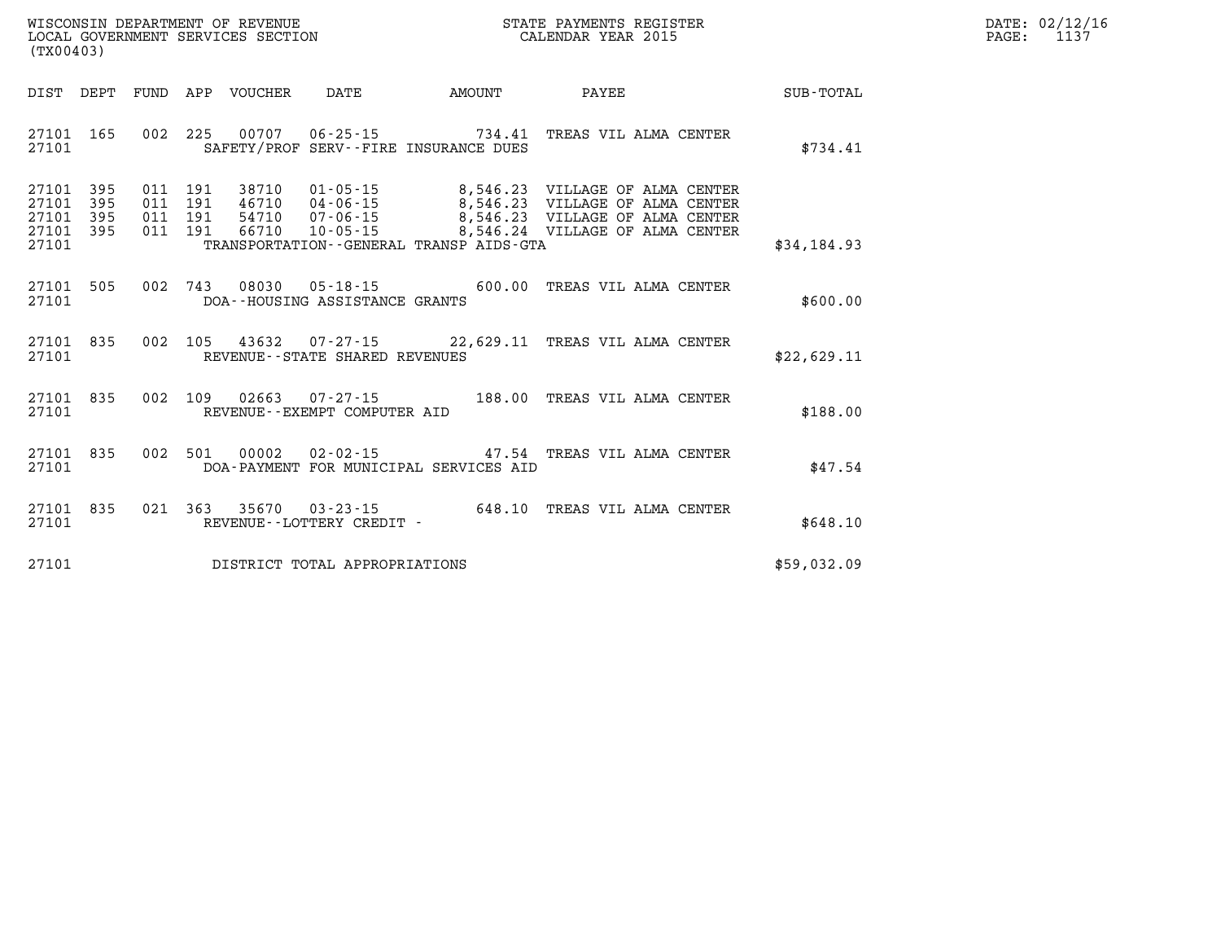| $\mathtt{DATE}$ : | 02/12/16 |
|-------------------|----------|
| $\mathtt{PAGE}$ : | 1137     |

| DIST<br>DEPT                                                          | FUND                     | APP<br>VOUCHER                                               | DATE                                                                                                            | AMOUNT                                       | PAYEE                                                                                                | SUB-TOTAL   |
|-----------------------------------------------------------------------|--------------------------|--------------------------------------------------------------|-----------------------------------------------------------------------------------------------------------------|----------------------------------------------|------------------------------------------------------------------------------------------------------|-------------|
| 165<br>27101<br>27101                                                 | 002                      | 225<br>00707                                                 | $06 - 25 - 15$<br>SAFETY/PROF SERV--FIRE INSURANCE DUES                                                         | 734.41                                       | TREAS VIL ALMA CENTER                                                                                | \$734.41    |
| 27101<br>395<br>395<br>27101<br>395<br>27101<br>27101<br>395<br>27101 | 011<br>011<br>011<br>011 | 191<br>38710<br>191<br>46710<br>191<br>54710<br>191<br>66710 | $01 - 05 - 15$<br>$04 - 06 - 15$<br>$07 - 06 - 15$<br>$10 - 05 - 15$<br>TRANSPORTATION--GENERAL TRANSP AIDS-GTA | 8,546.23<br>8,546.23<br>8,546.23<br>8,546.24 | VILLAGE OF ALMA CENTER<br>VILLAGE OF ALMA CENTER<br>VILLAGE OF ALMA CENTER<br>VILLAGE OF ALMA CENTER | \$34,184.93 |
| 27101<br>505<br>27101                                                 | 002                      | 743<br>08030                                                 | $05 - 18 - 15$<br>DOA--HOUSING ASSISTANCE GRANTS                                                                | 600.00                                       | TREAS VIL ALMA CENTER                                                                                | \$600.00    |
| 27101<br>835<br>27101                                                 | 002                      | 105<br>43632                                                 | $07 - 27 - 15$<br>REVENUE - - STATE SHARED REVENUES                                                             |                                              | 22,629.11 TREAS VIL ALMA CENTER                                                                      | \$22,629.11 |
| 835<br>27101<br>27101                                                 | 002                      | 109<br>02663                                                 | $07 - 27 - 15$<br>REVENUE--EXEMPT COMPUTER AID                                                                  | 188.00                                       | TREAS VIL ALMA CENTER                                                                                | \$188.00    |
| 835<br>27101<br>27101                                                 | 002                      | 501<br>00002                                                 | $02 - 02 - 15$<br>DOA-PAYMENT FOR MUNICIPAL SERVICES AID                                                        | 47.54                                        | TREAS VIL ALMA CENTER                                                                                | \$47.54     |
| 27101<br>835<br>27101                                                 | 021                      | 363<br>35670<br>REVENUE - - LOTTERY CREDIT -                 | $03 - 23 - 15$                                                                                                  | 648.10                                       | TREAS VIL ALMA CENTER                                                                                | \$648.10    |
| 27101                                                                 |                          |                                                              | DISTRICT TOTAL APPROPRIATIONS                                                                                   |                                              |                                                                                                      | \$59,032.09 |

WISCONSIN DEPARTMENT OF REVENUE **STATE PAYMENTS REGISTER**<br>LOCAL GOVERNMENT SERVICES SECTION

LOCAL GOVERNMENT SERVICES SECTION

**(TX00403)**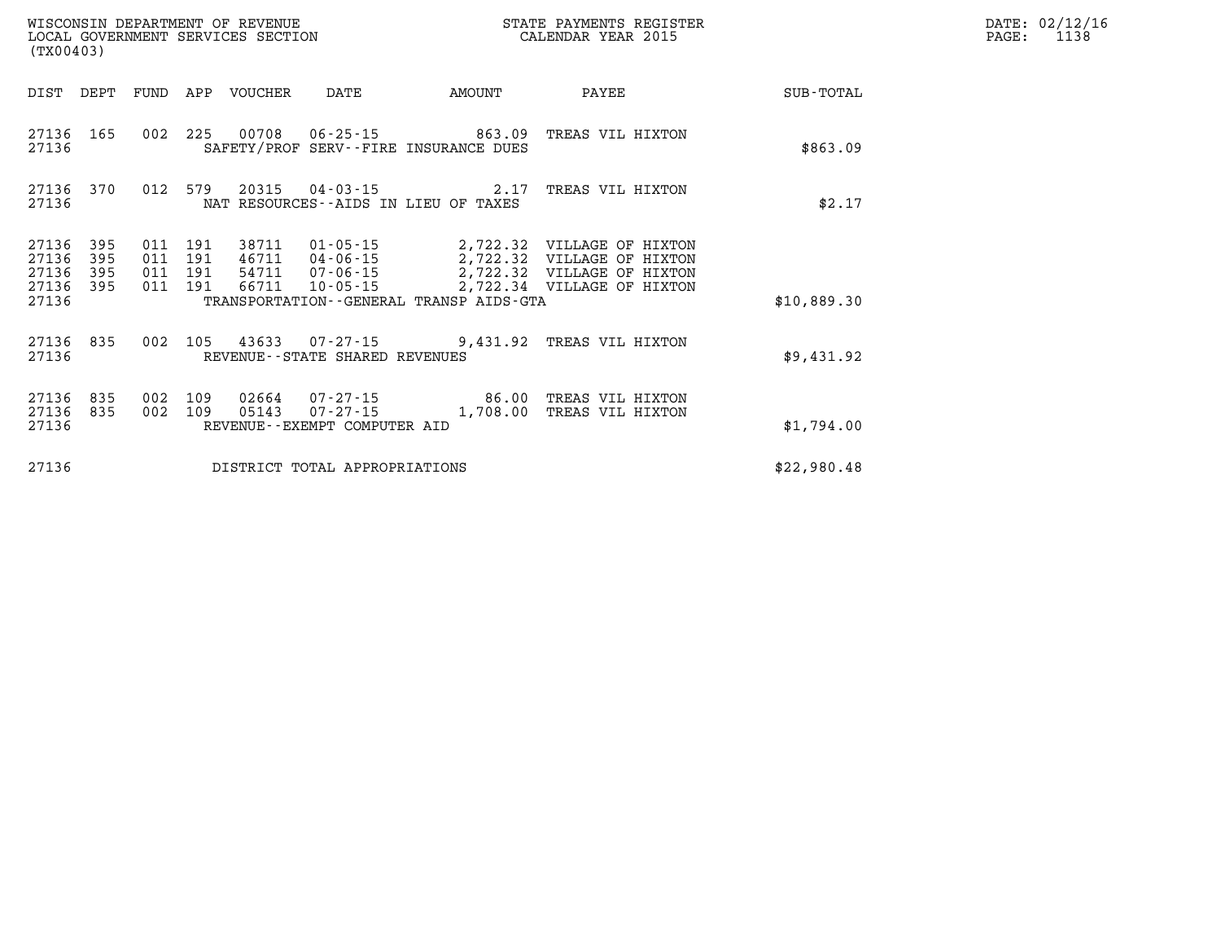|                                  | WISCONSIN DEPARTMENT OF REVENUE<br>STATE PAYMENTS REGISTER<br>LOCAL GOVERNMENT SERVICES SECTION<br>CALENDAR YEAR 2015<br>(TX00403) |                          |                          |                                  |                                                  |                                                                |                                                                                                                               |                  |  |  |
|----------------------------------|------------------------------------------------------------------------------------------------------------------------------------|--------------------------|--------------------------|----------------------------------|--------------------------------------------------|----------------------------------------------------------------|-------------------------------------------------------------------------------------------------------------------------------|------------------|--|--|
| DIST                             | DEPT                                                                                                                               | FUND                     | APP                      | VOUCHER                          | DATE                                             | <b>EXAMPLE THE PROPERTY OF AMOUNT</b>                          | PAYEE                                                                                                                         | <b>SUB-TOTAL</b> |  |  |
| 27136<br>27136                   | 165                                                                                                                                | 002                      | 225                      |                                  |                                                  | 00708 06-25-15 863.09<br>SAFETY/PROF SERV--FIRE INSURANCE DUES | TREAS VIL HIXTON                                                                                                              | \$863.09         |  |  |
| 27136<br>27136                   | 370                                                                                                                                | 012                      | 579                      |                                  |                                                  | 20315 04-03-15 2.17<br>NAT RESOURCES--AIDS IN LIEU OF TAXES    | TREAS VIL HIXTON                                                                                                              | \$2.17           |  |  |
| 27136<br>27136<br>27136<br>27136 | 395<br>395<br>395<br>395                                                                                                           | 011<br>011<br>011<br>011 | 191<br>191<br>191<br>191 | 38711<br>46711<br>54711<br>66711 | 04-06-15<br>$07 - 06 - 15$<br>10-05-15           |                                                                | 01-05-15 2,722.32 VILLAGE OF HIXTON<br>2,722.32 VILLAGE OF HIXTON<br>2,722.32 VILLAGE OF HIXTON<br>2,722.34 VILLAGE OF HIXTON |                  |  |  |
| 27136                            |                                                                                                                                    |                          |                          |                                  |                                                  | TRANSPORTATION--GENERAL TRANSP AIDS-GTA                        |                                                                                                                               | \$10,889.30      |  |  |
| 27136<br>27136                   | 835                                                                                                                                | 002                      | 105                      |                                  | 43633 07-27-15<br>REVENUE--STATE SHARED REVENUES |                                                                | 9,431.92 TREAS VIL HIXTON                                                                                                     | \$9,431.92       |  |  |
| 27136<br>27136<br>27136          | 835<br>835                                                                                                                         | 002<br>002               | 109<br>109               | 02664<br>05143                   | REVENUE--EXEMPT COMPUTER AID                     | $07 - 27 - 15$ 86.00<br>$07 - 27 - 15$ 1,708.00                | TREAS VIL HIXTON<br>TREAS VIL HIXTON                                                                                          | \$1,794.00       |  |  |
| 27136                            |                                                                                                                                    |                          |                          |                                  | DISTRICT TOTAL APPROPRIATIONS                    |                                                                |                                                                                                                               | \$22,980.48      |  |  |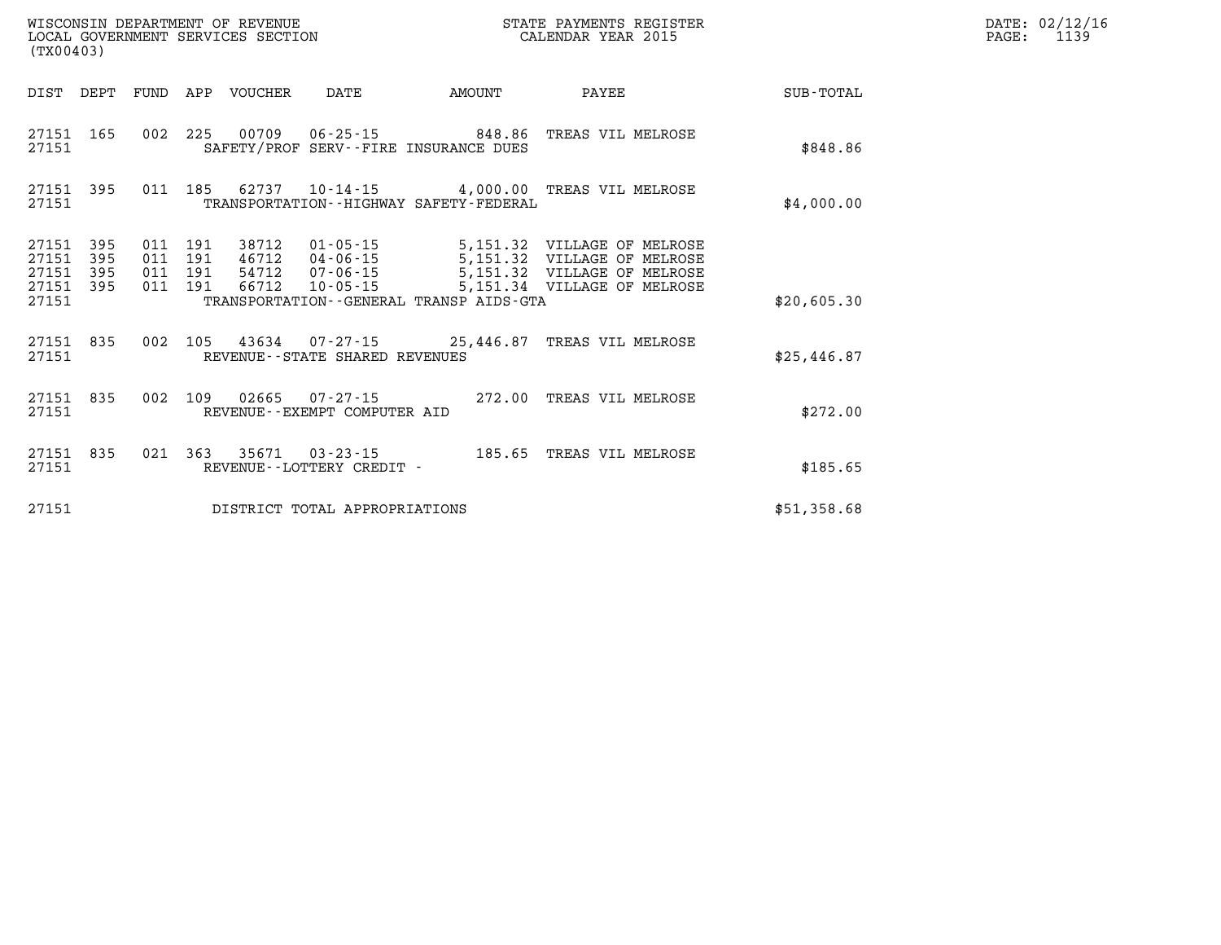|                                           | WISCONSIN DEPARTMENT OF REVENUE<br>STATE PAYMENTS REGISTER<br>LOCAL GOVERNMENT SERVICES SECTION<br>CALENDAR YEAR 2015<br>(TX00403) |                          |                          |                                  |                                                    |                                                                |                                                                                                                          |             |  |  |
|-------------------------------------------|------------------------------------------------------------------------------------------------------------------------------------|--------------------------|--------------------------|----------------------------------|----------------------------------------------------|----------------------------------------------------------------|--------------------------------------------------------------------------------------------------------------------------|-------------|--|--|
| DIST                                      | DEPT                                                                                                                               | FUND                     | APP                      | VOUCHER                          | DATE                                               | AMOUNT                                                         | PAYEE                                                                                                                    | SUB-TOTAL   |  |  |
| 27151<br>27151                            | 165                                                                                                                                | 002                      | 225                      |                                  |                                                    | 00709 06-25-15 848.86<br>SAFETY/PROF SERV--FIRE INSURANCE DUES | TREAS VIL MELROSE                                                                                                        | \$848.86    |  |  |
| 27151<br>27151                            | 395                                                                                                                                | 011                      | 185                      |                                  |                                                    | TRANSPORTATION - - HIGHWAY SAFETY - FEDERAL                    | 62737  10-14-15  4,000.00  TREAS VIL MELROSE                                                                             | \$4,000.00  |  |  |
| 27151<br>27151<br>27151<br>27151<br>27151 | 395<br>395<br>395<br>395                                                                                                           | 011<br>011<br>011<br>011 | 191<br>191<br>191<br>191 | 38712<br>46712<br>54712<br>66712 | 01-05-15<br>04-06-15<br>$07 - 06 - 15$<br>10-05-15 | TRANSPORTATION--GENERAL TRANSP AIDS-GTA                        | 5,151.32 VILLAGE OF MELROSE<br>5,151.32 VILLAGE OF MELROSE<br>5,151.32 VILLAGE OF MELROSE<br>5,151.34 VILLAGE OF MELROSE | \$20,605.30 |  |  |
| 27151<br>27151                            | 835                                                                                                                                | 002                      | 105                      |                                  | REVENUE - - STATE SHARED REVENUES                  |                                                                | 43634 07-27-15 25,446.87 TREAS VIL MELROSE                                                                               | \$25,446.87 |  |  |
| 27151<br>27151                            | 835                                                                                                                                | 002                      | 109                      | 02665                            | $07 - 27 - 15$<br>REVENUE--EXEMPT COMPUTER AID     |                                                                | 272.00 TREAS VIL MELROSE                                                                                                 | \$272.00    |  |  |
| 27151<br>27151                            | 835                                                                                                                                | 021                      | 363                      |                                  | 35671 03-23-15<br>REVENUE - - LOTTERY CREDIT -     | 185.65                                                         | TREAS VIL MELROSE                                                                                                        | \$185.65    |  |  |
| 27151                                     |                                                                                                                                    |                          |                          |                                  | DISTRICT TOTAL APPROPRIATIONS                      |                                                                |                                                                                                                          | \$51,358.68 |  |  |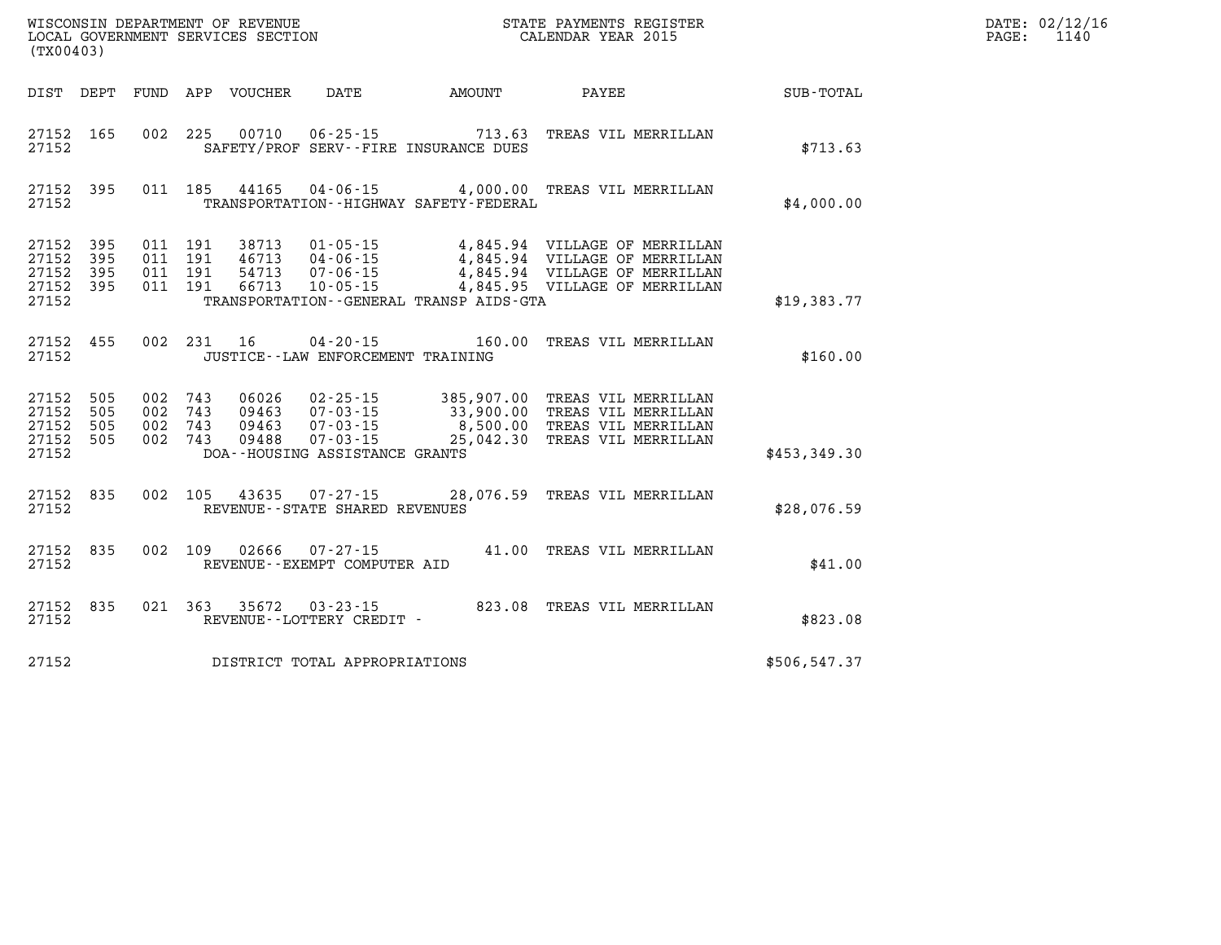| (TX00403)                                         |                   |                    |                                                  |                                                           |  | WISCONSIN DEPARTMENT OF REVENUE<br>LOCAL GOVERNMENT SERVICES SECTION<br>CALENDAR YEAR 2015                                                                                                                     |               | $\mathtt{PAGE}$ : | DATE: 02/12/16<br>1140 |
|---------------------------------------------------|-------------------|--------------------|--------------------------------------------------|-----------------------------------------------------------|--|----------------------------------------------------------------------------------------------------------------------------------------------------------------------------------------------------------------|---------------|-------------------|------------------------|
|                                                   |                   |                    |                                                  | DIST DEPT FUND APP VOUCHER DATE AMOUNT                    |  | <b>PAYEE</b>                                                                                                                                                                                                   | SUB-TOTAL     |                   |                        |
| 27152 165<br>27152                                |                   |                    | 002 225 00710                                    | SAFETY/PROF SERV--FIRE INSURANCE DUES                     |  | 06-25-15 713.63 TREAS VIL MERRILLAN                                                                                                                                                                            | \$713.63      |                   |                        |
| 27152 395<br>27152                                |                   |                    |                                                  | TRANSPORTATION - - HIGHWAY SAFETY - FEDERAL               |  | 011 185 44165 04-06-15 4,000.00 TREAS VIL MERRILLAN                                                                                                                                                            | \$4,000.00    |                   |                        |
| 27152<br>27152<br>27152<br>27152 395<br>27152     | 395<br>395<br>395 | 011 191<br>011 191 | 38713<br>011 191 46713<br>54713<br>011 191 66713 | $10 - 05 - 15$<br>TRANSPORTATION--GENERAL TRANSP AIDS-GTA |  | 4,845.95 VILLAGE OF MERRILLAN                                                                                                                                                                                  | \$19,383.77   |                   |                        |
| 27152 455<br>27152                                |                   |                    |                                                  | JUSTICE - - LAW ENFORCEMENT TRAINING                      |  | 002 231 16 04-20-15 160.00 TREAS VIL MERRILLAN                                                                                                                                                                 | \$160.00      |                   |                        |
| 27152<br>27152<br>27152 505<br>27152 505<br>27152 | 505<br>505        |                    | 002 743 06026                                    | DOA--HOUSING ASSISTANCE GRANTS                            |  | 02-25-15 385,907.00 TREAS VIL MERRILLAN<br>002 743 09463 07-03-15 33,900.00 TREAS VIL MERRILLAN<br>002 743 09463 07-03-15 8,500.00 TREAS VIL MERRILLAN<br>002 743 09488 07-03-15 25,042.30 TREAS VIL MERRILLAN | \$453,349.30  |                   |                        |
| 27152<br>27152                                    | 835               |                    |                                                  | REVENUE - - STATE SHARED REVENUES                         |  | 002 105 43635 07-27-15 28,076.59 TREAS VIL MERRILLAN                                                                                                                                                           | \$28,076.59   |                   |                        |
| 27152 835<br>27152                                |                   | 002 109            | 02666                                            | 07-27-15<br>REVENUE--EXEMPT COMPUTER AID                  |  | 41.00 TREAS VIL MERRILLAN                                                                                                                                                                                      | \$41.00       |                   |                        |
| 27152<br>27152                                    | 835               |                    |                                                  | REVENUE--LOTTERY CREDIT -                                 |  | 021 363 35672 03-23-15 823.08 TREAS VIL MERRILLAN                                                                                                                                                              | \$823.08      |                   |                        |
| 27152                                             |                   |                    |                                                  | DISTRICT TOTAL APPROPRIATIONS                             |  |                                                                                                                                                                                                                | \$506, 547.37 |                   |                        |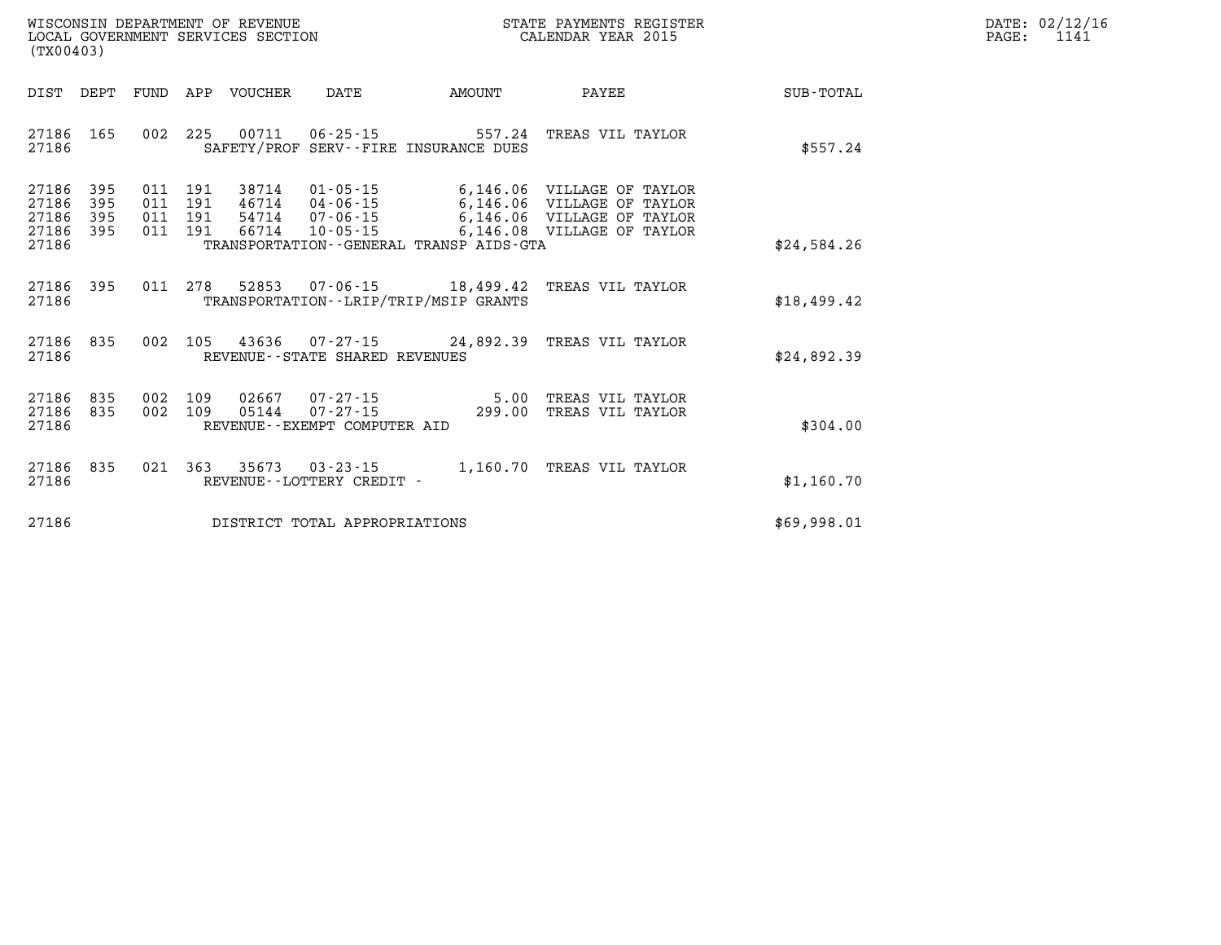| WISCONSIN DEPARTMENT OF REVENUE   | PAYMENTS REGISTER<br>STATE | 02/12/16<br>$\texttt{DATE}$ : |
|-----------------------------------|----------------------------|-------------------------------|
| LOCAL GOVERNMENT SERVICES SECTION | CALENDAR YEAR 2015         | PAGE                          |

| (TX00403)                                                             |                          |                                                                                                                                                                           |                                              |                                                                                  |             |
|-----------------------------------------------------------------------|--------------------------|---------------------------------------------------------------------------------------------------------------------------------------------------------------------------|----------------------------------------------|----------------------------------------------------------------------------------|-------------|
| DIST<br>DEPT                                                          | <b>FUND</b>              | APP<br>VOUCHER<br>DATE                                                                                                                                                    | AMOUNT                                       | PAYEE                                                                            | SUB-TOTAL   |
| 27186<br>165<br>27186                                                 | 002                      | 225<br>00711<br>$06 - 25 - 15$<br>SAFETY/PROF SERV--FIRE INSURANCE DUES                                                                                                   | 557.24                                       | TREAS VIL TAYLOR                                                                 | \$557.24    |
| 27186<br>395<br>395<br>27186<br>27186<br>395<br>27186<br>395<br>27186 | 011<br>011<br>011<br>011 | 38714<br>$01 - 05 - 15$<br>191<br>191<br>46714<br>04-06-15<br>191<br>54714<br>$07 - 06 - 15$<br>191<br>66714<br>$10 - 05 - 15$<br>TRANSPORTATION--GENERAL TRANSP AIDS-GTA | 6,146.06<br>6,146.06<br>6,146.06<br>6,146.08 | VILLAGE OF TAYLOR<br>VILLAGE OF TAYLOR<br>VILLAGE OF TAYLOR<br>VILLAGE OF TAYLOR | \$24,584.26 |
| 27186<br>395<br>27186                                                 | 011                      | 278<br>52853<br>TRANSPORTATION - - LRIP/TRIP/MSIP GRANTS                                                                                                                  | $07 - 06 - 15$ 18,499.42                     | TREAS VIL TAYLOR                                                                 | \$18,499.42 |
| 27186<br>835<br>27186                                                 | 002                      | 105<br>43636<br>07-27-15<br>REVENUE - - STATE SHARED REVENUES                                                                                                             | 24,892.39                                    | TREAS VIL TAYLOR                                                                 | \$24,892.39 |
| 27186<br>835<br>27186<br>835<br>27186                                 | 002<br>002               | 109<br>02667<br>07-27-15<br>109<br>05144<br>$07 - 27 - 15$<br>REVENUE - - EXEMPT COMPUTER AID                                                                             | 5.00<br>299.00                               | TREAS VIL TAYLOR<br>TREAS VIL TAYLOR                                             | \$304.00    |
| 27186<br>835<br>27186                                                 | 021                      | 363<br>35673<br>$03 - 23 - 15$<br>REVENUE - - LOTTERY CREDIT -                                                                                                            | 1,160.70                                     | TREAS VIL TAYLOR                                                                 | \$1,160.70  |
| 27186                                                                 |                          | DISTRICT TOTAL APPROPRIATIONS                                                                                                                                             |                                              |                                                                                  | \$69,998.01 |

WISCONSIN DEPARTMENT OF REVENUE **STATE PAYMENTS REGISTER**<br>LOCAL GOVERNMENT SERVICES SECTION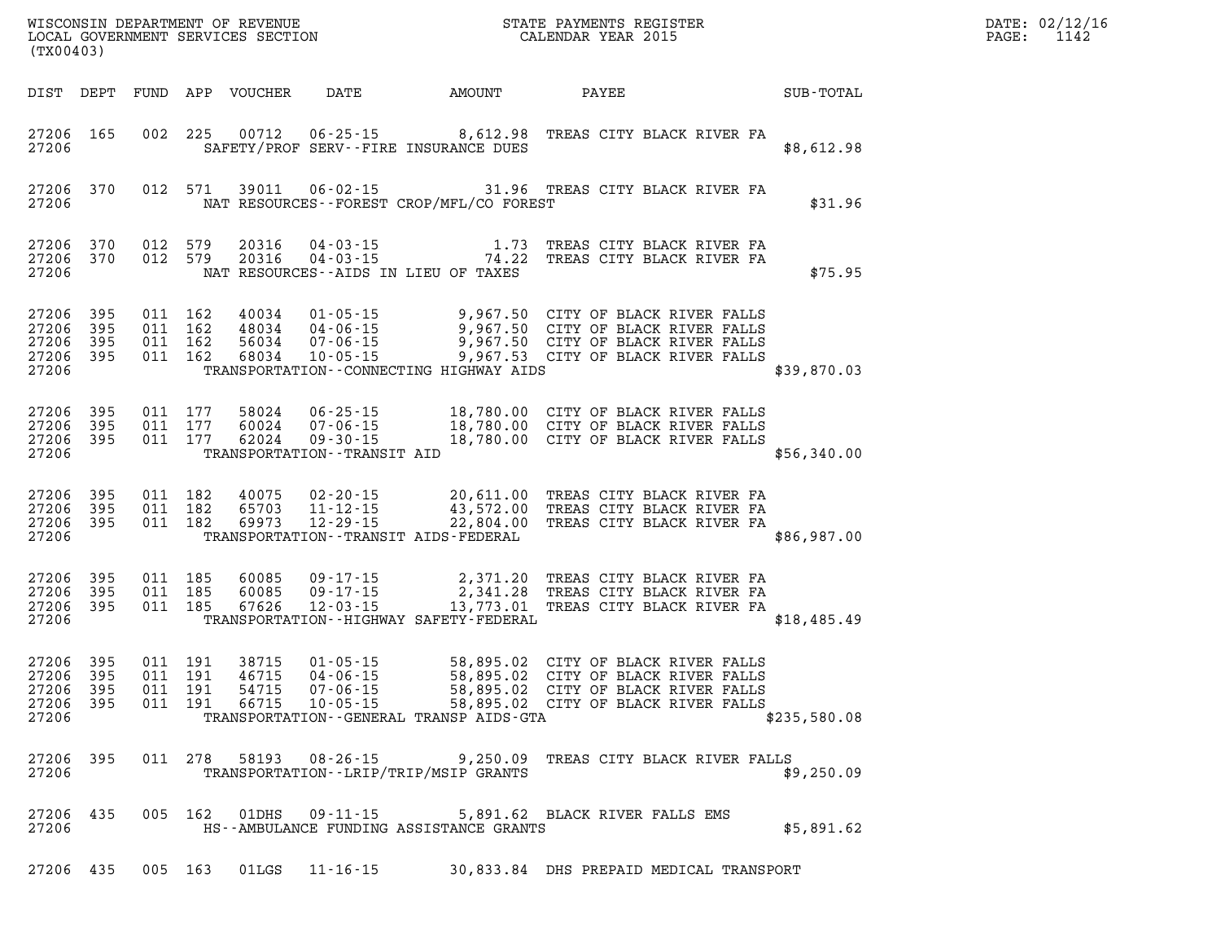| DATE: | 02/12/16 |
|-------|----------|
| PAGE: | 1142     |

| (TX00403)                                                 |  |                               |         |       |                                  |                                             | STATE PAYMENTS REGISTER                                                                                                                                                                                                                                                 | $\mathbb{R}^n$ | DATE: 02/12/1<br>$\mathtt{PAGE}$ :<br>1142 |
|-----------------------------------------------------------|--|-------------------------------|---------|-------|----------------------------------|---------------------------------------------|-------------------------------------------------------------------------------------------------------------------------------------------------------------------------------------------------------------------------------------------------------------------------|----------------|--------------------------------------------|
|                                                           |  |                               |         |       |                                  |                                             |                                                                                                                                                                                                                                                                         |                |                                            |
| 27206 165<br>27206                                        |  |                               |         |       |                                  | SAFETY/PROF SERV--FIRE INSURANCE DUES       | 002 225 00712 06-25-15 8,612.98 TREAS CITY BLACK RIVER FA                                                                                                                                                                                                               | \$8,612.98     |                                            |
| 27206 370<br>27206                                        |  |                               |         |       |                                  | NAT RESOURCES - - FOREST CROP/MFL/CO FOREST | 012 571 39011 06-02-15 31.96 TREAS CITY BLACK RIVER FA                                                                                                                                                                                                                  | \$31.96        |                                            |
| 27206 370<br>27206 370<br>27206                           |  |                               |         |       |                                  | NAT RESOURCES--AIDS IN LIEU OF TAXES        | 012 579   20316   04-03-15   1.73   TREAS CITY BLACK RIVER FA   012 579   20316   04-03-15   74.22   TREAS CITY BLACK RIVER FA                                                                                                                                          | \$75.95        |                                            |
| 27206 395<br>27206 395<br>27206 395<br>27206 395<br>27206 |  |                               |         |       |                                  | TRANSPORTATION--CONNECTING HIGHWAY AIDS     | 011 162 40034 01-05-15 9,967.50 CITY OF BLACK RIVER FALLS<br>011 162 48034 04-06-15 9,967.50 CITY OF BLACK RIVER FALLS<br>011 162 68034 10-05-15 9,967.50 CITY OF BLACK RIVER FALLS<br>011 162 68034 10-05-15 9,967.53 CITY OF BLACK RI                                 | \$39,870.03    |                                            |
| 27206 395<br>27206 395<br>27206 395<br>27206              |  |                               |         |       | TRANSPORTATION - - TRANSIT AID   |                                             | 011 177 58024 06-25-15 18,780.00 CITY OF BLACK RIVER FALLS<br>011 177 60024 07-06-15 18,780.00 CITY OF BLACK RIVER FALLS<br>011 177 62024 09-30-11----- 18,780.00 CITY OF BLACK RIVER FALLS                                                                             | \$56,340.00    |                                            |
| 27206 395<br>27206 395<br>27206 395<br>27206              |  |                               |         |       |                                  | TRANSPORTATION--TRANSIT AIDS-FEDERAL        | 011 182 40075 02-20-15 20,611.00 TREAS CITY BLACK RIVER FA<br>011 182 65703 11-12-15 43,572.00 TREAS CITY BLACK RIVER FA<br>011 182 69973 12-29-15 22,804.00 TREAS CITY BLACK RIVER FA                                                                                  | \$86,987.00    |                                            |
| 27206 395<br>27206 395<br>27206 395<br>27206              |  |                               |         |       |                                  | TRANSPORTATION - - HIGHWAY SAFETY - FEDERAL | 011 185 60085 09-17-15 2,371.20 TREAS CITY BLACK RIVER FA<br>011 185 60085 09-17-15 2,341.28 TREAS CITY BLACK RIVER FA<br>011 185 67626 12-03-15 13,773.01 TREAS CITY BLACK RIVER FA                                                                                    | \$18,485.49    |                                            |
| 27206 395<br>27206 395<br>27206 395<br>27206 395<br>27206 |  | 011 191<br>011 191<br>011 191 | 011 191 | 46715 | 66715 10-05-15                   | TRANSPORTATION--GENERAL TRANSP AIDS-GTA     | 38715  01-05-15  58,895.02  CITY OF BLACK RIVER FALLS<br>46715  04-06-15  58,895.02  CITY OF BLACK RIVER FALLS<br>54715  07-06-15  58,895.02  CITY OF BLACK RIVER FALLS<br>66715  10-05-15  58.895.02  CITY OF BLACK RIVER FALLS<br>58,895.02 CITY OF BLACK RIVER FALLS | \$235,580.08   |                                            |
| 27206 395<br>27206                                        |  |                               |         |       |                                  | TRANSPORTATION - - LRIP/TRIP/MSIP GRANTS    | 011 278 58193 08-26-15 9,250.09 TREAS CITY BLACK RIVER FALLS                                                                                                                                                                                                            | \$9,250.09     |                                            |
| 27206 435<br>27206                                        |  |                               |         |       | 005 162 01DHS 09-11-15           | HS--AMBULANCE FUNDING ASSISTANCE GRANTS     | 5,891.62 BLACK RIVER FALLS EMS                                                                                                                                                                                                                                          | \$5,891.62     |                                            |
|                                                           |  |                               |         |       | 27206 435 005 163 01LGS 11-16-15 |                                             | 30,833.84 DHS PREPAID MEDICAL TRANSPORT                                                                                                                                                                                                                                 |                |                                            |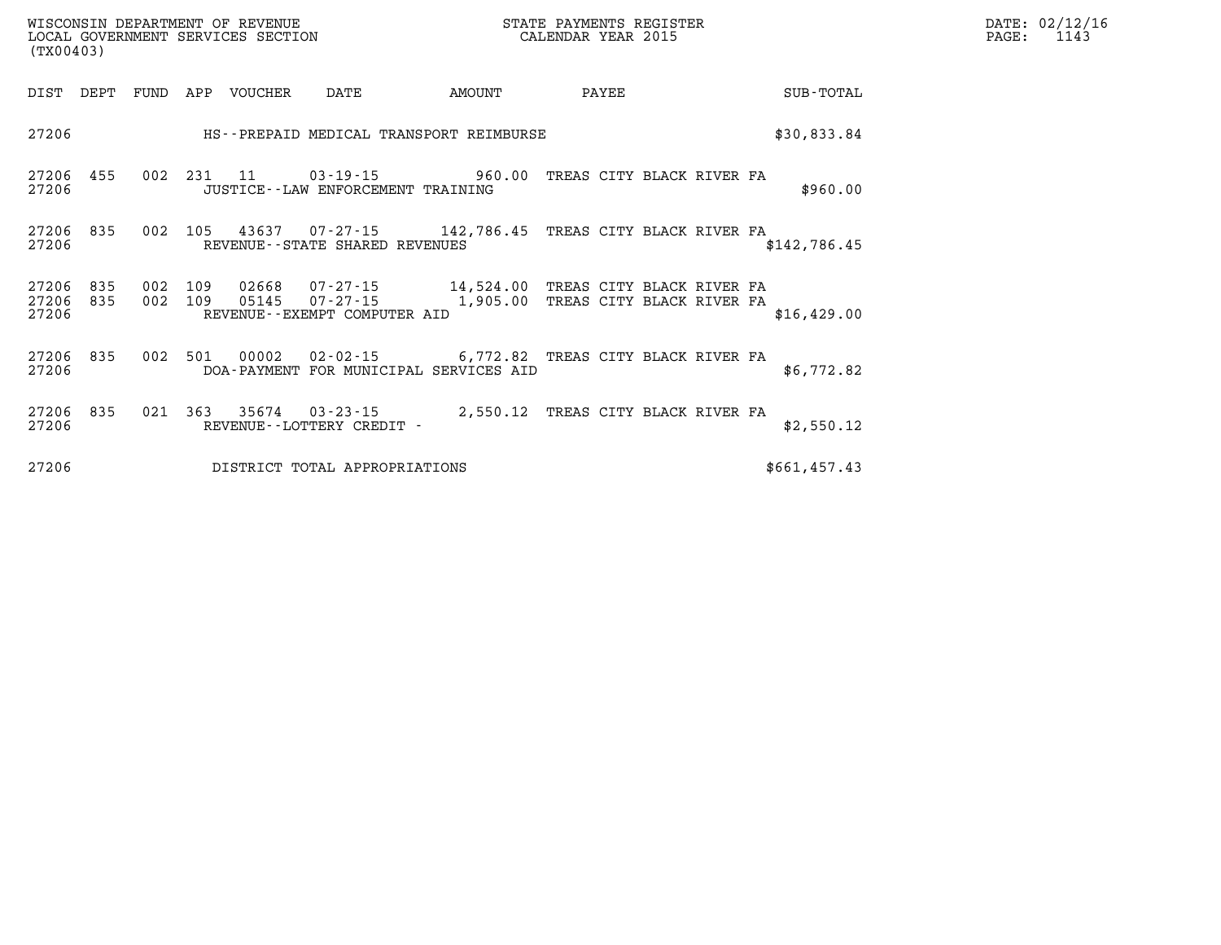| (TX00403)               |            |            |            |                |                                                         |                                                    |       |                                                        |              |
|-------------------------|------------|------------|------------|----------------|---------------------------------------------------------|----------------------------------------------------|-------|--------------------------------------------------------|--------------|
| DIST                    | DEPT       | FUND       | APP        | <b>VOUCHER</b> | DATE                                                    | AMOUNT                                             | PAYEE |                                                        | SUB-TOTAL    |
| 27206                   |            |            |            |                |                                                         | HS--PREPAID MEDICAL TRANSPORT REIMBURSE            |       |                                                        | \$30,833.84  |
| 27206<br>27206          | 455        | 002        | 231        | 11             | $03 - 19 - 15$<br>JUSTICE -- LAW ENFORCEMENT TRAINING   | 960.00                                             |       | TREAS CITY BLACK RIVER FA                              | \$960.00     |
| 27206<br>27206          | 835        | 002        | 105        | 43637          | REVENUE--STATE SHARED REVENUES                          | $07 - 27 - 15$ 142,786.45                          |       | TREAS CITY BLACK RIVER FA                              | \$142,786.45 |
| 27206<br>27206<br>27206 | 835<br>835 | 002<br>002 | 109<br>109 | 02668<br>05145 | 07-27-15<br>07-27-15<br>REVENUE - - EXEMPT COMPUTER AID | 14,524.00<br>1,905.00                              |       | TREAS CITY BLACK RIVER FA<br>TREAS CITY BLACK RIVER FA | \$16,429.00  |
| 27206<br>27206          | 835        | 002        | 501        | 00002          | $02 - 02 - 15$                                          | 6,772.82<br>DOA-PAYMENT FOR MUNICIPAL SERVICES AID |       | TREAS CITY BLACK RIVER FA                              | \$6,772.82   |
| 27206<br>27206          | 835        | 021        | 363        | 35674          | $03 - 23 - 15$<br>REVENUE - - LOTTERY CREDIT -          | 2,550.12                                           |       | TREAS CITY BLACK RIVER FA                              | \$2,550.12   |

**27206 DISTRICT TOTAL APPROPRIATIONS \$661,457.43**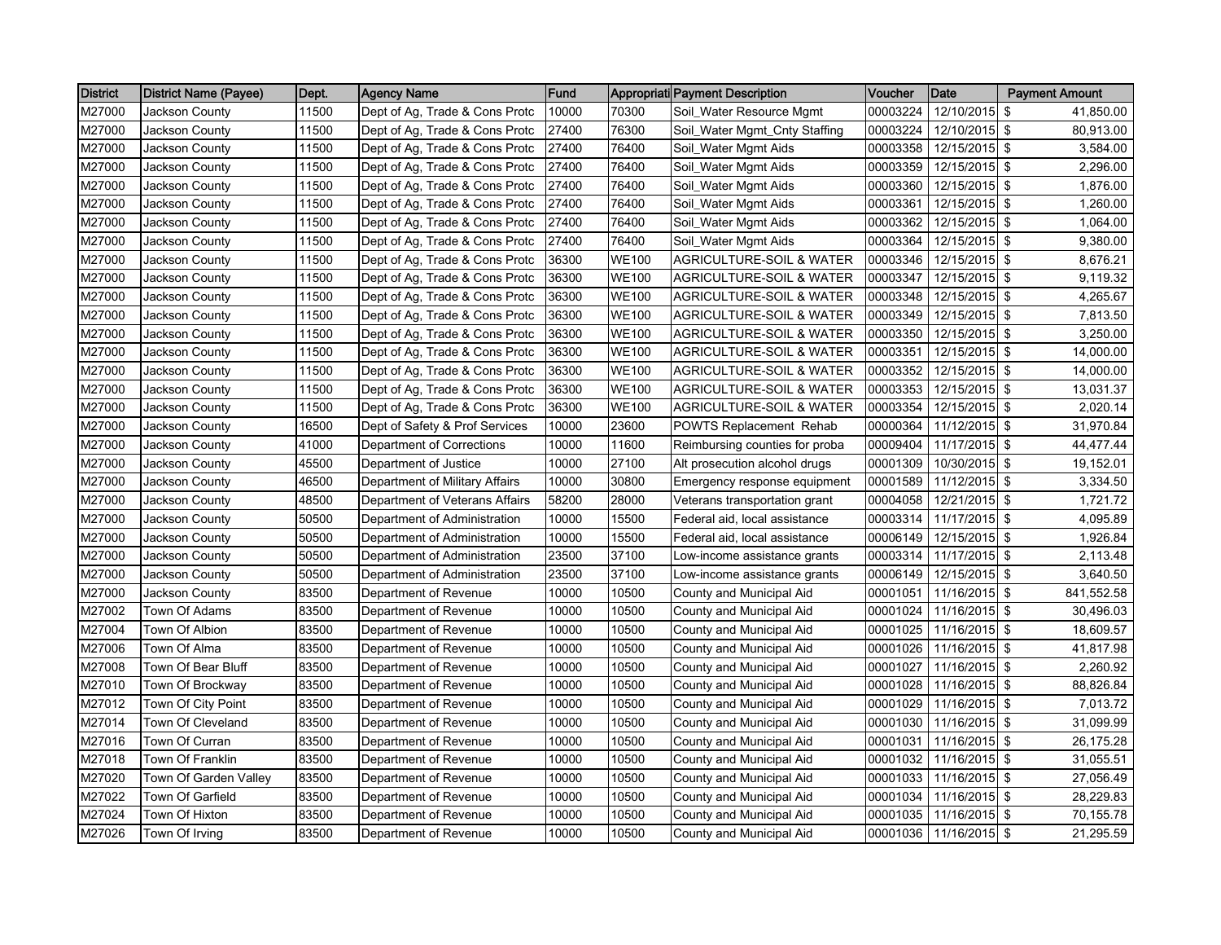| <b>District</b> | <b>District Name (Payee)</b> | Dept. | <b>Agency Name</b>             | Fund  |              | Appropriati Payment Description     | Voucher  | Date            | <b>Payment Amount</b> |
|-----------------|------------------------------|-------|--------------------------------|-------|--------------|-------------------------------------|----------|-----------------|-----------------------|
| M27000          | Jackson County               | 11500 | Dept of Ag, Trade & Cons Protc | 10000 | 70300        | Soil_Water Resource Mgmt            | 00003224 | 12/10/2015      | -\$<br>41,850.00      |
| M27000          | Jackson County               | 11500 | Dept of Ag, Trade & Cons Protc | 27400 | 76300        | Soil_Water Mgmt_Cnty Staffing       | 00003224 | 12/10/2015 \$   | 80,913.00             |
| M27000          | Jackson County               | 11500 | Dept of Ag, Trade & Cons Protc | 27400 | 76400        | Soil_Water Mgmt Aids                | 00003358 | 12/15/2015 \$   | 3.584.00              |
| M27000          | Jackson County               | 11500 | Dept of Ag, Trade & Cons Protc | 27400 | 76400        | Soil Water Mgmt Aids                | 00003359 | 12/15/2015 \$   | 2,296.00              |
| M27000          | Jackson County               | 11500 | Dept of Ag, Trade & Cons Protc | 27400 | 76400        | Soil_Water Mgmt Aids                | 00003360 | $12/15/2015$ \$ | 1,876.00              |
| M27000          | Jackson County               | 11500 | Dept of Ag, Trade & Cons Protc | 27400 | 76400        | Soil_Water Mgmt Aids                | 00003361 | 12/15/2015 \$   | 1,260.00              |
| M27000          | Jackson County               | 11500 | Dept of Ag, Trade & Cons Protc | 27400 | 76400        | Soil_Water Mgmt Aids                | 00003362 | 12/15/2015 \$   | 1,064.00              |
| M27000          | Jackson County               | 11500 | Dept of Ag, Trade & Cons Protc | 27400 | 76400        | Soil_Water Mgmt Aids                | 00003364 | 12/15/2015 \$   | 9,380.00              |
| M27000          | Jackson County               | 11500 | Dept of Ag, Trade & Cons Protc | 36300 | <b>WE100</b> | <b>AGRICULTURE-SOIL &amp; WATER</b> | 00003346 | 12/15/2015 \$   | 8,676.21              |
| M27000          | Jackson County               | 11500 | Dept of Ag, Trade & Cons Protc | 36300 | <b>WE100</b> | <b>AGRICULTURE-SOIL &amp; WATER</b> | 00003347 | 12/15/2015 \$   | 9,119.32              |
| M27000          | <b>Jackson County</b>        | 11500 | Dept of Ag, Trade & Cons Protc | 36300 | <b>WE100</b> | <b>AGRICULTURE-SOIL &amp; WATER</b> | 00003348 | 12/15/2015 \$   | 4,265.67              |
| M27000          | Jackson County               | 11500 | Dept of Ag, Trade & Cons Protc | 36300 | <b>WE100</b> | AGRICULTURE-SOIL & WATER            | 00003349 | 12/15/2015      | <b>S</b><br>7,813.50  |
| M27000          | Jackson County               | 11500 | Dept of Ag, Trade & Cons Protc | 36300 | <b>WE100</b> | <b>AGRICULTURE-SOIL &amp; WATER</b> | 00003350 | 12/15/2015 \$   | 3,250.00              |
| M27000          | Jackson County               | 11500 | Dept of Ag, Trade & Cons Protc | 36300 | <b>WE100</b> | <b>AGRICULTURE-SOIL &amp; WATER</b> | 00003351 | 12/15/2015 \$   | 14,000.00             |
| M27000          | Jackson County               | 11500 | Dept of Ag, Trade & Cons Protc | 36300 | <b>WE100</b> | AGRICULTURE-SOIL & WATER            | 00003352 | 12/15/2015 \$   | 14,000.00             |
| M27000          | Jackson County               | 11500 | Dept of Ag, Trade & Cons Protc | 36300 | <b>WE100</b> | <b>AGRICULTURE-SOIL &amp; WATER</b> | 00003353 | 12/15/2015 \$   | 13,031.37             |
| M27000          | Jackson County               | 11500 | Dept of Ag, Trade & Cons Protc | 36300 | <b>WE100</b> | <b>AGRICULTURE-SOIL &amp; WATER</b> | 00003354 | 12/15/2015 \$   | 2,020.14              |
| M27000          | Jackson County               | 16500 | Dept of Safety & Prof Services | 10000 | 23600        | <b>POWTS Replacement Rehab</b>      | 00000364 | $11/12/2015$ \$ | 31,970.84             |
| M27000          | Jackson County               | 41000 | Department of Corrections      | 10000 | 11600        | Reimbursing counties for proba      | 00009404 | 11/17/2015 \$   | 44,477.44             |
| M27000          | <b>Jackson County</b>        | 45500 | Department of Justice          | 10000 | 27100        | Alt prosecution alcohol drugs       | 00001309 | 10/30/2015 \$   | 19,152.01             |
| M27000          | Jackson County               | 46500 | Department of Military Affairs | 10000 | 30800        | Emergency response equipment        | 00001589 | 11/12/2015 \$   | 3,334.50              |
| M27000          | Jackson County               | 48500 | Department of Veterans Affairs | 58200 | 28000        | Veterans transportation grant       | 00004058 | 12/21/2015 \$   | 1,721.72              |
| M27000          | Jackson County               | 50500 | Department of Administration   | 10000 | 15500        | Federal aid, local assistance       | 00003314 | 11/17/2015 \$   | 4,095.89              |
| M27000          | Jackson County               | 50500 | Department of Administration   | 10000 | 15500        | Federal aid, local assistance       | 00006149 | 12/15/2015 \$   | 1,926.84              |
| M27000          | Jackson County               | 50500 | Department of Administration   | 23500 | 37100        | Low-income assistance grants        | 00003314 | 11/17/2015 \$   | 2,113.48              |
| M27000          | <b>Jackson County</b>        | 50500 | Department of Administration   | 23500 | 37100        | Low-income assistance grants        | 00006149 | 12/15/2015 \$   | 3,640.50              |
| M27000          | Jackson County               | 83500 | Department of Revenue          | 10000 | 10500        | County and Municipal Aid            | 00001051 | 11/16/2015 \$   | 841,552.58            |
| M27002          | Town Of Adams                | 83500 | Department of Revenue          | 10000 | 10500        | County and Municipal Aid            | 00001024 | 11/16/2015 \$   | 30,496.03             |
| M27004          | Town Of Albion               | 83500 | Department of Revenue          | 10000 | 10500        | County and Municipal Aid            | 00001025 | 11/16/2015 \$   | 18,609.57             |
| M27006          | Town Of Alma                 | 83500 | Department of Revenue          | 10000 | 10500        | County and Municipal Aid            | 00001026 | 11/16/2015 \$   | 41,817.98             |
| M27008          | Town Of Bear Bluff           | 83500 | Department of Revenue          | 10000 | 10500        | County and Municipal Aid            | 00001027 | 11/16/2015 \$   | 2,260.92              |
| M27010          | Town Of Brockway             | 83500 | Department of Revenue          | 10000 | 10500        | County and Municipal Aid            | 00001028 | 11/16/2015 \$   | 88,826.84             |
| M27012          | Town Of City Point           | 83500 | Department of Revenue          | 10000 | 10500        | County and Municipal Aid            | 00001029 | 11/16/2015 \$   | 7,013.72              |
| M27014          | Town Of Cleveland            | 83500 | Department of Revenue          | 10000 | 10500        | County and Municipal Aid            | 00001030 | 11/16/2015 \$   | 31,099.99             |
| M27016          | Town Of Curran               | 83500 | Department of Revenue          | 10000 | 10500        | County and Municipal Aid            | 00001031 | 11/16/2015 \$   | 26,175.28             |
| M27018          | Town Of Franklin             | 83500 | Department of Revenue          | 10000 | 10500        | County and Municipal Aid            | 00001032 | 11/16/2015 \$   | 31,055.51             |
| M27020          | Town Of Garden Valley        | 83500 | Department of Revenue          | 10000 | 10500        | County and Municipal Aid            | 00001033 | 11/16/2015      | \$<br>27,056.49       |
| M27022          | Town Of Garfield             | 83500 | Department of Revenue          | 10000 | 10500        | County and Municipal Aid            | 00001034 | 11/16/2015 \$   | 28,229.83             |
| M27024          | Town Of Hixton               | 83500 | Department of Revenue          | 10000 | 10500        | County and Municipal Aid            | 00001035 | 11/16/2015 \$   | 70,155.78             |
| M27026          | Town Of Irving               | 83500 | Department of Revenue          | 10000 | 10500        | County and Municipal Aid            | 00001036 | 11/16/2015 \$   | 21,295.59             |